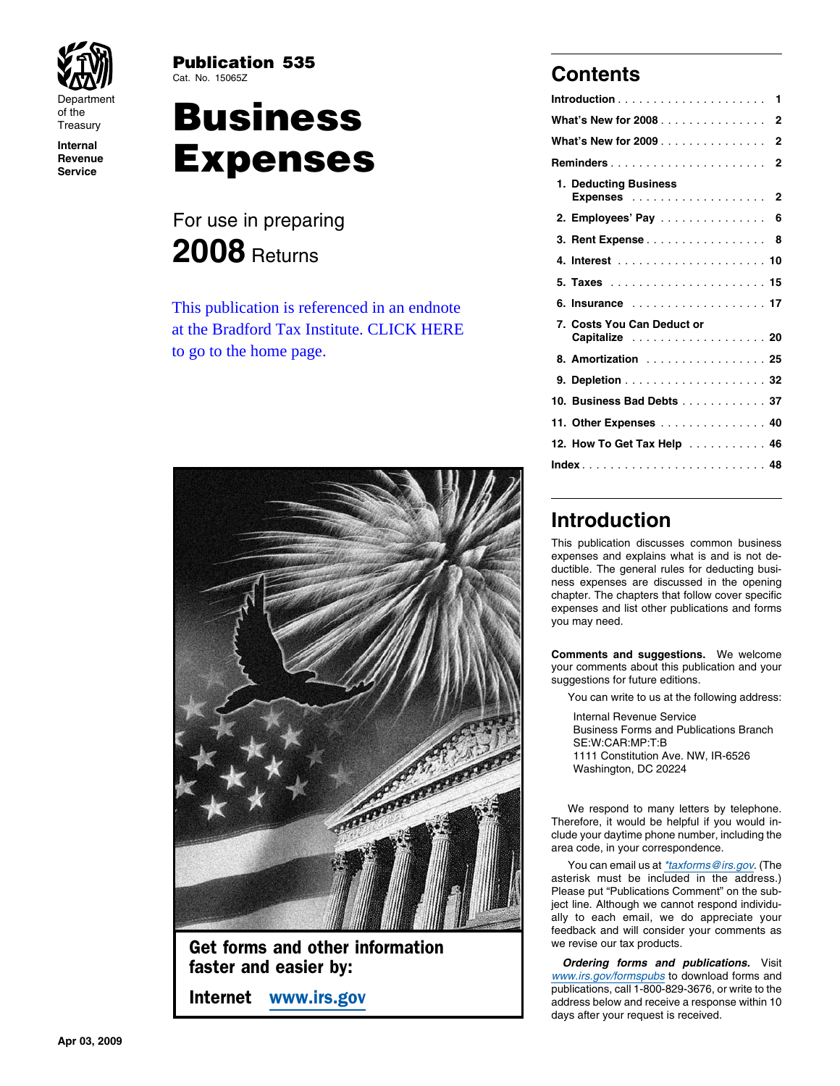

**Service**

**Publication 535** Cat. No. 15065Z **Contents**

# of the **What's New for 2008** ............... **<sup>2</sup>** Treasury **Business**

## **For use in preparing 2008** Returns **4. Interest** ..................... **<sup>10</sup>**



Get forms and other information **Fig. 7** We revise our tax products.

| —                              |                                                                                                                                      |                                              |
|--------------------------------|--------------------------------------------------------------------------------------------------------------------------------------|----------------------------------------------|
| Department                     |                                                                                                                                      |                                              |
| of the<br>Treasury             | <b>Business</b>                                                                                                                      | What's New for 2008 2                        |
| Internal<br>Revenue<br>Service |                                                                                                                                      | What's New for 2009 2                        |
|                                | <b>Expenses</b>                                                                                                                      |                                              |
|                                |                                                                                                                                      | 1. Deducting Business<br>Expenses  2         |
|                                | For use in preparing                                                                                                                 | 2. Employees' Pay 6                          |
|                                | 2008 Returns<br>This publication is referenced in an endnote<br>at the Bradford Tax Institute. CLICK HERE<br>to go to the home page. | 3. Rent Expense 8                            |
|                                |                                                                                                                                      |                                              |
|                                |                                                                                                                                      |                                              |
|                                |                                                                                                                                      | 6. Insurance 17                              |
|                                |                                                                                                                                      | 7. Costs You Can Deduct or<br>Capitalize  20 |
|                                |                                                                                                                                      | 8. Amortization 25                           |
|                                |                                                                                                                                      |                                              |
|                                |                                                                                                                                      | 10. Business Bad Debts 37                    |
|                                |                                                                                                                                      | 11. Other Expenses 40                        |
|                                |                                                                                                                                      | 12. How To Get Tax Help 46                   |
|                                |                                                                                                                                      |                                              |

## **Introduction**

This publication discusses common business expenses and explains what is and is not deductible. The general rules for deducting business expenses are discussed in the opening chapter. The chapters that follow cover specific expenses and list other publications and forms you may need.

**Comments and suggestions.** We welcome your comments about this publication and your suggestions for future editions.

You can write to us at the following address:

Internal Revenue Service Business Forms and Publications Branch SE:W:CAR:MP:T:B

1111 Constitution Ave. NW, IR-6526 Washington, DC 20224

We respond to many letters by telephone. Therefore, it would be helpful if you would include your daytime phone number, including the area code, in your correspondence.

You can email us at \*taxforms@irs.gov. (The asterisk must be included in the address.) Please put "Publications Comment" on the subject line. Although we cannot respond individually to each email, we do appreciate your feedback and will consider your comments as

**faster and easier by:**<br> **Faster and easier by:** www.irs.gov/formspubs to download forms and<br>
publications, call 1-800-829-3676, or write to the Internet www.irs.gov and the Internet www.irs.gov and Text and Text and Text and Text and Text are internet within 10 days after your request is received.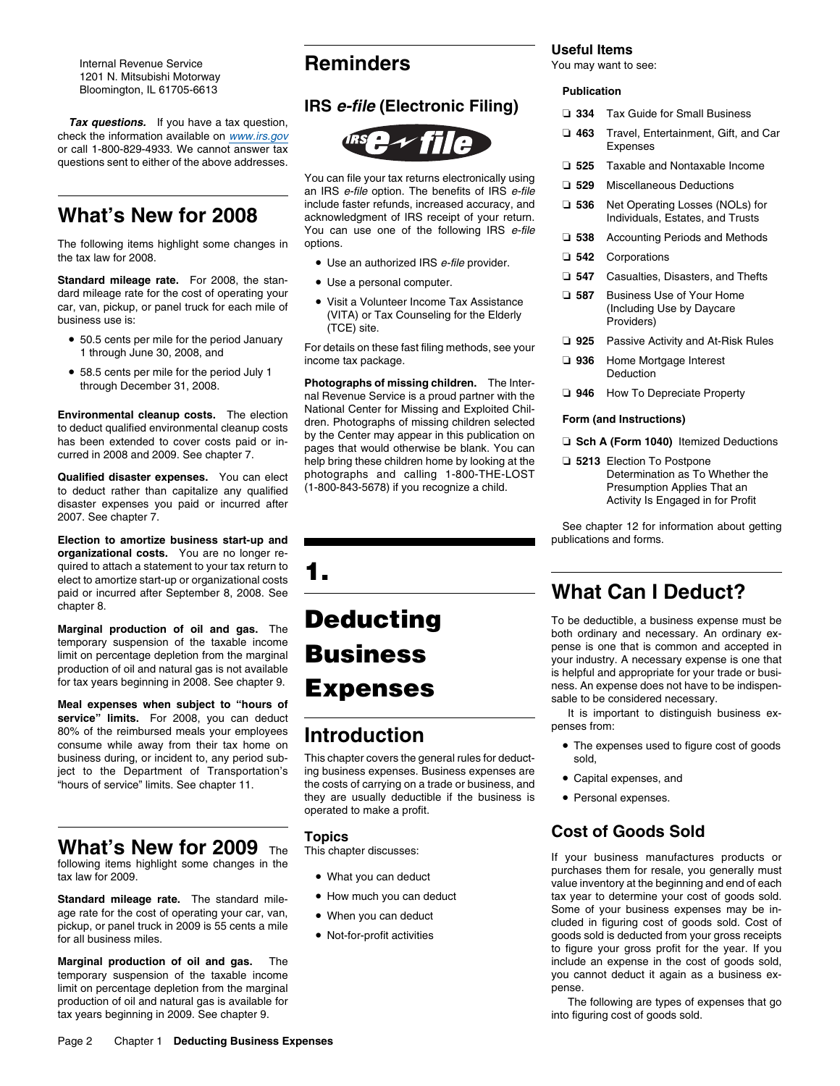1201 N. Mitsubishi Motorway Bloomington, IL 61705-6613 **Publication**

*Tax questions.* If you have a tax question, check the information available on www.irs.gov **QRS** <del></del> <del>D</del> <del>**Channel Carroll 1-800-820-4033**</del> We cannot answer tax **D CRS D CRS D CRS** Expenses or call 1-800-829-4933. We cannot answer tax questions sent to either of the above addresses. ◯ **525** Taxable and Nontaxable Income

You can use one of the following IRS e-file <br>
The following items highlight some changes in options.<br> **Q** 1996 of file an authorized IDS of file an authorized IDS of the requisiter and **ISA2** Corporations

❏ **<sup>547</sup>** Casualties, Disasters, and Thefts **Standard mileage rate.** For 2008, the stan- • Use a personal computer. dard mileage rate for the cost of operating your<br>
car, van, pickup, or panel truck for each mile of virtal or Tax Counceling for the Elderly (Including Use by Daycare

- 50.5 cents per mile for the period January
- 58.5 cents per mile for the period July 1 **Deduction Deduction Deduction Deduction**

to deduct rather than capitalize any qualified (1-800-843-5678) if you recognize a child. Presumption Applies I hat an disaster expenses you paid or incurred after disaster expenses you paid or incurred after

**Election to amortize business start-up and publications and forms.** publications and forms. **organizational costs.** You are no longer required to attach a statement to your tax return to quired to attach a statement to your tax return to  $\blacksquare$ paid or incurred after September 8, 2008. See **Can I Deduct?** 

Meal expenses when subject to "hours of **EXAMP CITUDE COME SERVITE SUBSEX SERVICE"** sable to be considered necessary.<br>
Service" limits. For 2008, you can deduct experience the same of the is important to distinguish busine consume while away from their tax home on **Introduction**<br>
consume while away from their tax home on **Introduction**<br> **Consume while away from their tax home on** 

age rate for the cost of operating your car, van,  $\bullet$  When you can deduct

temporary suspension of the taxable income limit on percentage depletion from the marginal pense. The matrix of the matrix of pense. production of oil and natural gas is available for The following are types of expenses that go expenses that go tax years beginning in 2009. See chapter 9. into figuring cost of goods sold.

### Internal Revenue Service **Reminders** You may want to see:

### **IRS** *e-file* **(Electronic Filing)** ❏ **<sup>334</sup>** Tax Guide for Small Business



You can file your tax returns electronically using  $□$  **529** Miscellaneous Deductions an IRS *e-file* option. The benefits of IRS *e-file* include faster refunds, increased accuracy, and 
<br> **What's New for 2008** acknowledgment of IRS receipt of your return. Individuals, Estates, and Trusts

- the tax law for 2008. ❏ **<sup>542</sup>** Corporations Use an authorized IRS e-file provider.
	-
- car, van, pickup, or panel truck for each mile of visit a Volunteer income Tax Assistance<br>business use is: (Including business use is: Providers) (Including business use is: Providers)

50.5 cents per mile for the period January<br>1 through June 30, 2008, and<br>1 income tax package. The package and income tax package. 1 through June 30, 2008, and income tax package.

**Photographs of missing children.** The Inter-<br>nal Revenue Service is a proud partner with the ◯ 946 How To Depreciate Property **Environmental cleanup costs.** The election<br>to deduct qualified environmental cleanup costs<br>has been extended to cover costs paid or in-<br>has been extended to cover costs paid or in-<br>curred in 2008 and 2009. See chapter 7. **Qualified disaster expenses.** You can elect photographs and calling 1-800-THE-LOST Determination as To Whether the<br>to deduct rather than capitalize any qualified (1-800-843-5678) if you recognize a child. Presumption Appl

### **Useful Items**

- 
- 
- 
- 
- 
- 
- 
- 
- 
- 
- 
- 

- 
- 

2007. See chapter 7. See chapter 12 for information about getting

Chapter 8.<br>
Marginal production of oil and gas. The<br>
temporary suspension of the taxable income<br>
limit on percentage depletion from the marginal<br>
production of oil and natural gas is not available<br>
production of oil and na

- 
- 
- 

## **Topics**<br> **Cost of Goods Sold**<br> **This chapter discusses:**<br> **Cost of Goods Sold**

**What's New for 2009** The This chapter discusses:<br>following items highlight some changes in the **the secure of the secure of the secure of the secure of the secure of the secure of the security must have low to purchases t Standard mileage rate.** The standard mile-<br> **•** How much you can deduct the standard for the cost of operating your can year and the standard standard Some of your business expenses may be in-When you can deduce club cluded in figuring cost of goods sold. Cost of pickup, or panel truck in 2009 is 55 cents a mile From the methods of the control of the Mot-for-profit activities and is deducted from your gross receipts for all business miles. to figure your gross profit for the year. If you **Marginal production of oil and gas.** The include an expense in the cost of goods sold, include an expense in the cost of goods sold, include an expense in the cost of goods sold, include an expense in the cost of goods so

business during, or incident to, any period sub- This chapter covers the general rules for deduct- sold, ject to the Department of Transportation's ing business expenses. Business expenses are • Capital expenses, and<br>"hours of service" limits. See chapter 11. be costs of carrying on a trade or business, and the costs of carrying on a trade or business, and they are usually deductible if the business is • Personal expenses. operated to make a profit.

- 
- 
- 
- Not-for-profit activities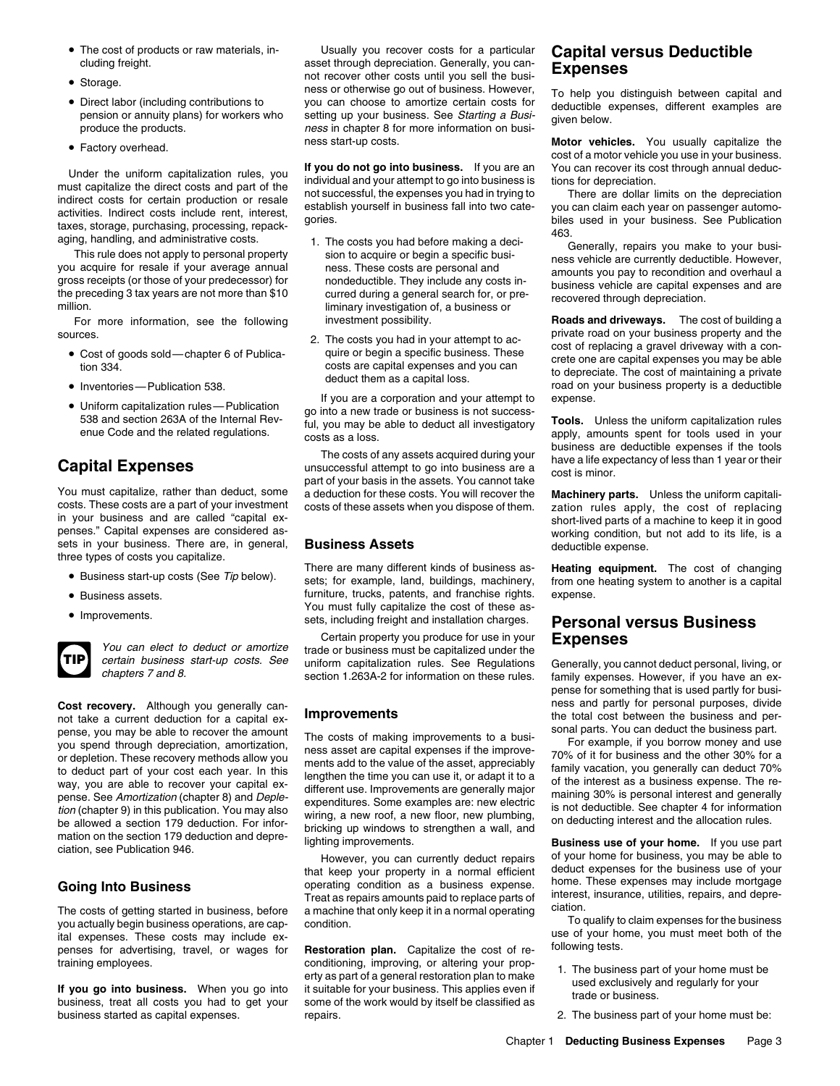- The cost of products or raw materials, in-
- 
- 
- 

Under the uniform capitalization rules, you **if you do not go into business**. If you are an You can recover its cost formula deductivate the direct costs and part of the individual and your attempt to go into business is t

- 
- 
- 

You must capitalize, rather than deduct, some a deduction for these costs. You will recover the **Machinery parts.** Unless the uniform capitali-<br>costs. These costs are a part of your investment costs of these assets when yo penses." Capital expenses are considered as-<br>sets in your business. There are, in general, **Business Assets deductible expense** deductible expense.<br>three types of costs you capitalize.

- 
- Business assets.
- 



not take a current deduction for a capital ex-<br>not take a current deduction for a capital ex-<br>nense, you may be able to recover the amount pense, you may be able to recover the amount<br>you spend through depreciation, amortization, the costs of making improvements to a busi-<br>or depletion. These recovery methods allow you<br>to deduct part of over covery methods al

you actually begin business operations, are cap- condition.<br>
ital expenses. These costs may include ex-<br>
ital expenses. These costs may include exital expenses. These costs may include ex-<br>nenses for advertising travel or wages for **Pestoration plan** Capitalize the cost of re- following tests. penses for advertising, travel, or wages for **Restoration plan.** Capitalize the cost of re-

business started as capital expenses. The business part of your home must be:<br> **business started as capital expenses.** The business part of your home must be:

• The cost of products or raw materials, in-<br>
cluding freight.<br>
expenses through depreciation. Generally, you can-<br>
not recover other costs until you sell the busi-<br>
Note cover other costs until you sell the busi-<br>
Expense Storage. ness or otherwise go out of business. However, To help you distinguish between capital and<br>• Direct labor (including contributions to you can choose to amortize certain costs for deductible expenses, different exa pension or annuity plans) for workers who setting up your business. See Starting a Busi-<br>produce the products. ness in chapter 8 for more information on busi-

- 
- 

■ Uniform capitalization rules—Publication<br>
<sub>go</sub> into a new trade or business is not success-

business are deductible expenses if the tools<br>Capital Expenses and the tools interesting the costs of any assets acquired during your<br>part of your basis in the assets. You cannot take cost is minor.

There are many different kinds of business as-<br>• Business start-up costs (See Tip below).<br>• Business start-up costs (See Tip below).<br>• sets; for example, land, buildings, machinery, from one heating system to another is a sets; for example, land, buildings, machinery, furniture, trucks, patents, and franchise rights. expense. • Improvements. The same of these as-<br>sets, including freight and installation charges.

Certain property you produce for use in your **Expenses**<br>You can elect to deduct or amortize trade or business must be capitalized under the<br>certain business start-up costs. See uniform capitalization rules. See Requlations certain business start-up costs. See uniform capitalization rules. See Regulations Generally, you cannot deduct personal, living, or<br>Chapters 7 and 8. section 1.263A-2 for information on these rules. family expenses. Howev

However, you can currently deduct repairs of your home for business, you may be able to<br>that keep your property in a normal efficient deduct expenses for the business use of your<br>operating condition as a business expense. Going Into Business<br>Treat as repairs amounts paid to replace parts of interest, insurance, utilities, repairs, and depre-<br>The costs of getting started in business, before a machine that only keep it in a normal operating c The costs of getting started in business, before a machine that only keep it in a normal operating ciation.<br>Vou actually begin business operations, are cap-condition.

training employees. a conditioning, improving, or altering your prop-<br>erty as part of a general restoration plan to make<br>If you go into business. When you go into it suitable for your business. This applies even if<br>busines

● Factory overhead. **Motor vehicles.** You usually capitalize the • Factory overhead. cost of a motor vehicle you use in your business.

For more information, see the following investment possibility. **Roads and driveways.** The cost of building a<br>Inte cost the cost of the cost in the private road on your business property and the sources. private road on your business property and the<br>Cost of goods sold—chapter 6 of Publica- quire or begin a specific business. These cost of replacing a gravel driveway with a con-<br>Cost of goods sold—chapter 6 of Pub • Cost of goods sold—chapter 6 of Publication 538.<br>
tion 334.<br>
exis are capital expenses and you can<br>
eleduct them as a capital loss.<br>
electing a private to depreciate. The cost of maintaining a private<br>
road on your busin road on your business property is a deductible

538 and section 263A of the Internal Rev-<br>enue Code and the related regulations.<br>Costs as a loss.<br>The section of the section of the section of the section of the costs as a loss.<br>The section of the section of the section o

## **Personal versus Business.**

family expenses. However, if you have an expense for something that is used partly for busi-**Cost recovery.** Although you generally can-<br> **Cost recovery.** Although you generally can-<br> **Improvements**<br> **Improvements**<br> **Improvements**<br> **Improvements**<br> **Improvements**<br> **Improvements**<br> **Improvements**<br> **In**e total cost b

- 
-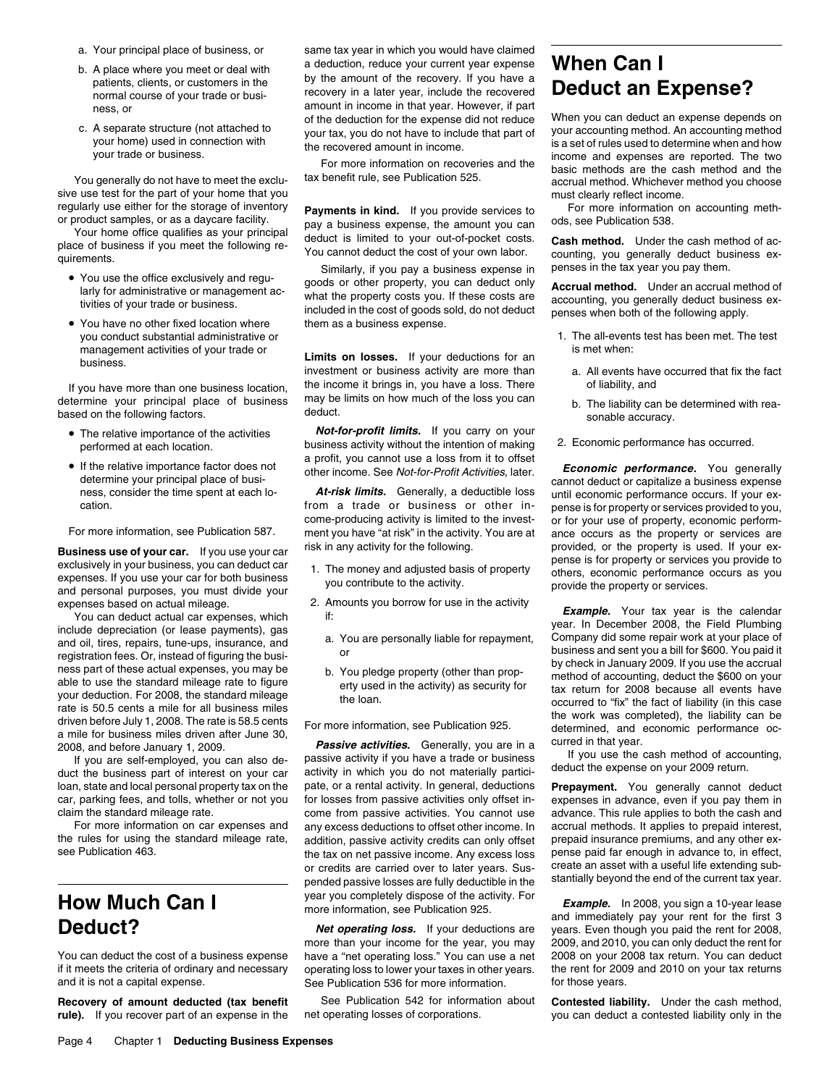- 
- 
- 

sive use test for the part of your home that you<br>requiarly use either for the storage of inventory **poyments in kind** If you provide services to For more information o

- You use the office exclusively and regu-
- You have no other fixed location where  $\qquad \qquad$  them as a business expense.

based on the following factors. The state of deduct. The sonable accuracy. Sonable accuracy.

- 
- 

Example these actual expenses, you may be<br>
registration fees. Or, instead of figuring the busi-<br>
respectively a security of these actual expenses, you may be<br>
able to use the standard mileage rate to figure<br>
your deduction

a. Your principal place of business, or same tax year in which you would have claimed b. A place where you meet or deal with a deduction, reduce your current year expense **When Can I** by the amount of the recovery. If you have a<br>patients, clients, or customers in the by the amount of the recovery. If you have a<br>pormal course of your trade or busipatients, clients, or customers in the *recovery in a later year, include the recovered* **Deduct an Expense?** ness, or example and the state of the state of the amount in income in that year. However, if part

regularly use either for the storage of inventory<br>or product samples, or as a daycare facility.<br>Your home office qualifies as your principal<br>place of business if you meet the following re-<br>quirements.<br>quirements.<br>deduct is

Similarly, if you pay a business expense in penses in the tax year you pay them. • You use the office exclusively and regu-<br>larly for administrative or management ac-<br>tivities of your trade or business.<br>included in the cost of goods sold, do not deduct<br>included in the cost of goods sold, do not deduct<br>

management activities of your trade or **Limits on losses.** If your deductions for an is met when:<br>
investment or business activity are more than a. All events have occurred that fix the fact investment or business activity are more than If you have more than one business location, the income it brings in, you have a loss. There of liability, and<br>determine your principal place of business may be limits on how much of the loss you can<br>headed the following f

• The relative importance of the activities *Not-for-profit limits.* If you carry on your business activity without the intention of making 2. Economic performance has occurred. performed at each location. a profit, you cannot use a loss from it to offset<br>• If the relative importance factor does not<br>• other income. See Not-for-Profit Activities, later.

- 
- -
	-

2008, and before January 1, 2009.<br>If you are self-employed, you can also de-<br>If you are self-employed, you can also de-<br>duct the business part of interest on your car activity in which you do not materially partici-<br>duct t loan, state and local personal property tax on the pate, or a rental activity. In general, deductions **Prepayment.** You generally cannot deduct car, parking fees, and tolls, whether or not you for losses from passive activ for losses from passive activities only offset in-<br>expenses in advance, even if you pay them in claim the standard mileage rate. come from passive activities. You cannot use advance. This rule applies to both the cash and For more information on car expenses and any excess deductions to offset other income. In accrual methods. It applies to prepaid interest, the rules for using the standard mileage rate, addition, passive activity credits c the rules for using the standard mileage rate, addition, passive activity credits can only offset prepaid insurance premiums, and any other ex-<br>See Publication 463. the tax on net passive income. Any excess loss pense paid far enough in advance to, in effect, the tax on net<br>or credits are carried over to later vears. Sus- create an asset with a useful life extending subor credits are carried over to later years. Sus- create an asset with a useful life extending sub-<br>pended passive losses are fully deductible in the stantially beyond the end of the current tax year. pended passive losses are fully deductible in the

more than your income for the year, you may 2009, and 2010, you can only deduct the rent for You can deduct the cost of a business expense have a "net operating loss." You can use a net 2008 on your 2008 tax return. You can deduct if it meets the criteria of ordinary and necessary operating loss to lower your taxes in other years. the rent for 2009 and 2010 on your tax returns and it is not a capital expense. See Publication 536 for more information See Publication 536 for more information. The for those years.

**Recovery of amount deducted (tax benefit See Publication 542 for information about Contested liability.** Under the cash method, **rule**). If you recover part of an expense in the net operating losses of corporations. Y

of the deduction for the expense did not reduce When you can deduct an expense depends on c. A separate structure (not attached to your tax, you do not have to include that part of your accounting method. An accounting method<br>your home) used in connection with the reserves emerging in income your home) used in connection with the recovered amount in income.<br>
your trade or business. The two<br>
your trade or business. The two For more information on recoveries and the basic methods are the cash method and the tax benefit rule, see Publication 525. You generally do not have to meet the exclu- tax benefit rule, see Publication 525. accrual method. Whichever method you choose

- you conduct substantial administrative or 1. The all-events test has been met. The test
	-
	-
	-

If the relative importance factor does not *income.* See Not-for-Profit Activities, later. **Economic performance.** You generally determine your principal place of busi-<br>ness, consider the time spent at each lo-<br>**At-risk li** ness, consider the time spent at each lo-**At-risk limits.** Generally, a deductible loss until economic performance occurs. If your ex-<br>cation. passes in the services provided to you. from a trade or business or other in- pense is for property or services provided to you,<br>come-producing activity is limited to the invest- or for your use of property, economic performor for your use of property, economic perform-For more information, see Publication 587. ment you have "at risk" in the activity. You are at ance occurs as the property or services are risk in any activity for the following. provided, or the property is used. If your **Business use of your car**. If you use your car risk in any activity for the following. provided, or the property is used. If your ex-<br>exclusively in your business, you can deduct car the money and adjusted basis of proper

expenses based on actual mileage. 2. Amounts you borrow for use in the activity<br>
You can deduct actual car expenses, which if:<br>
include depreciation (or losse payments), asset include depreciation (or lease payments), gas<br>a You are personally liable for repayment. Company did some repair work at your place of a. You are personally liable for repayment, Company did some repair work at your place of and and oil, tires, repairs, tune-ups, insurance, and or and oil, tires, repairs, tune-ups, insurance, and or provided it repairs, t

**How Much Can I** wear you completely dispose of the activity. For *Example.* In 2008, you sign a 10-year lease and immediately pay your rent for the first 3<br>Met operating loss. If your deductions are years. Even though you

rule). If you recover part of an expense in the net operating losses of corporations. you can deduct a contested liability only in the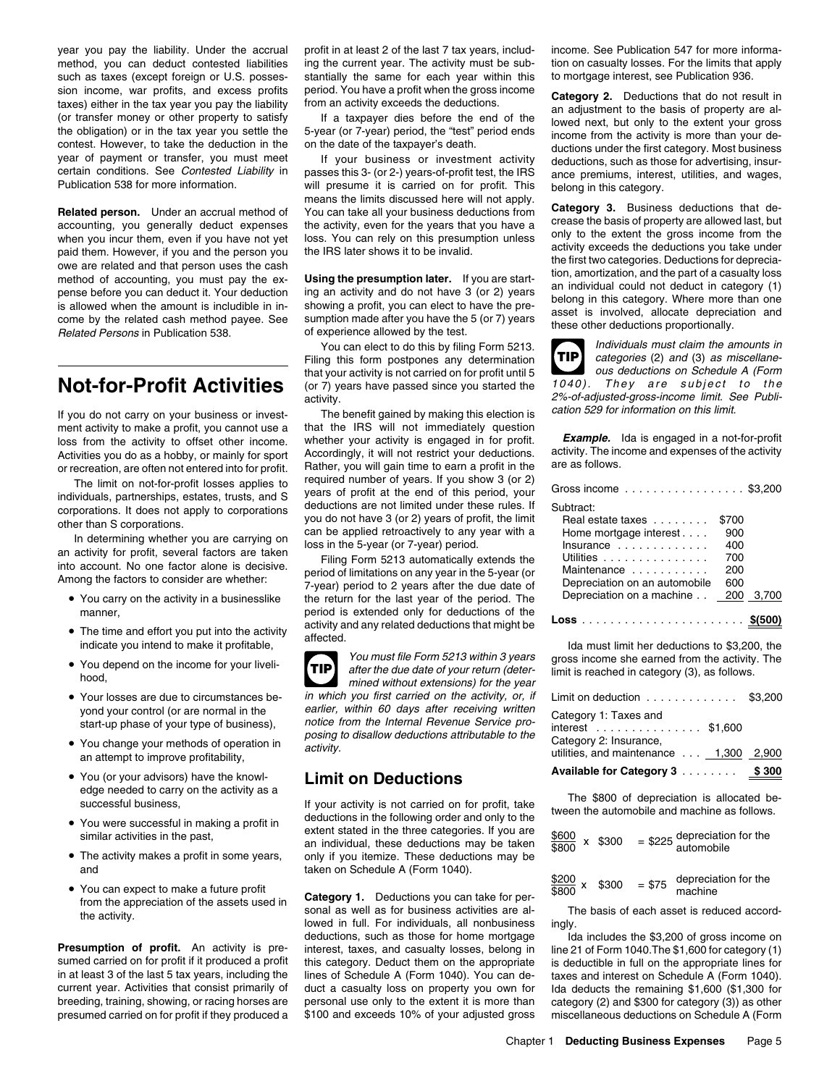method, you can deduct contested liabilities ing the current year. The activity must be sub-<br>such as taxes (except foreign or U.S. posses-<br>stantially the same for each year within this to mortgage interest, see Publication such as taxes (except foreign or U.S. posses-<br>stantially the same for each year within this sion income, war profits, and excess profits period. You have a profit when the gross income sion income, war profits, and excess profits period. You have a profit when the gross income<br>taxes) either in the tax year you pay the liability from an activity exceeds the deductions.<br>(or transfer money or other property

we are related and that person uses the cash<br>method of accounting, you must pay the ex-<br>pense before you can deduct it. Your deduction ing an activity and do not have 3 (or 2) years<br>is allowed when the amount is includible

ment activity to make a profit, you cannot use a loss from the activity to offset other income. whether your activity is engaged in for profit. **Example.** Ida is engaged in a not-for-profit loss from the activity to offset other income. Whether your activity is engaged i Activities you do as a hobby, or mainly for sport Accordingly, it will not restrict your deductions. activity. The incorrection and expenses of the activity. The income and expenses of the activity Activity and the sport o

- You carry on the activity in a businesslike
- 
- 
- 
- You change your methods of operation in  $\frac{\rho \nu \sin \rho}{\rho}$  and attempt to improve profitability,
- **Available for Category 3** ........ **\$ 300** You (or your advisors) have the knowl- **Limit on Deductions**
- 
- The activity makes a profit in some years,
- 

presumed carried on for profit if they produced a \$100 and exceeds 10% of your adjusted gross miscellaneous deductions on Schedule A (Form

year you pay the liability. Under the accrual profit in at least 2 of the last 7 tax years, includ- income. See Publication 547 for more informa-

means the limits discussed here will not apply.<br>accounting, you generally deduct expenses the activity, even for the years that you have a<br>when you incur them, even if you have not yet loss. You can rely on this presumptio

**Not-for-Profit Activities** (or 7) years have passed since you started the

If you do not carry on your business or invest-<br>ment activity to make a profit, you cannot use a<br>that the IRS will not immediately question or recreation, are often not entered into for profit. Rather, you will gain time to earn a profit in the The limit on not-for-profit losses applies to required number of years. If you show 3 (or 2)

and account. No one factor alone is decisive.<br>
period of limitations on any year in the 5-year (or<br>
Among the factors to consider are whether:<br>  $\frac{1}{2}$  used a strip the strip the student of 7-year) period to 2 years after the due date of the return for the last year of the period. The manner, period is extended only for deductions of the **Loss** ....................... **\$(500)** activity and any related deductions that might be •

• You depend on the income for your liveli- <br/>\n<b>TIP</b> <br/>\n<i>You must file Form 5213 within 3 years</i> <br/>\n<i>gross income she earned from the activity. The after the due date of your return (deter-<br/>\nlimit is reached in category (3) as follows You depend on the income for your livelihood, and the due date of your return (deter-<br>hood, mined without extensions) for the year **TIP** • Your losses are due to circumstances be- in which you first carried on the activity, or, if Limit on deduction ..............\$3,200 yond your control (or are normal in the earlier, within 60 days after receiving written<br>start-up phase of your type of business), notice from the Internal Revenue Service pro-<br>• You change your methods of operation in posi

edge needed to carry on the activity as a<br>successful business, successful in making a profit in deductions in the following order and only to the tween the automobile and machine as follows. • You were successful in making a profit in extent stated in the following order and only to the extent stated in the three categories. If you are similar activities in the past, an individual, these deductions may be tak only if you itemize. These deductions may be

• You can expect to make a future profit<br>from the appreciation of the assets used in<br>the activity.<br>Inte activity.<br>Inte activity.<br>Inte activity. deductions, such as those for home mortgage Ida includes the \$3,200 of gross income on **Presumption of profit.** An activity is pre-<br>stratest, taxes, and casualty losses, belong in line 21 of Form 1040.The \$1,600 for category (1)<br>sumed carried on for profit if it produced a profit this category. Deduct them o sumed carried on for profit if it produced a profit this category. Deduct them on the appropriate is deductible in full on the appropriate lines for in at least 3 of the last 5 tax years, including the lines of Schedule A in at least 3 of the last 5 tax years, including the lines of Schedule A (Form 1040). You can de-<br>current year. Activities that consist primarily of duct a casualty loss on property you own for Ida deducts the remaining \$1 duct a casualty loss on property you own for Ida deducts the remaining \$1,600 (\$1,300 for breeding, training, showing, or racing horses are personal use only to the extent it is more than category (2) and \$300 for category (3)) as other

You can elect to do this by filing Form 5213. Individuals must claim the amounts in<br>no this form postpones any determination  $\overline{TIP}$  categories (2) and (3) as miscellane-Filing this form postpones any determination **TIP** categories (2) and (3) as miscellane-<br>that your activity is not carried on for profit until 5 that your activity is not carried on for profit until 5 ous deductions on Schedule A (Form<br>(or 7) years have passed since you started the 1040). They are subject to the **TIP** 2%-of-adjusted-gross-income limit. See Publi-<br>cation 529 for information on this limit.

| The limit on not-for-profit losses applies to<br>individuals, partnerships, estates, trusts, and S                          | required number or years. If you show 3 (or 2)<br>years of profit at the end of this period, your                                                                                                    | Gross income $\ldots \ldots \ldots \ldots \ldots$ \$3,200                                    |                     |
|-----------------------------------------------------------------------------------------------------------------------------|------------------------------------------------------------------------------------------------------------------------------------------------------------------------------------------------------|----------------------------------------------------------------------------------------------|---------------------|
| corporations. It does not apply to corporations<br>other than S corporations.<br>In determining whether you are carrying on | deductions are not limited under these rules. If<br>you do not have 3 (or 2) years of profit, the limit<br>can be applied retroactively to any year with a<br>loss in the 5-year (or 7-year) period. | Subtract:<br>Real estate taxes<br>Home mortgage interest<br>$Insurance \ldots \ldots \ldots$ | \$700<br>900<br>400 |
| an activity for profit, several factors are taken                                                                           | Filing Form 5213 automatically extends the                                                                                                                                                           | Utilities                                                                                    | 700                 |
| into account. No one factor alone is decisive.                                                                              | period of limitations on any year in the 5-year (or                                                                                                                                                  | Maintenance                                                                                  | 200                 |
| Among the factors to consider are whether:                                                                                  | 7-year) period to 2 years after the due date of                                                                                                                                                      | Depreciation on an automobile                                                                | 600                 |
| • You carry on the activity in a businesslike                                                                               | the return for the last year of the period. The                                                                                                                                                      | Depreciation on a machine 200 3,700                                                          | ATFAN               |
| manner,                                                                                                                     | period is extended only for deductions of the                                                                                                                                                        | $\mathbf{1}$ $\mathbf{2}$                                                                    |                     |

indicate you intend to make it profitable, indicate with the activity affected. In the activity affected in the activity affected in the deductions to \$3,200, the

| Available for Category 3 \$300                                   |  |
|------------------------------------------------------------------|--|
| Category 2: Insurance,<br>utilities, and maintenance 1,300 2,900 |  |
| Category 1: Taxes and<br>interest \$1,600                        |  |
| Limit on deduction $\ldots \ldots \ldots \ldots$ \$3,200         |  |

| similar activities in the past,<br>• The activity makes a profit in some years,                                                      | extent stated in the three categories. If you are<br>an individual, these deductions may be taken<br>only if you itemize. These deductions may be | $\frac{$600}{$800}$ x \$300 |       |         | $=$ \$225 depreciation for the automobile |
|--------------------------------------------------------------------------------------------------------------------------------------|---------------------------------------------------------------------------------------------------------------------------------------------------|-----------------------------|-------|---------|-------------------------------------------|
| and                                                                                                                                  | taken on Schedule A (Form 1040).                                                                                                                  |                             |       |         | depreciation for the                      |
| • You can expect to make a future profit<br>stational also a compared with a contract and a contract of the stational station of the | Deductions you can take for per-<br>Category 1.                                                                                                   | $\frac{$200}{$800}$ x       | \$300 | $= $75$ | machine                                   |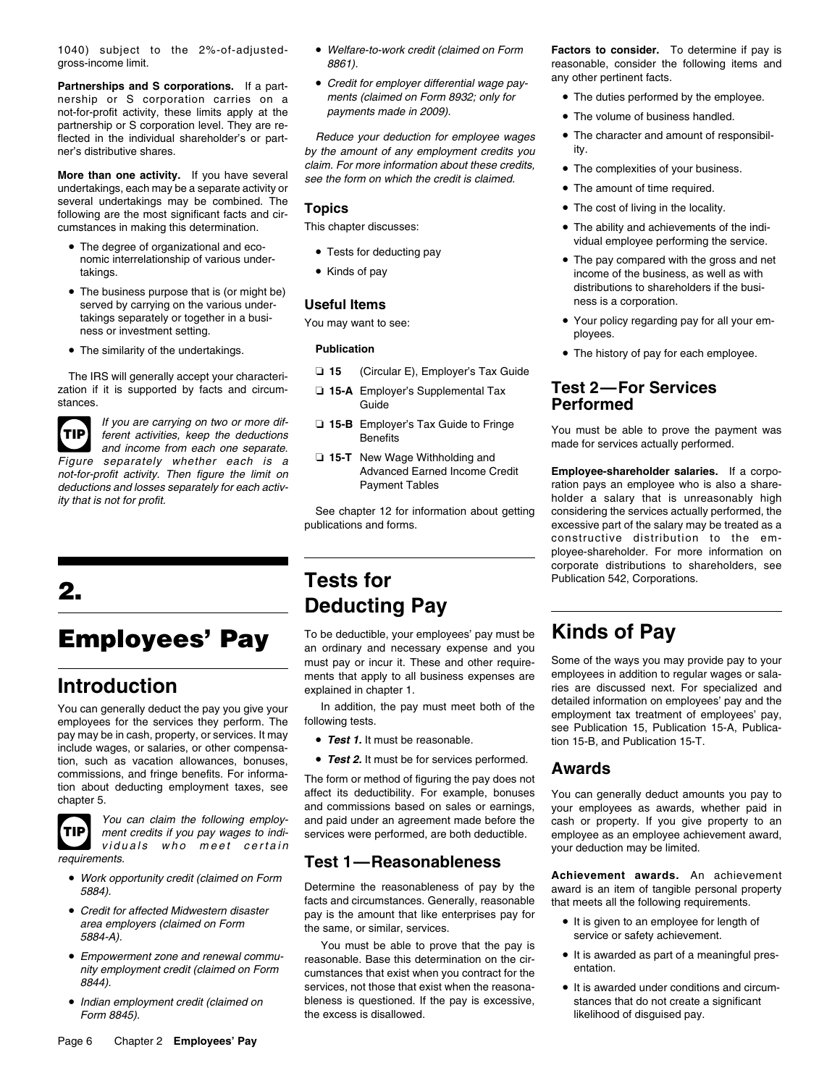nership or S corporation carries on a ments (claimed on Form 8<br>not-for-profit activity, these limits apply at the payments made in 2009). not-for-profit activity, these limits apply at the partnership or S corporation level. They are reflected in the individual shareholder's or part-<br>
Reduce your deduction for employee wages<br>
https://www.itty.com/https://www.itty.com/https://www.itty.com/https://www.itty.com/https://www.itty.com/https://www.itty.com/http

The complexities of your business. **More than one activity.** If you have several see the form on which the credit is claimed.<br>undertakings, each may be a separate activity or undertakings, each may be a separate activity or several undertakings may be combined. The several undertakings may be combined. The **Topics**<br>
following are the most significant facts and cir-<br>
This chapter discusses:<br> **Example 19** The ability and achievements of<br> **Example 19 The ability and achievements of**<br> **P** cumstances in making this determination. This chapter discusses: **• The ability and achievements of the indi-**

- The degree of organizational and eco-<br>nomic interrelationship of various under-
- served by carrying on the various under- **Useful Items** takings separately or together in a busi-<br>
You may want to see:<br>
Your policy regarding pay for all your emness or investment setting. **ployees** and the contract of the ployees. **ployees**.
- The similarity of the undertakings. **Publication** •

zation if it is supported by facts and circum- ❏ **15-A** Employer's Supplemental Tax **Test 2—For Services**

deductions and losses separately for each activ-



If you are carrying on two or more dif-<br>ferent activities, keep the deductions<br>and income from each one separate.<br>separately whether each is a  $\Box$  15-T New Wage Withholding and<br>separately whether each is a  $\Box$  15-T New

## **Employees' Pay** To be deductible, your employees' pay must be **Kinds of Pay**

pay may be in cash, property, or services. It may<br>include wages, or salaries, or other compensa-<br>tion. such as vacation allowances. bonuses.<br>**Test 2.** It must be for services performed. tion, such as vacation allowances, bonuses, commissions, and fringe benefits. For informa-<br>The form or method of figuring the pay does not



viduals who meet certain<br> **Viduals** who meet certain<br> **Test 1**—**Reasonableness** your deduction may be limited.

- 
- Credit for affected Midwestern disaster pay is the amount that like enterprises pay for <br>area employers (claimed on Form the same, or similar, services.<br>5884-A). service or safety achievement.
- Empowerment zone and renewal commu-
- 
- 
- **Partnerships and S corporations.** If a part-<br>nership or S corporation carries on a ments (claimed on Form 8932; only for **.** The duties performed by the employee.

ner's distributive shares. by the amount of any employment credits you its analyze the amount of any employment credits you claim. For more information about these credits,  $\bullet$  The complexities of your business.

- 
- 

- ❏ **<sup>15</sup>** (Circular E), Employer's Tax Guide The IRS will generally accept your characteri-
	- Guide **Performed**
	-
- Figure separately whether each is a  $\Box$  15-T New Wage Withholding and<br>
not-for-profit activity. Then figure the limit on Advanced Earned Income Credit **Employee-shareholder salaries.** If a corpo-<br>
deductions and losses

## **Publication 542, Corporations.**<br> **Deducting Pay CONSCRIP 1998**

an ordinary and necessary expense and you must pay or incur it. These and other require-<br>ments that apply to all business expenses are employees in addition to reqular wages or salaments that apply to all business expenses are

- 
- 

tion about deducting employment taxes, see<br>chapter 5.<br>You can claim the following employ-<br>and paid under an agreement made before the cash or property. If you aive property to an

### **Test 1—Reasonableness**

5884). Determine the reasonableness of pay by the award is an item of tangible personal property<br>facts and circumstances. Generally, reasonable that meets all the following requirements. facts and circumstances. Generally, reasonable<br>Credit for affected Midwestern disaster bay is the amount that like enterprises pay for

You must be able to prove that the pay is reasonable. Base this determination on the cir-<br>
e It is awarded as part of a meaningful pres-<br>
entation nity employment credit (claimed on Form cumstances that exist when you contract for the entation.<br>8844). services, not those that exist when the reasona- • It is awarded under conditions and circum-• Indian employment credit (claimed on bleness is questioned. If the pay is excessive, stances that do not create a significant Form 8845). The excess is disallowed. The excess is disallowed. The likelihood of disguised pay.

1040) subject to the 2%-of-adjusted- • Welfare-to-work credit (claimed on Form **Factors to consider.** To determine if pay is gross-income limit. **8861**). reasonable, consider the following items and<br>any other pertinent facts.

- 
- The volume of business handled.
- 
- 
- 
- 
- Tests for deducting pay **vidual employee performing the service.** Tests for deducting pay
- Tests for deducting pay non- **•** The pay compared with the gross and net<br>- Kinds of pay **interval** interval interval interval interval interval interval interval interval interval interval interval interval interval inte takings. **• Solution Community Community Community • Kinds of pay income of the business**, as well as with • The business purpose that is (or might be) distributions to shareholders if the busi-<br>control by exprime on the various under **Useful Items** expresses a corporation.
	-
	- The history of pay for each employee.

ity that is not for profit.<br>See chapter 12 for information about getting considering the services actually performed, the considering the services actually performed, the publications and forms. excessive part of the salary may be treated as a constructive distribution to the employee-shareholder. For more information on corporate distributions to shareholders, see

**Introduction**<br>
explained in chapter 1. The second in chapter is are discussed next. For specialized and<br>
leading the second metal and the second in chapter is the detailed information on employees' pay and the You can generally deduct the pay you give your lined addition, the pay must meet both of the detailed information on employees' pay and the employees or the services they perform. The following tests.<br>
pay may be in cash,

You can claim the following employ- and paid under an agreement made before the cash or property. If you give property to an ment credits if you pay wages to indi- services were performed, are both deductible. employee as services were performed, are both deductible. employee as an employee achievement award,

• Work opportunity credit (claimed on Form **Achievement awards.** An achievement

- 
- 
-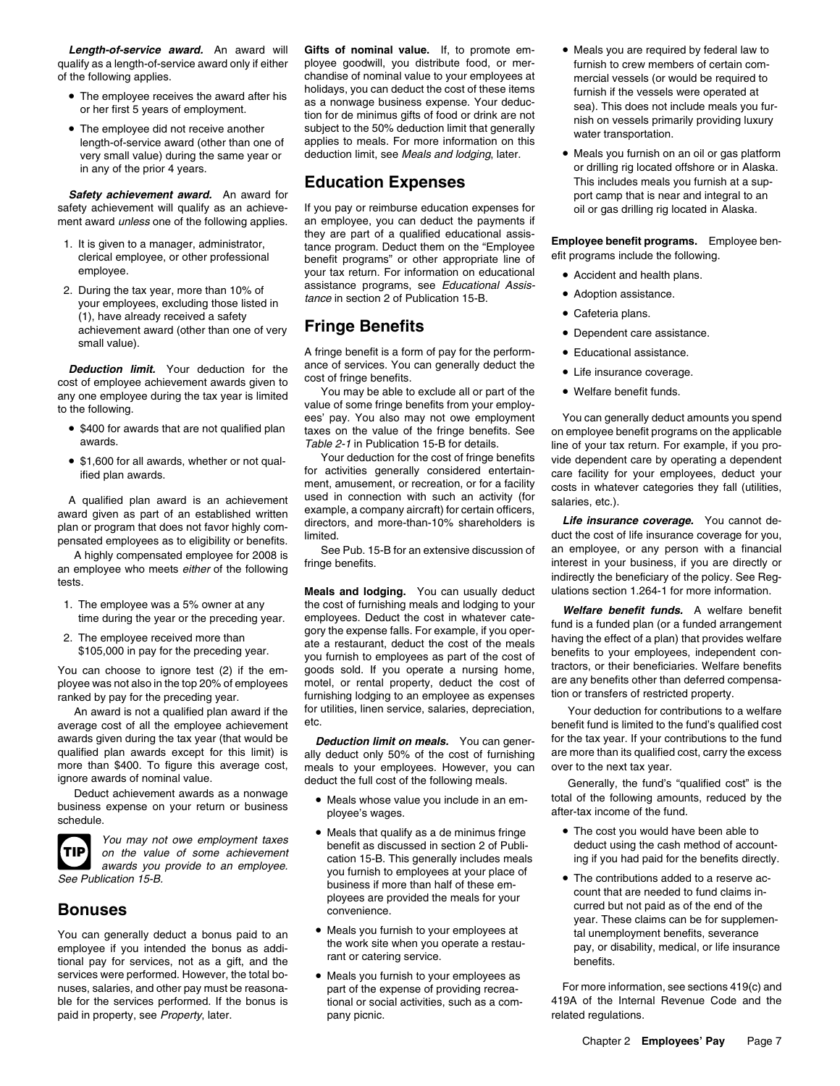qualify as a length-of-service award only if either ployee goodwill, you distribute food, or mer- furnish to crew members of certain comof the following applies. chandise of nominal value to your employees at mercial vessels (or would be required to

- 
- The employee did not receive another very small value) during the same year or deduction limit, see Meals and lodging, later.

**Safety achievement award.** An award for safety achievement will qualify as an achieve- If you pay or reimburse education expenses for oil or gas drilling rig located in Alaska.<br>ment award unless one of the following applies. an employee, you can deduct the payme

- 
- your employees, excluding those listed in (1), have already received a safety<br>achievement award (other than one of very **Fringe Benefits** achievement award (other than one of very **Fringe Benefits** • Dependent care assistance.

**Deduction limit.** Your deduction for the action of the cost of employee achievement awards given to cost of fringe benefits.<br>
any one employee during the tax year is limited value of some fringe benefits from your employ-

- \$400 for awards that are not qualified plan
- \$1,600 for all awards, whether or not qual-

- 
- 

more than \$400. To figure this average cost, meals to your employees. However, you can ignore awards of nominal value.

business expense on your return or business expense on your return or business ployee's wages. after-tax income of the fund. schedule.



services were performed. However, the total bo- • Meals you furnish to your employees as nuses, salaries, and other pay must be reasona- part of the expense of providing recrea- For more information, see sections 419(c) and ble for the services performed. If the bonus is tional or social activities, such as a com- 419A of the Internal Revenue Code and the paid in property, see Property, later. example any picnic. The related regulations.

*Length-of-service award.* An award will **Gifts of nominal value.** If, to promote em- • Meals you are required by federal law to • The employee receives the award after his bolidays, you can deduct the cost of these items furnish if the vessels were operated at The employee receives the award after his<br>or her first 5 years of employment.<br>The employee did not receive another subject to the 50% deduction limit that generally words transportation The employee did not receive another subject to the 50% deduction limit that generally water transportation.<br>In equipment of-service award (other than one of applies to meals. For more information on this very small value)

an employee, you can deduct the payments if they are part of a qualified educational assis-1. It is given to a manager, administrator, **EMPLO THE STAT CONG THE STAT CONG THE STAT CONG THE STAT CONG THE**<br>Clerical employee, or other professional benefit programs," or other appropriate line of efit programs include clerical employee, or other professional effect programs" or other appropriate line of<br>employee. benefit programs in a vour the following. benefit programs" or other appropriate line of your tax return. For information on educational • Accident and health plans.<br>assistance programs, see Educational Assis-2. During the tax year, more than 10% of assistance programs, see Educational Assis-<br>2. Nour employees excluding these listed in tance in section 2 of Publication 15-B.

small value).<br>A fringe benefit is a form of pay for the perform- • Educational assistance. **Deduction limit.** Your deduction for the ance of services. You can generally deduct the • Life insurance coverage.

ees' pay. You also may not owe employment You can generally deduct amounts you spend \$400 for awards that are not qualified plan taxes on the value of the fringe benefits. See on employee benefit programs on the applicable<br>awards. Table 2-1 in Publication 15-B for datails solid pay the rature. For example,

Your deduction for the cost of fringe benefits vide dependent care by operating a dependent for activities generally considered entertain-<br>for activities generally considered entertain-<br>care facility for your employees, de ified plan awards. for activities generally considered entertain-<br>ment, amusement, or recreation, or for a facility costs in whatever categories they fall (utilities

**Meals and lodging.** You can usually deduct ulations section 1.264-1 for more information. The employee was a 5% owner at any<br>
the cost of furnishing meals and lodging to your<br>
time during the year or the preceding year.<br>
2. The employee received more than<br>
\$105,000 in pay for the preceding year.<br>
You can choose Ployee was not also in the top 20% of employees motel, or rental property, deduct the cost of are any benefits other than deferred compensa-<br>ranked by pay for the preceding year. furnishing lodging to an employee as expens An award is not a qualified plan award if the for utilities, linen service, salaries, depreciation, Your deduction for contributions to a welfare<br>An award is limited to the fund's qualified cost

qualified plan awards except for this limit) is ally deduct only 50% of the cost of furnishing are more than its qualified<br>more than \$400. To figure this average cost, meals to your employees. However, you can over to the

- 
- Meals that qualify as a de minimus fringe You may not owe employment taxes<br>on the value of some achievement<br>awards you provide to an employee. This generally includes meals<br>awards you provide to an employee.  $\frac{1}{2}$  are furnish to employee the contraction of the Gee Publication 15-B.<br>
See Publication 15-B.<br>
BONUSES are provided the meals for your<br>
ployees are provided the meals for your<br>
convenience.
	- Meals you furnish to your employees at
	-
- 
- in any of the prior 4 years.<br> **Education Expenses** This includes meals you furnish at a sup-<br> **Education Expenses** This includes meals you furnish at a sup-**Education Expenses** This includes meals you furnish at a sup-<br>port camp that is near and integral to an

- 
- 
- Cafeteria plans.
- 
- 
- 
- 

Table 2-1 in Publication 15-B for details. line of your tax return. For example, if you pro-<br>Your deduction for the cost of fringe benefits vide dependent care by operating a dependent

ment, anusement, or recreation, or for a facility<br>award given as part of an established written<br>plan or program that does not favor highly com-<br>plan or program that does not favor highly com-<br>pensated employees as to eligi

average cost of all the employee achievement etc. being the state of the fund is limited to the fund's qualified cost awards given during the tax year (that would be *Deduction limit on meals.* You can gener-<br>qualified plan awards except for this limit) is ally deduct only 50% of the cost of furnishing are more than its qualified cost,

ore awards of nominal value.<br>
Deduct achievement awards as a nonwage velocit the full cost of the following meals.<br>
Deduct achievement awards as a nonwage velocit be als whose value you include in an em-<br>
Deduct achievemen

- 
- year. These claims can be for supplemen- You can generally deduct a bonus paid to an <br>employee if you intended the bonus as addi-<br>tional pay for services, not as a gift, and the the work site when you operate a restau-<br>tional pay for services, not as a gift, and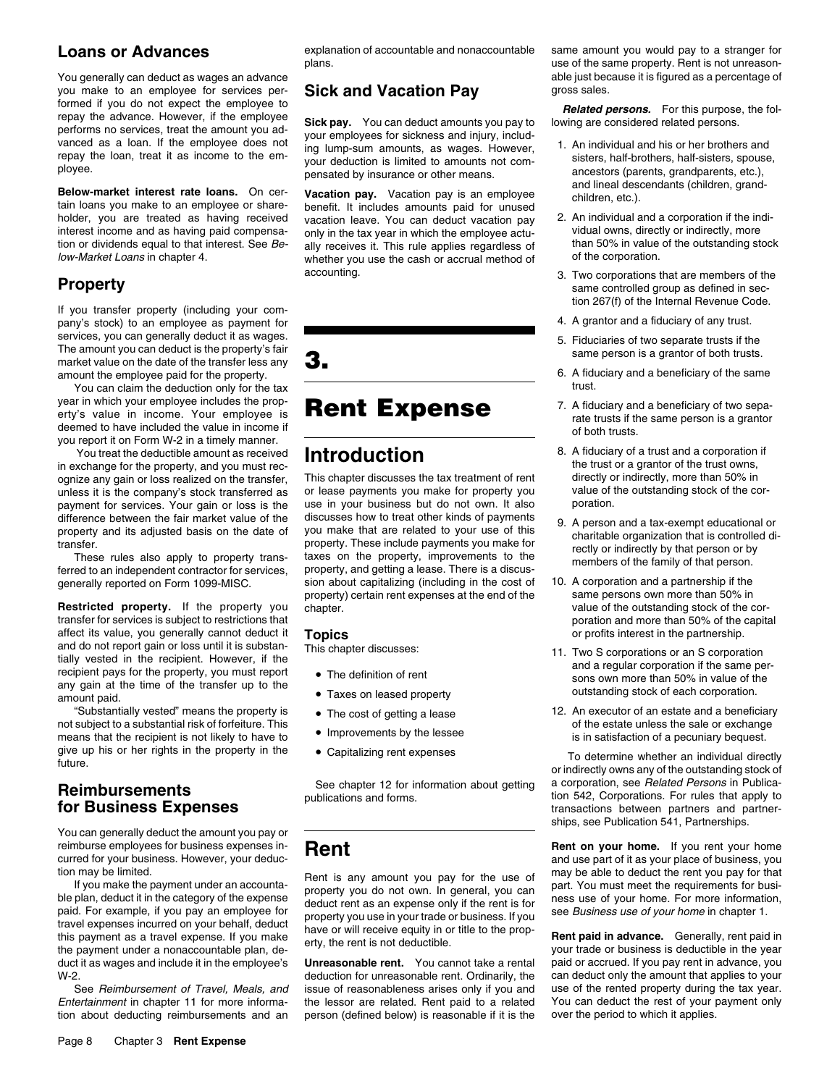You generally can deduct as wages an advance<br>
you make to an employee for services per-<br>
Sick and Vacation Pay<br>
you make to an employee for services per-<br>
Sick and Vacation Pay<br>
you make to an employee for services per-<br>
S you make to an employee for services per-<br>formed if you do not expect the employee to<br>**Belated** Formed if you do not expect the employee to<br>
performs no services, treat the amount you advanced as a loan. If the employee does not<br>
vanced as a loan. If the employee does not<br>
performs in the employee does not<br>
repay the

Below-market interest rate loans. On cer-<br>tain loans you make to an employee or share-<br>henefit. It includes amounts paid for unused<br>holder, you are treated as having received vacation leave. You can deduct vacation pay 2.

tion 267(f) of the Internal Revenue Code. If you transfer property (including your company's stock) to an employee as payment for Services, you can generally deduct it as wages.<br>
The amount you can deduct is the property's fair<br>
market value on the date of the transfer less any<br>
amount the employee paid for the property.<br>  $\bullet$  A fiduciary and a benef amount the employee paid for the property.<br>
You can claim the deduction only for the tax  $\overline{a}$ 

You can claim the deduction only for the tax year in which your employee includes the property's value in income. Your employee is **Rent Expense** of the same person is a grantor deemed to have included the value in income if  $\blacksquare$ you report it on Form W-2 in a timely manner.

You treat the deductible amount as received<br>in exchange for the property, and you must rec-<br>ogize any gain or loss realized on the transfer. This chapter discusses the tax treatment of rent<br>ogize any gain or loss realized payment for services. Your gain or loss is the use in your business but do not own. It also difference between the fair market value of the discusses how to treat other kinds of payments

transfer for services is subject to restrictions that **poration** and more than 50% of the capital affect its value, you generally cannot deduct it **Topics** or profits interest in the partnership.<br>and do not report gain or loss until it is substan-<br>This chapter discusses:<br> $\frac{11 - \text{True}}{11 - \text{True}}$ and do not report gain or loss until it is substantially vested in the recipient. However, if the and the recipient of the substantially vested in the recipient. However, if the **and a report to the control of the substant** any gain at the time of the transfer up to the any sons own more than 50% in value of the any gain at the time of the transfer up to the any  $\overline{S}$  Taxes on leased property any game as the amount paid.<br>amount paid. Taxes on leased property outstanding stock of each corporation.

"Substantially vested" means the property is • The cost of getting a lease not subject to a substantial risk of forfeiture. This  $\overline{\phantom{a}}$   $\overline{\phantom{a}}$  lmprovements by the lessee means that the recipient is not likely to have to **•** Improvements by the lessee is in satisfaction of a pecuniary bequest. give up his or her rights in the property in the  $\bullet$  Capitalizing rent expenses

You can generally deduct the amount you pay or reimburse employees for business expenses in-<br>
curred for your business. However, your deduc-<br> **Rent** on your home. If you rent your home curred for your business, you

Entertainment in chapter 11 for more informa-<br>the lessor are related. Rent paid to a related You can be rest of your payment only the use of your payment only

**Loans or Advances** explanation of accountable and nonaccountable same amount you would pay to a stranger for plans. use of the same property. Rent is not unreason-

holder, you are treated as having received vacation leave. You can deduct vacation pay 2. An individual and a corporation if the indi-<br>interest income and as having paid compensa-<br>only in the tax year in which the employee interest income and as having paid compensa-<br>tion or dividends equal to that interest. See Be- ally receives it. This rule applies regardless of the 50% in value of the outstanding stock tion or dividends equal to that interest. See Be-<br>low-Market Loans in chapter 4. This rule applies regardless of the corporation. whether you use the cash or accrual method of

ognize any gain or loss realized on the transfer, This chapter discusses the tax treatment of rent directly or indirectly, more than 50% in<br>unless it is the company's stock transferred as or lease payments you make for pro unless it is the company's stock transferred as or lease payments you make for property you value of the outstanding stock transferred as or the assement for services. Your gain or loss is the use in your business but do n difference between the fair market value of the discusses how to treat other kinds of payments<br>property and its adjusted basis on the date of you make that are related to your use of this<br>transfer.<br>These rules also apply t generally reported on Form 1099-MISC. sion about capitalizing (including in the cost of 10. A corporation and a partnership if the<br>property) certain rent expenses at the end of the same persons own more than 50% in property) certain rent expenses at the end of the **Restricted property.** If the property you chapter. value of the outstanding stock of the cor-

- 
- 
- 
- 
- 

tion may be limited.<br>
If you make the payment under an accounta-<br>
ble plan, deduct it in the category of the expense<br>
ble plan, deduct it in the category of the expense<br>
paid. For example, if you pay an employee for<br>
trave

duct it as wages and include it in the employee's **Unreasonable rent.** You cannot take a rental paid or accrued. If you pay rent in advance, you W-2. deduction for unreasonable rent. Ordinarily, the can deduct only the amount that applies to your See Reimbursement of Travel, Meals, and issue of reasonableness arises only if you and use of the rented property during the tax year. tion about deducting reimbursements and an person (defined below) is reasonable if it is the over the period to which it applies.

- 
- 
- accounting. **3.** Two corporations that are members of the **Property**<br>accounting. **3.** Two corporations that are members of the same controlled group as defined in sec-<br>tion 267(f) of the Internal Revenue Code.
	-
	-
	-
	-
	-
	-
	-
	-
	- 12. An executor of an estate and a beneficiary<br>of the estate unless the sale or exchange

Give up ins or her ngins in the property in the expensional capitalizing rent expenses<br>future. or indirectly owns any of the outstanding stock of See chapter 12 for information about getting a corporation, see *Related Persons* in Publica-**For Business Expenses**<br> **For Business Expenses**<br> **For Business Expenses**<br>
publications and forms.<br> **For Business Expenses** transactions between partners and partnerships, see Publication 541, Partnerships.

and use part of it as your place of business, you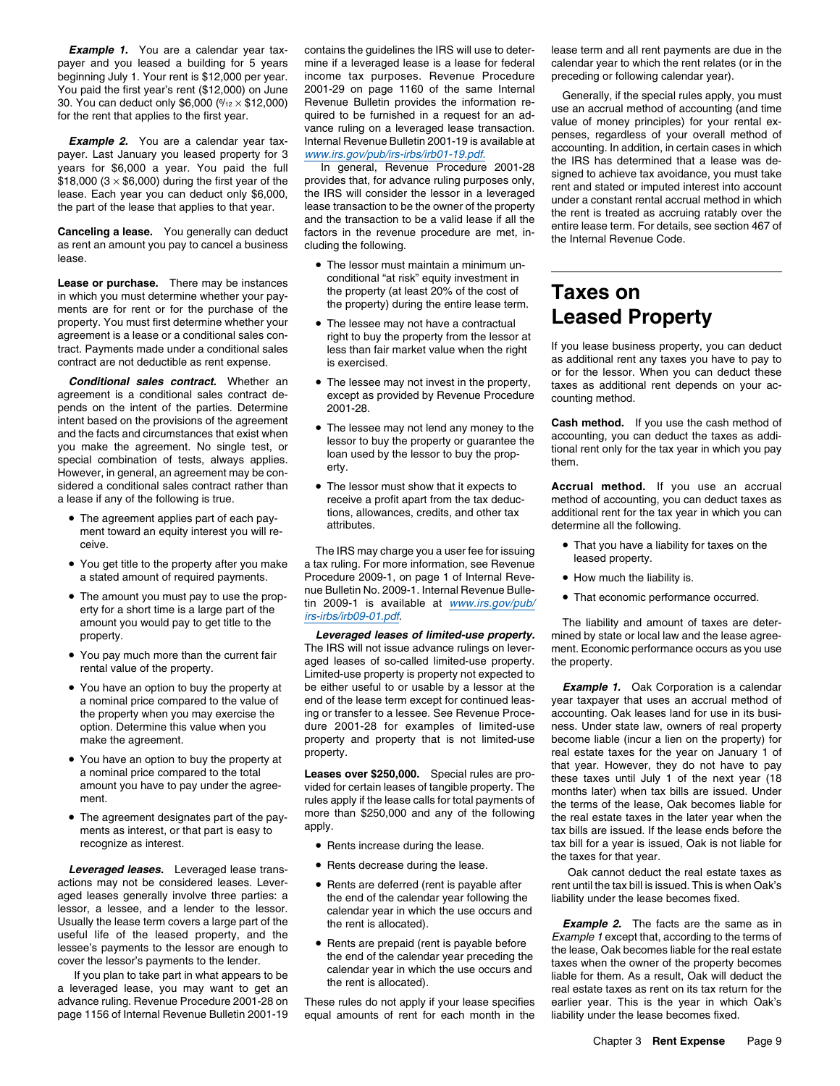payer and you leased a building for 5 years mine if a leveraged lease is a lease for federal calendar year to which the rent relates (or in the beginning July 1. Your rent is \$12,000 per year. income tax purposes. Revenue Procedure preceding or following calendar year). You paid the first year's rent (\$12,000) on June 2001-29 on page 1160 of the same Internal Generally, if the special rules apply, you must 30. You can deduct only \$6,000 ( $\frac{9}{12} \times $12,000$ ) Revenue Bulletin provides the

lease.

in which you must determine whether your pay-<br>in which you must determine whether your pay-<br>ments are for sont or for the purchase of the superty during the entire lease term. ments are for rent or for the purchase of the property. You must first determine whether your • The lessee may not have a contractual **Leased Property** agreement is a lease or a conditional sales con-<br>tract. Payments made under a conditional sales and the strant fair market value when the right lease business property, you can deduct<br>contract are not deductible as rent ex

**Conditional sales contract.** Whether an • The lessee may not invest in the property, **Conditional sales contract.** Whether an • The lessee may not invest in the property, taxes as additional rent depends on your acagreement is a conditional sales contract de-<br>pends on the intent of the parties. Determine 2 intent based on the provisions of the agreement **CASH method.** If you use the cash method of **Cash method.** If you use the cash method of **and the facts** and circumstances that exist when **CASH in the cash method** of **cont** and the facts and circumstances that exist when<br>you make the agreement. No single test, or lessor to buy the property or guarantee the<br>special combination of tests, always applies.<br>However, in general, an agreement may be sidered a conditional sales contract rather than • The lessor must show that it expects to **Accrual method.** If you use an accrual a lease if any of the following is true. receive a profit apart from the tax deduc- method of accounting, you can deduct taxes as

- ment toward an equity interest you will re-
- 
- The amount you must pay to use the propertion of the bullet in 2009-1 is available at *www.irs.gov/pub/*<br>erty for a short time is a large part of the amount you would pay to get title to the *irs-irbs/irb09-01.pdf*.<br>proper
- 
- You have an option to buy the property at
- 
- 

Leveraged leases. Leveraged lease trans-<br>actions may not be considered leases. Leveraged leases generally involve three parties: a the end of the calendar year following the liability under the lease becomes fixed.<br>Iessor, a lessee, and a lender to the lessor. Calendar year in which the use occurs and Usually the lease term covers a large part of the the rent is allocated). **Example 2.** The facts are the same as in

advance ruling. Revenue Procedure 2001-28 on These rules do not apply if your lease specifies earlier year. This is the year in which Oak's

**Example 1.** You are a calendar year tax- contains the guidelines the IRS will use to deter- lease term and all rent payments are due in the

- The lessor must maintain a minimum un-**Lease or purchase.** There may be instances conditional "at risk" equity investment in in which you must determine whether your nay. The property (at least 20% of the cost of
	-
	-
	-
	-

ceive. • That you have a liability for taxes on the<br>• You get title to the property after you make a tax ruling. For more information see Beyenue leased property. • You get title to the property after you make a tax ruling. For more information, see Revenue a stated amount of required payments. Procedure 2009-1, on page 1 of Internal Reve- • How much the liability is. • The amount you must pay to use the prop-<br>
arty fax a short time is a large next of the tin 2009-1 is available at www.irs.gov/pub/

property.<br>Intereface of limited-use property. mined by state or local law and the lease agree-<br>Youther Deasy of The IRS will not issue advance rulings on lever- ment. Economic performance occurs as you use • You pay much more than the current fair The IRS will not issue advance rulings on lever- ment. Economic performance occurs as you use • aged leases of so-called limited-use property. • the property. You pay much more than the current fair aged leases of so-called limited-use property.<br>
Limited-use property is property not expected to be either useful to or usable by a lessor at the **Example 1.** Oak Corporation is a calendar

- 
- 
- calendar year in which the use occurs and
- 

page 1156 of Internal Revenue Bulletin 2001-19 equal amounts of rent for each month in the liability under the lease becomes fixed.

30. You can deduct only \$6,000 ( $\frac{9}{12} \times \frac{512,000}{11}$  exerce Eulier provides the information re-<br>for the rent that applies to the first year. The rent of the first year. The parallel of the counting (and time<br>vance r

contract are not deductible as rent expense. as a same is exercised.<br>The is exercised or for the lessor. When you can deduct these

• The agreement applies part of each pay-<br>attributes. The agreement applies part of each pay-<br>attributes. And other tax betermine all the following.

- 
- 
- 

a nominal price compared to the value of end of the lease term except for continued leas- year taxpayer that uses an accrual method of the property when you may exercise the ing or transfer to a lessee. See Revenue Proce- accounting. Oak leases land for use in its busioption. Determine this value when you dure 2001-28 for examples of limited-use ness. Under state law, owners of real property make the agreement. **property and property that is not limited-use** become liable (incur a lien on the property) for • You have an option to buy the property at property.<br>
a particularies compared to the tatel the tatel the statel the tatel the tatel the tatel the tatel the tatel t • You have an option to buy the property at<br>
a nominal price compared to the total<br>
anominal price compared to the total<br>
anominal price compared to the total<br>
anominal price compared to the total<br>
anominal price compared • The agreement designates part of the pay-<br>more than \$250,000 and any of the following<br>the real estate taxes in the later year when the<br>tax bills are issued. If the lease ends before the<br>tax bills are issued. If the lease recognize as interest. • Rents increase during the lease. tax bill for a year is issued, Oak is not liable for<br>the taxes for that year.

• Rents decrease during the lease.<br>Oak cannot deduct the real estate taxes as • Rents are deferred (rent is payable after rent until the tax bill is issued. This is when Oak's

useful life of the leased property, and the **Example 1 except that, according to the terms of the sexe**'s payments to the lessor are enough to **•••** He and of the selective reservative that the lease, Oak becomes liable fo Lessee's payments to the lessor are enough to<br>
cover the lessor's payments to the lessor are enough to<br>
If you plan to take part in what appears to be<br>
a leveraged lease, you may want to get an<br>
a leveraged lease, you may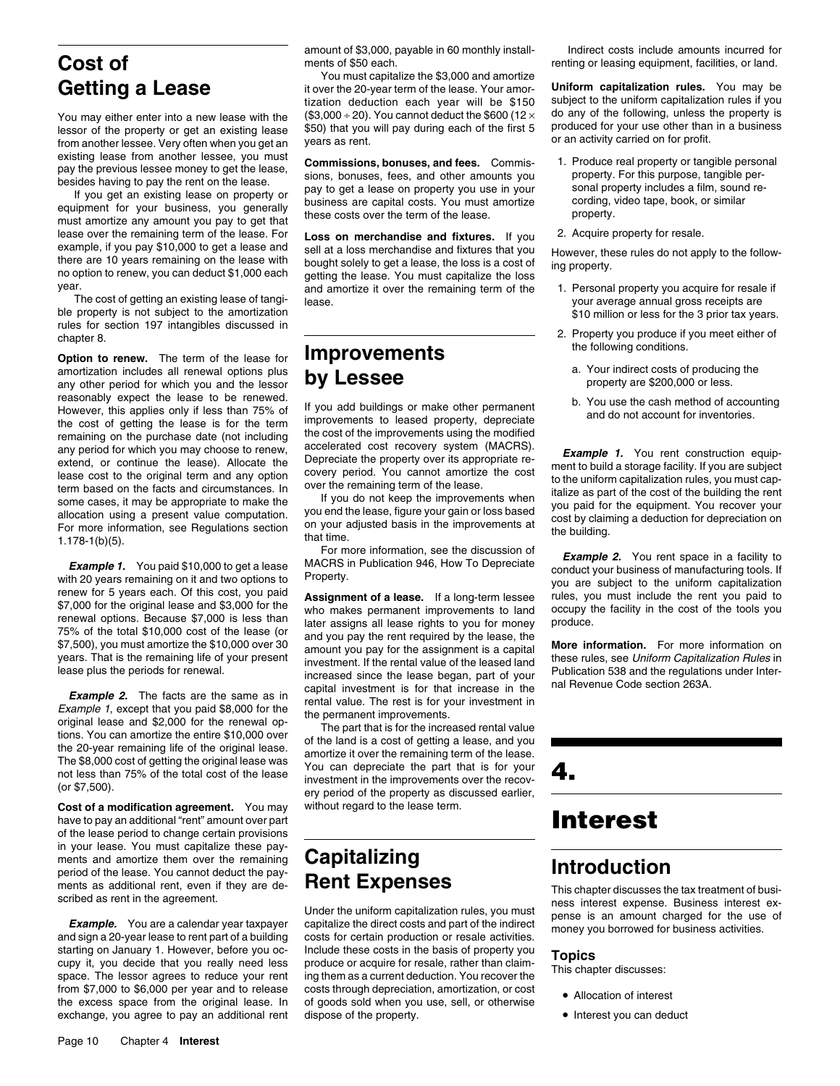## **COST Of** ments of \$50 each. renting or leasing equipment, facilities, or land.

from another lessee. Very often when you get an existing lease from another lessee, you must

lease over the remaining term of the lease. For **Loss on merchandise and fixtures.** If you <sup>2.</sup> Acquire property for resale.<br>example, if you pay \$10,000 to get a lease and sell at a loss merchandise and fixtures that you H

The cost of getting an existing lease of tangi-<br>ble property is not subject to the amortization ble property is not subject to the amortization  $$10$  million or less for the 3 prior tax years.<br>
The state of the 3 prior tax years.

**Option to renew.** The term of the lease for amortization includes all renewal options plus  $\overline{by}$  Lessee any other period for which you and the lessor  $\overline{by}$  Lessee property are \$200,000 or less. any other period for which you and the lessor reasonably expect the lease to be renewed. reasonably expect the lease to be fromved by you advailable of match with and be incomponent b. You use the cast method of accounting<br>the oxer ( getting the lease is for the learn 197% of improvements to issead any<br>enty. H

**Cost of a modification agreement.** You may without regard to the lease term. have to pay an additional "rent" amount over part **Interest** of the lease period to change certain provisions in your lease. You must capitalize these payments and amortize them over the remaining **Capitalizing**<br>
period of the lease. You cannot deduct the pay-<br>
ments as additional rent, even if they are de. **Rent Expenses** 

Getting a Lease it over the 20-year term of the lease. Your amor- Uniform capitalization rules. You may be tization deduction each year will be \$150 subject to the uniform capitalization rules if you tization deduction each year will be \$150 subject to the uniform capitalization rules if you<br>(\$3,000 - 20) You cannot deduct the \$600 (12  $\times$  do any of the following, unless the property is You may either enter into a new lease with the  $(\$3,000 \div 20)$ . You cannot deduct the \$600 (12  $\times$  do any of the following, unless the property is local to represe with the  $\$500$  that you will nav during each of the firs lessor of the property or get an existing lease \$50) that you will pay during each of the first 5 produced for your use other than in a business lessor of the first 5 produced for your use other than in a business lease of

existing lease from another lessee, you must<br>pay the previous lessee money to get the lease,<br>besides having to pay the rent on the lease.<br>If you get an existing lease on property or<br>equipment for your business, you general

year.<br>The cost of getting an existing lease of tangi-<br>lease.<br>
rease.<br>
your average annual gross receipts are

from less than 75% of the lotal cost of the lease investment in the improvements over the recov-<br>ery period of the property as discussed earlier,

starting on January 1. However, before you oc-<br>cupy it, you decide that you really need less<br>space. The lessor agrees to reduce your rent<br>ing them as a current deduction. You recover the<br>proton This chapter discusses: from \$7,000 to \$6,000 per year and to release costs through depreciation, amortization, or cost <br>the excess space from the original lease. In of goods sold when you use, sell, or otherwise <br>• Allocation of interest of goods sold when you use, sell, or otherwise exchange, you agree to pay an additional rent dispose of the property. **• Interest you can deduct** 

amount of \$3,000, payable in 60 monthly install- Indirect costs include amounts incurred for

- 
- 

- 
- rules for section 197 intangibles discussed in 2. Property you produce if you meet either of chapter 8.<br>
Option to renew. The term of the lease for **Improvements** the following conditions.
	-
	-

ments as additional rent, even if they are de.<br>Scribed as rent in the agreement.<br>Example. You are a calendar year taxpayer capitalize the direct costs and part of the indirect<br>and sign a 20-year lease to rent part of a bui

- 
- 
-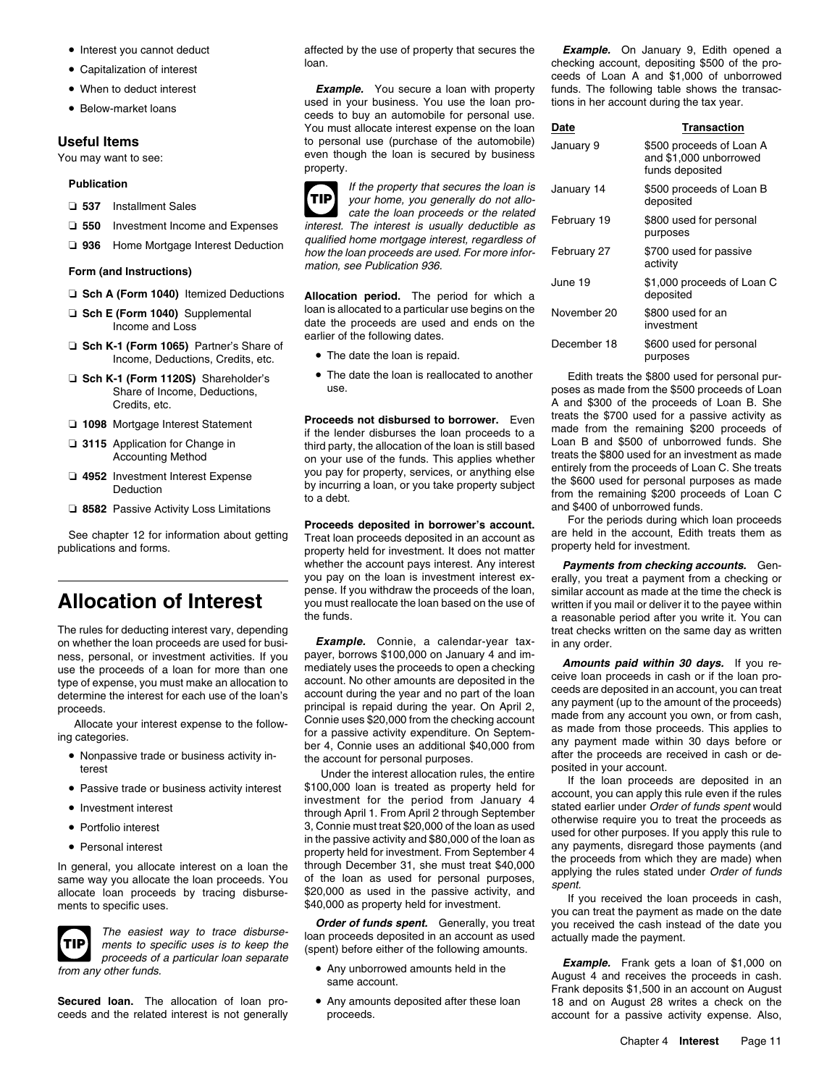- Interest you cannot deduct
- 
- When to deduct interest
- 

### **Publication Publication** If the property that secures the loan is January 14 **Fig. 14 property** that secures the loan is

- 
- 
- 

## **Form (and Instructions) Form (and Instructions) Form (and Instructions)**

- 
- 
- **□ Sch K-1 (Form 1065)** Partner's Share of **December 18 \$600 used for personal for personal for personal for personal for personal for personal for personal for personal for personal for personal for personal for personal** Income, Deductions, Credits, etc.
- 
- 
- 
- 
- 

on whether the loan proceeds are used for busi-<br>ness, personal, or investment activities. If you payer, borrows \$100,000 on January 4 and imness, personal, or investment activities. If you payer, borrows \$100,000 on January 4 and im-<br>use the proceeds of a loan for more than one mediately uses the proceeds to open a checking

- Nonpassive trade or business activity in-
- 
- 
- 
- 



affected by the use of property that secures the **Example.** On January 9, Edith opened a

■ Below-market loans **business.** You use the loan pro-<br>■ tions in the tax year. • the tax year. • the tax year. • the tax year. • the tax year. • the tax year. • the tax year. • tax year. • tax year. • tax year. • tax yea ceeds to buy an automobile for personal use. You must allocate interest expense on the loan **D Useful Items** to personal use (purchase of the automobile) J<sub>an</sub>uary 9 and Tomay want to see:<br>
You may want to see: even though the loan is secured by business property.



□ 537 Installment Sales<br>□ 550 Investment Income and Expenses interest. The interest is usually deductible as ⊑ 550 Investment Income and Expenses interest. The interest is usually deductible as<br>Pebruary 19 \$800 used for personal<br>Pow the loan proceeds are used. For more infor- February 27 \$700 used for passive purposes how the lo

□ Sch A (Form 1040) Itemized Deductions Allocation period. The period for which a  $\square$  **Sch E (Form 1040)** Supplemental loan is allocated to a particular use begins on the N Income and Loss date the proceeds are used and ends on the earlier of the following dates.

- 
- 

Accounting Method on your use of the funds. This applies whether treats the \$800 used for an investment as made<br>
1992 Investment Interest Expense you pay for property, services, or anything else entirely from the proceeds

See chapter 12 for information about getting<br>See chapter 12 for information about getting<br>publications and forms.<br>property held for investment It does not matter inter the property held for investment<br>property held for inv property held for investment. It does not matter whether the account pays interest. Any interest **Payments from checking accounts.** Gen-<br>you pay on the loan is investment interest ex-<br>erally, you treat a payment from a checking or you pay on the loan is investment interest ex-<br>pense. If you withdraw the proceeds of the loan, similar account as made at the time the check is pense. If you withdraw the proceeds of the loan, similar account as made at the time the check is<br>the funds. The funds areasonable period after you write if You can

was the proceeds of a loan for more than one<br>type of expense, you must make an allocation to<br>determine the interest for each use of the loan's<br>proceeds.<br>Allocate your interest expense to the follow-<br>account during the year

• Nonpassive trade or business activity in-<br>the account for personal purposes. after the proceeds are received in cash or de-<br>Under the interest allocation rules, the entire posited in your account.<br>Passive trade or busine • Personal interest<br>
In general, you allocate interest on a loan the through December 31, she must treat \$40,000<br>
same way you allocate the loan proceeds. You of the loan as used for personal purposes,<br>
allocate loan proce

**Order of funds spent.** Generally, you treat you received the cash instead of the date you<br>ments to specific uses is to keep the (spent) before either of the following amounts.<br>proceeds of a particular loan separate (spent

- 
- 

**• Capitalization of interest** loan. Checking account, depositing \$500 of the pro-<br> **• Capitalization of interest** ceeds of Loan A and \$1,000 of unborrowed **Example.** You secure a loan with property funds. The following table shows the transac-<br>ed in your business. You use the loan pro-<br>tions in her account during the tax year.

| You must allocate interest expense on the loan                                                                                              | Date        | <b>Transaction</b>                                                    |
|---------------------------------------------------------------------------------------------------------------------------------------------|-------------|-----------------------------------------------------------------------|
| to personal use (purchase of the automobile)<br>even though the loan is secured by business<br>property.                                    | January 9   | \$500 proceeds of Loan A<br>and \$1,000 unborrowed<br>funds deposited |
| If the property that secures the loan is<br>TIP)<br>your home, you generally do not allo-                                                   | January 14  | \$500 proceeds of Loan B<br>deposited                                 |
| cate the loan proceeds or the related<br>interest. The interest is usually deductible as<br>qualified home mortgage interest, regardless of | February 19 | \$800 used for personal<br>purposes                                   |
| how the loan proceeds are used. For more infor-<br>mation, see Publication 936.                                                             | February 27 | \$700 used for passive<br>activity                                    |
| <b>Allocation period.</b> The period for which a                                                                                            | June 19     | \$1,000 proceeds of Loan C<br>deposited                               |
| loan is allocated to a particular use begins on the<br>date the proceeds are used and ends on the                                           | November 20 | \$800 used for an<br>investment                                       |
| earlier of the following dates.<br>• The date the loan is repaid.                                                                           | December 18 | \$600 used for personal<br>purposes                                   |

❏ **Sch K-1 (Form 1120S)** Shareholder's • The date the loan is reallocated to another Edith treats the \$800 used for personal pur-Share of Income, Deductions, The Case of Loan and the S500 proceeds of Loan and the S500 proceeds of Loan Credits, etc.<br> **Credits, etc.** A and \$300 of the proceeds of Loan B. She<br> **Proceeds not dishursed to horrower** Even treats the \$700 used for a passive activity as **□ 1098** Mortgage Interest Statement **Proceeds not disbursed to borrower.** Even If the \$700 used for a passive activity as if the lender disburses the loan proceeds to a made from the remaining \$200 proceeds of the loan i Application for Change in **Exercic is a third party, the allocation of the loan is still based** Loan B and \$500 of unborrowed funds. She Accounting Method **in the third party, the allocation of the loan is still based** the ❏ **<sup>8582</sup>** Passive Activity Loss Limitations and \$400 of unborrowed funds.

a reasonable period after you write it. You can The rules for deducting interest vary, depending  $\blacksquare$ <br>The rules for details and the same day as written on whether the loan proceeds are used for busi-<br> $\blacksquare$ 

• Passive trade or business activity interest \$100,000 loan is treated as property held for account, you can apply this rule even if the rules investment for the period from January 4 • Investment interest **•** through Apri Investment interest stated the must from April 1. From April 2 through September of the order order order order order order order order order order order order order order order order order order order order order order pu In the passive activity and \$80,000 of the loan as used to their purposes. If you apply this rule to in the passive activity and \$80,000 of the loan as • any payments, disregard those payments (and

Frank gets a loan of \$1,000 on from any other funds.<br>*Frank gets a loan of \$1,000 on* Any unborrowed amounts held in the August 4 and receives the proceeds in cash.<br>Frank deposits \$1,500 in an account on August **Secured Ioan.** The allocation of loan pro- • Any amounts deposited after these loan 18 and on August 28 writes a check on the ceeds and the related interest is not generally proceeds. proceeds. The relations is not generally proceeds. Also, generally proceeds.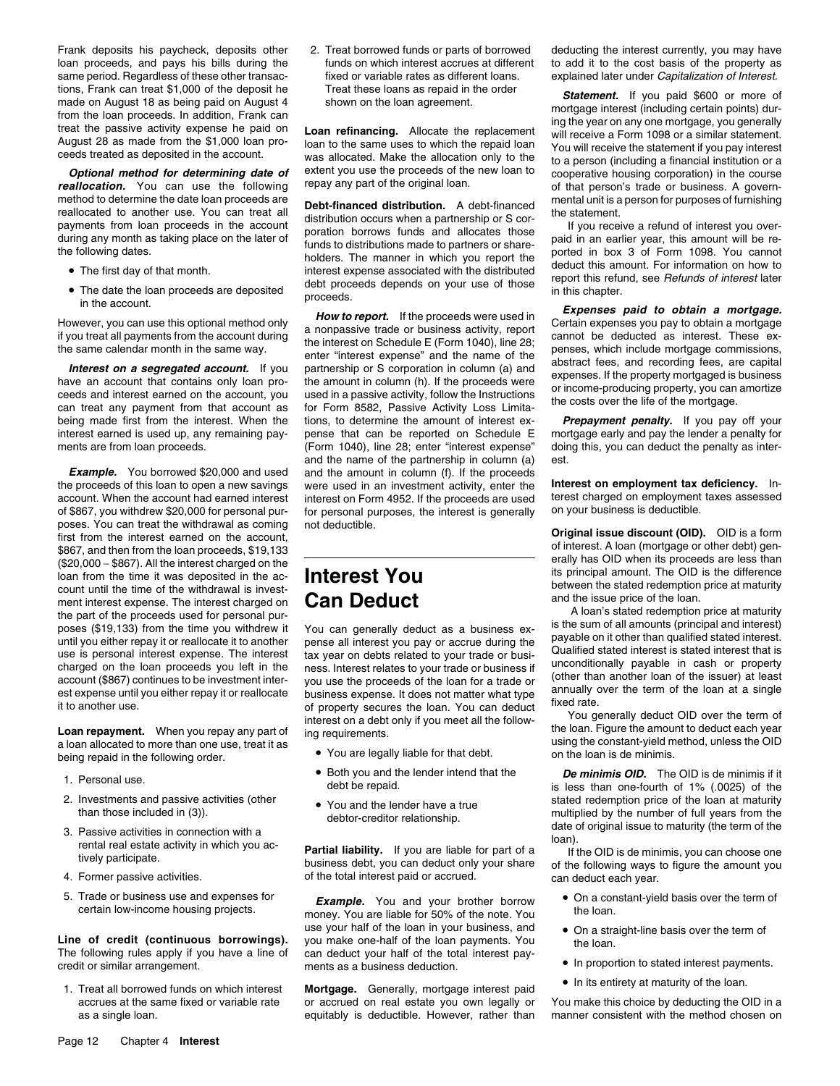Frank deposits his paycheck, deposits other 2. Treat borrowed funds or parts of borrowed deducting the interest currently, you may have loan proceeds, and pays his bills during the funds on which interest accrues at different to add it to the cost basis of the property as same period. Regardless of these other transac-<br>
fixed or variable rates as different loans. explained later under Capitalization of Interest.

- 
- 

being made first from the interest. When the tions, to determine the amount of interest ex- *Prepayment penalty.* If you pay off your interest earned is used up, any remaining pay- pense that can be reported on Schedule E mortgage early and pay the lender a penalty for ments are from loan proceeds. (Form 1040), line 28; enter "interest expense" doing this, you can deduct the penalty as inter-

the proceeds of this loan to open a new savings were used in an investment activity, enter the **Interest on employment tax deficiency.** Inaccount. When the account had earned interest interest on Form 4952. If the proceeds are used terest charged on employment<br>of \$867, you withdrew \$20,000 for personal pur- for personal purposes, the interest is generally on poses. You can treat the withdrawal as coming not deductible. first from the interest earned on the account,<br>first from the interest earned on the account,<br>\$867 and then from the loan proceeds \$19.133 of interest. A loan (mortgage or other debt) gen-<br>\$967 and then from the loan proce \$867, and then from the loan proceeds, \$19,133 of interest. A loan (mortgage or other debt) generally has OID when its proceeds are less than (\$20,000 – \$867). All the interest charged on the<br>loan from the time it was depo count until the time of the withdrawal is invest-<br>ment interest expense. The interest charged on **Can Deduct** and the issue price of the loan.<br>the part of the proceeds used for personal pur-<br>A loan's stated redemption pric the part of the proceeds used for personal pur-<br>poses (\$19,133) from the time you withdrew it<br>until you either repay it or reallocate it to another<br>until you either repay it or reallocate it to another<br>use is personal inte

a loan allocated to more than one use, treat it as <br>being repaid in the following order being repaid in the following order. • • You are legally liable for that debt. • • • on the loan is de minimis.

- 
- 
- 
- 
- 

The following rules apply if you have a line of can deduct your half of the total interest pay-

method to determine the date loan proceeds are<br>
reallocated to another use. You can treat all<br>
payments from loan proceeds in the account<br>
distribution occurs when a partnership or S cor-<br>
payments from loan proceeds in th The first day of that month.<br>
interest expense associated with the distributed<br>
The date the loan proceeds are deposited debt proceeds depends on your use of those<br>
in this chapter.<br>
Interest later<br>
in this chapter.

• The date the loan proceeds are deposited<br>
in the account.<br>
However, you can use this optional method only<br>
if you treat all payments from the account during<br>
if you treat all payments from the account during<br>
if you trea and the name of the partnership in column (a) est. **Example.** You borrowed \$20,000 and used and the amount in column (f). If the proceeds for personal purposes, the interest is generally

- 
- Both you and the lender intend that the
- 

4. Former passive activities.  $\qquad \qquad$  of the total interest paid or accrued.  $\qquad \qquad$  can deduct each year.

money. You are liable for 50% of the note. You use your half of the loan in your business, and  $\bullet$  On a straight-line basis over the term of Line of credit (continuous borrowings). you make one-half of the loan payments. You the loan, • In proportion to stated interest payments. credit or similar arrangement. ments as a business deduction.

1. Treat all borrowed funds on which interest Mortgage. Generally, mortgage interest paid accrues at the same fixed or variable rate or accrued on real estate you own legally or You make this choice by deducting the OID in a as a single loan. equitably is deductible. However, rather than manner consistent with the method chosen on

tions, Frank can treat \$1,000 of the deposit he<br>
made on August 18 as being paid on August 4<br>
from the loan proceeds. In addition, Frank can<br>
treat the passive activity expense he paid on<br>
Mugust 28 as made from the \$1,000 obsequence as a deposited in the decoding.<br>
Was allocated. Make the allocation only to the to a person (including a financial institution or a<br> **Computer of the contract of the course**<br> **Computer of the course** of the sour

Interest on a debt only if you meet all the follow-<br>Loan repayment. When you repay any part of the loan allocated to more than one use treat it as<br>a loan allocated to more than one use treat it as sections are using the co

Both you and the lender intend that the **De minimis OID.** The OID is de minimis if it to the repaid.<br>2. Investments and passive activities (other **a** You and the lender have a true stated redemption price of the loan at ma Investments and passive activities (other **stated redemption price of the loan at maturity**<br>
deptor-creditor relationship definity and the lumber of full years from the than those included in (3).<br>
The state of elationship.<br>
The state of elationship and the lender have a true<br>
than those included in (3).<br>
The off original issue to maturity (the term of the<br>
debtor-creditor relationship.<br>

- 5. Trade or business use and expenses for **Example.** You and your brother borrow On a constant-yield basis over the term of certain low-income housing projects.
	-
	-
	- In its entirety at maturity of the loan.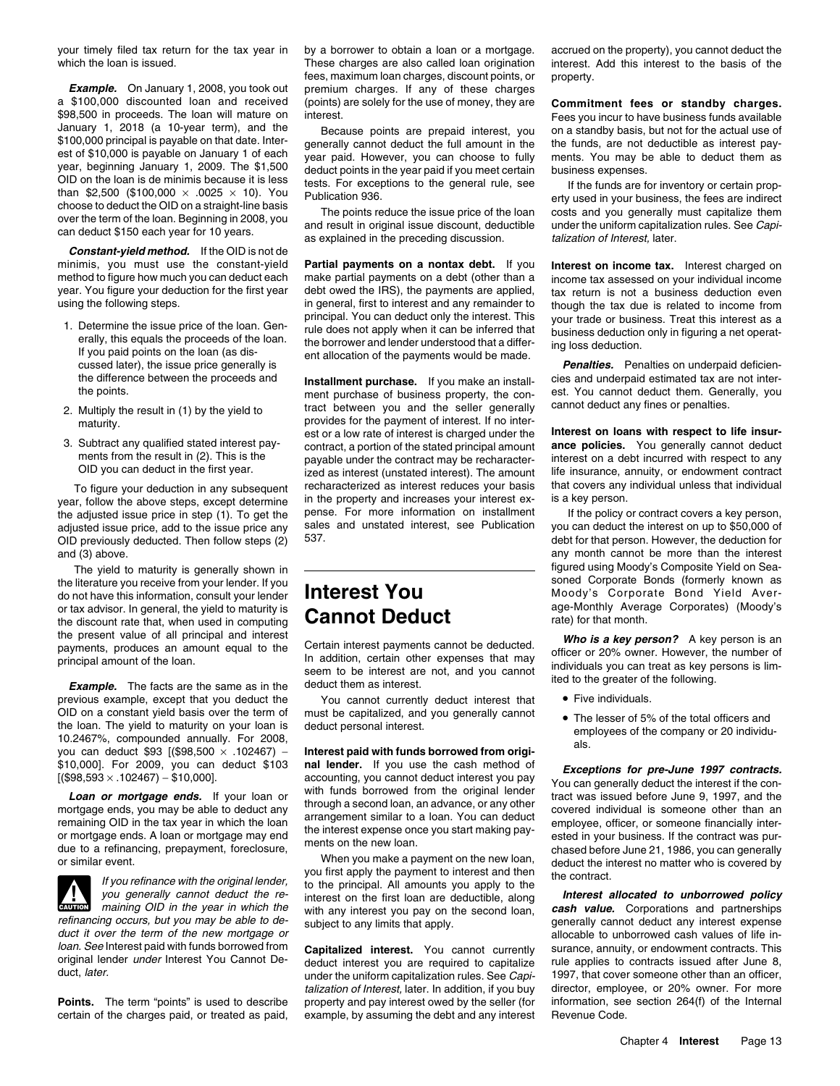which the loan is issued. These charges are also called loan origination interest. Add this interest to the basis of the

**Example.** On January 1, 2008, you took out premium charges. If any of these charges a \$100,000 discounted loan and received (points) are solely for the use of money, they are a \$100,000 discounted loan and received (points) are solely for the use of money, they are **Commitment fees or standby charges.** January 1, 2018 (a 10-year term), and the<br>
\$100,000 principal is payable on that date. Inter-<br>
\$100,000 principal is payable on that date. Inter-<br>
section of the full amount in the funds, are not deductible as interest pa

*Constant-yield method.* If the OID is not de minimis, you must use the constant-yield **Partial payments on a nontax debt.** If you **Interest on income tax.** Interest charged on year. You figure your deduction for the first year debt owed the IRS), the payments are applied, tax return is not a business deduction even

- 1. Determine the issue price of the loan. Gen-<br>erally, this equals the proceeds of the loan. Gen-<br>If you paid points on the loan (as dis-<br>If you paid points on the loan (as dis-<br>cussed later), the issue price generally is<br>
- 
- 

the adjusted issue price in step (1). To get the pense. For more information on installment adjusted issue price and the issue price a key person, and the policy or contract contract contract contract contract contract con OID previously deducted. Then follow steps (2)

the literature you receive from your lender. If you  $\overline{\mathbf{r}}$   $\mathbf{r}$   $\mathbf{r}$   $\mathbf{r}$   $\mathbf{r}$   $\mathbf{r}$   $\mathbf{r}$   $\mathbf{r}$   $\mathbf{r}$   $\mathbf{r}$   $\mathbf{r}$   $\mathbf{r}$   $\mathbf{r}$   $\mathbf{r}$   $\mathbf{r}$   $\mathbf{r}$   $\mathbf{r}$   $\mathbf{r}$   $\mathbf$ or tax advisor. In general, the yield to maturity is **Cannot Deduct** and age-Monthly Average the discount rate that, when used in computing **Cannot Deduct** rate) for that month.

previous example, except that you deduct the You cannot currently deduct interest that • Five individuals. OID on a constant yield basis over the term of must be capitalized, and you generally cannot • The lesser of 5% of the total officers and the loan. The yield to maturity on your loan is deduct personal interest. on a constant yield basis over the term of this be capitalized, and you generally cannot with the loan. The yield to maturity on your loan is deduct personal interest.<br>10.2467%, compounded annually. For 2008,<br>you can dedu



certain of the charges paid, or treated as paid, example, by assuming the debt and any interest Revenue Code.

your timely filed tax return for the tax year in by a borrower to obtain a loan or a mortgage. accrued on the property), you cannot deduct the fees, maximum loan charges, discount points, or property.

make partial payments on a debt (other than a income tax assessed on your individual income debt owed the IRS), the payments are applied,  $\frac{1}{1}$  tax return is not a business deduction even using the following steps. in general, first to interest and any remainder to though the tax due is related to income from<br>principal. You can deduct only the interest. This your trade or business. Treat this interest as a

2. Multiply the result in (1) by the yield to tract between you and the seller generally maturity. **provides for the payment of interest.** If no interest or a low rate of interest is charged under the **Interest on loans with respect to life insur-**3. Subtract any qualified stated interest pay-<br>ments from the result in (2). This is the payable under the contract may be recharacter-<br>interest on a debt incurred with respect to any ments from the result in (2). This is the payable under the contract may be recharacter- interest on a debt incurred with respect to any<br>OID you can deduct in the first year. The as interest (unstated interest). The amount ized as interest (unstated interest). The amount life insurance, annuity, or endowment contract<br>recharacterized as interest reduces your basis lithat covers any individual unless that individual To figure your deduction in any subsequent recharacterized as interest reduces your basis that covers any individual unless that individual year, follow the above steps, except determine in the property and increases your

original lender under Interest You Cannot De- deduct interest you are required to capitalize rule applies to contracts issued after June 8,<br>under the uniform capitalization rules See Capi- 1997, that cover someone other th under the uniform capitalization rules. See Capi- 1997, that cover someone other than an officer, talization of Interest, later. In addition, if you buy director, employee, or 20% owner. For more Points. The term "points" is used to describe property and pay interest owed by the seller (for information, see section 264(f) of the Internal

\$98,500 in proceeds. The loan will mature on interest.<br>January 1, 2018 (a 10-year term), and the Recause points are prepaid interest you, on a standby basis, but not for the actual use of

the difference between the proceeds and<br>the points.<br>Multiply the requit in (1) by the vigid to the set of business property, the con-<br>Multiply the requit in (1) by the vigid to the set of business property, the con-<br>Multip

adjusted issue price, add to the issue price any sales and unstated interest, see Publication you can deduct the interest on up to \$50,000 of OID previously deducted. Then follow steps (2) 537. and (3) above. **any month cannot** be more than the interest The yield to maturity is generally shown in **Figure 1** and the strategies of the strategies of the strategies of the strategies of the strategies of the strategies of the strategies of the strategies of the strategies of t do not have this information, consult your lender **Interest You** Moody's Corporate Bond Yield Aver-<br>or tax advisor. In general, the yield to maturity is **Corporate De also that is a** ge-Monthly Average Corporates) (Moody

the present value of all principal and interest<br>payments, produces an amount equal to the Certain interest payments cannot be deducted.<br>principal amount of the loan. In addition, certain other expenses that may officer or

- 
- 

 $(10,000]$ . For 2009, you can deduct \$103 **nal lender.** If you use the cash method of **Exceptions for pre-June 1997 contracts.**<br> **Exceptions for pre-June 1997 contracts.**<br> **Loan or mortgage ends.** If your loan or with fun

maining OID in the year in which the *with any interest you pay on the second loan*, **cash value.** Corporations and partnerships refinancing occurs, but you may be able to de-<br>duct it over the term of the new mortgage or<br>allocable to unborrowed cash values of life inallocable to unborrowed cash values of life inloan. See Interest paid with funds borrowed from **Capitalized interest.** You cannot currently surance, annuity, or endowment contracts. This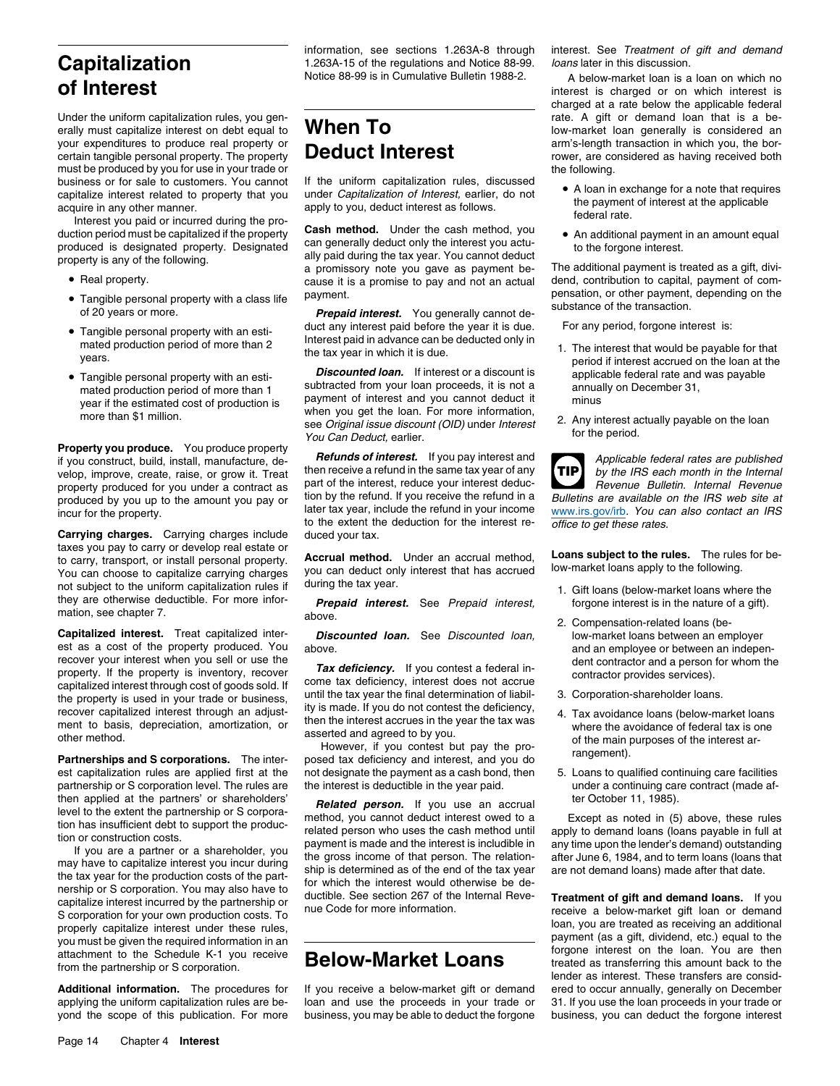erally must capitalize interest on debt equal to **WHEN TO** low-market loan generally is considered an your expenditures to produce real property or arm's-length transaction in which you, the borcertain tangible personal property. The property **Deduct Interest** rower, are considered as having received both must be produced by you for use in your trade or<br>business or for sale to customers. You cannot If the uniform capitalization rules, discussed business or for sale to customers. You cannot If the uniform capitalization rules, discussed<br>
capitalize interest related to property that you under *Capitalization of Interest*, earlier, do not

- Real property.
- 
- 
- 

**Property you produce.** You produce property Froperty you produce. The produce property<br>if you construct, build, install, manufacture, de-<br>velop, improve, create, raise, or grow it. Treat then receive a refund in the same tax year of any **TIP** by the IRS each month i velop, improve, create, raise, or grow it. Treat then receive a refund in the same tax year of any **TIP** by the IRS each month in the Internal Revenue<br>property produced for you under a contract as part of the interest, red property produced for you under a contract as part of the interest, reduce your interest deduc-<br>produced by you up to the amount you pay or tion by the refund. If you receive the refund in a Bulletins are available on the produced by you up to the amount you pay or tion by the refund. If you receive the refund in a<br>Bullet tax year, include the refund in your income

**Carrying charges.** Carrying charges include taxes you pay to carry or develop real estate or takes you pay to carry of develop real estate of<br>to carry, transport, or install personal property. **Accrual method.** Under an accrual method, **Loans subject to the rules.** The rules for be-<br>You can choose to capitalize ca not subject to the uniform capitalization rules if during the tax year.<br>
they are otherwise deductible. For more infor-<br>
mation, see chapter 7. above. above.<br>
2. Compensation-related loans (be-<br>
2. Compensation-related loa

**Capitalized interest.** Treat capitalized inter-<br>est as a cost of the property produced. You above. above and an employee or between an indeper est as a cost of the property produced. You above. and an employee or between an indepen-<br>recover your interest when you sell or use the **Tex deficiency.** If you center a federal in dent contractor and a person for whom th Fraction of line interest when you sell or use the<br>property. If you contest a federal in-<br>capitalized interest through cost of goods sold. If<br>the property is inventory, recover<br>the property is used in your trade or busines

est capitalization rules are applied first at the not designate the payment as a cash bond, then 5. Loans to qualified continuing care facilities partnership or S corporation level. The rules are the interest is deductible partnership or S corporation level. The rules are the interest is deductible in the year paid. under a continuing care contract (made af-

then applied at the partners' or shareholders'<br>
level to the extent the partnership or Scorporation as insufficient debt to support the production candical component<br>
tion has insufficient debt to support the production or

applying the uniform capitalization rules are be- loan and use the proceeds in your trade or 31. If you use the loan proceeds in your trade or

**Capitalization** 1.263A-15 of the regulations and Notice 88-99. *Ioans* later in this discussion.<br>Notice 88-99 is in Cumulative Bulletin 1988-2. A below-market loan is a loan on which no

capitalize interest related to property that you under Capitalization of Interest, earlier, do not<br>acquire in any other manner. apply to you, deduct interest as follows.<br>Interest you paid or incurred during the pro-<br>ductio cause it is a promise to pay and not an actual dend, contribution to capital, payment of com-

of 20 years or more.<br>Tangible personal property with an estimate of the transaction of the transaction. **Property with an estimate of the transaction** of the transaction. **Property with a property of the transaction** of th • Tangible personal property with an esti-<br>
duct any interest paid before the year it is due.

• Tangible personal property with an esti-<br> **Discounted loan.** If interest or a discount is applicable federal rate and was payable mated production period of more than 1 subtracted from your loan proceeds, it is not a annually on December 31,<br>wer if the estimated cest of production is payment of interest and you cannot deduct it minus year if the estimated cost of production is<br>
when you get the loan. For more information,<br>
see *Original issue discount (OID)* under *Interest*<br>
You Can Daduct ariser carier than \$1 million.<br>
You Can Daduct ariser to ther You Can Deduct, earlier.

to the extent the deduction for the interest re-<br>duced your tax.

information, see sections 1.263A-8 through interest. See Treatment of gift and demand

**Of Interest Cumulative Bulletin 1988-2. A below-market loan is a loan on which interest** is charged or on which interest is charged at a rate below the applicable federal Under the uniform capitalization rules, you gen-<br>  $\blacksquare$  rate. A gift or demand loan that is a be-<br>
low-market loan generally is considered an

- 
- 

• Tangible personal property with a class life payment.<br>
of 29 years or more or material payment, depending on the • substance of the transaction.

- Tangible personal property with an estimated and the tax year in which it is due.<br>
The interest that would be payable for that<br>
years.<br>
Tangible personal property with an estimated because the tax year in which it is due.<br>
	-

**TIP** incur for the property.<br>incur for the property. later tax year, include the refund in your income www.irs.gov/irb. You can also contact an IRS<br>to the extent the deduction for the interest re-<br>office to get these rates.

- 
- 
- 
- 
- 

**Additional information.** The procedures for If you receive a below-market gift or demand ered to occur annually, generally on December yond the scope of this publication. For more business, you may be able to deduct the forgone business, you can deduct the forgone interest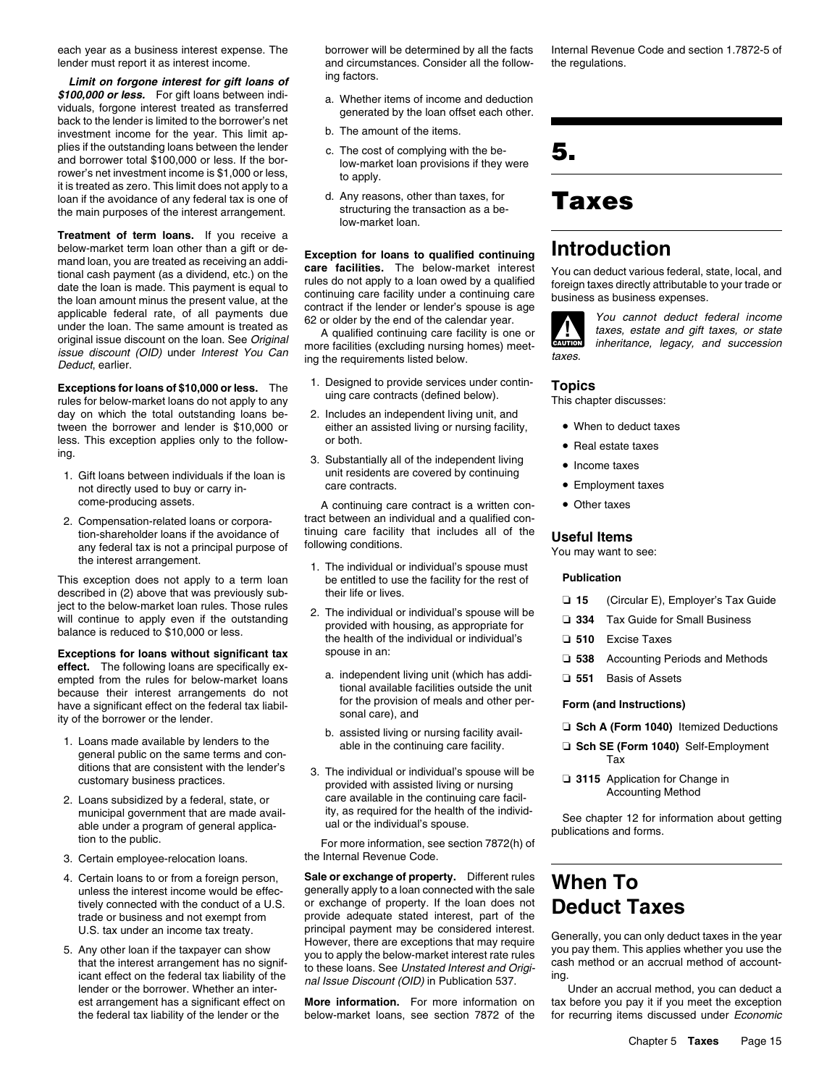lender must report it as interest income.  $\Box$  and circumstances. Consider all the follow- the regulations.

ing factors. *Limit on forgone interest for gift loans of* **\$100,000 or less.** For gift loans between indi-<br>viduals, forgone interest treated as transferred one of income and deduction<br>operated by the loan offset each other viduals, forgone interest treated as transferred generated by the loan offset each other.<br>back to the lender is limited to the borrower's net investment income for the year. This limit  $ap$ - b. The amount of the items. plies if the outstanding loans between the lender plies if the outstanding loans between the lender c. The cost of complying with the be-<br>and borrower total \$100,000 or less. If the bor-<br>rower's net investment income is \$1,000 or less,<br>to apply rower's net investment income is \$1,000 or less, to apply.<br>
it is treated as zero. This limit does not apply to a<br>
loan if the avoidance of any federal tax is one of the avoidance of any federal taxes, for<br>
the main purpos loan if the avoidance of any federal tax is one of d. Any reasons, other than taxes, for **Taxes**<br>the main purposes of the interest arrangement. structuring the transaction as a be-

**Treatment of term loans.** If you receive a below-market term loan other than a gift or de- **Exception for loans to qualified continuing Introduction** mand loan, you are treated as receiving an additional cash payment (as a dividend, etc.) on the **care facilities.** The below-market interest You can deduct various federal, state, local, and tional cash payment (as a dividend, etc.) on the rules do not apply to a loan date the loan is made. This payment is equal to<br>the loan owed by a qualified foreign taxes directly attributable to your trade or<br>the loan amount minus the present value, at the<br>applicable federal rate, of all payments due issue discount of the bank of completed more facilities (excluding nursing homes) meet-<br>ing the requirements listed below. taxes.<br>Deduct, earlier.

**Exceptions for loans of \$10,000 or less.** The <sup>1.</sup> Designed to provide services under contin-<br>
rules for below-market loans do not apply to any uing care contracts (defined below). This chapter discusses: day on which the total outstanding loans be-<br>the an independent living unit, and<br>tween the borrower and lender is \$10,000 or either an assisted living or nursing facility, tween the borrower and lender is \$10,000 or either an assisted living or nursing facility, • When to deduct taxes less. This exception applies only to the follow- or both. •

- 1. Gift loans between individuals if the loan is unit residents and directly used to buy or carry inexample care contracts.<br>  $\blacksquare$  The care contracts.<br>  $\blacksquare$  The Employment taxes
- 

This exception does not apply to a term loan described in (2) above that was previously subdescribed in (2) above that was previously sub-<br>ject to the below-market loan rules. Those rules<br>will continue to apply even if the outstanding<br>balance is reduced to \$10,000 or less.<br>balance is reduced to \$10,000 or less.<br>

**Exceptions for loans without significant tax** spouse in an:<br> **Exceptions for loans are specifically ex-**<br>
a. independent living unit (which has addi-<br> **a. 538** Accounting Periods and Methods and Methods a. independent empted from the rules for below-market loans a. independent living unit (which has addi- ◯ **551** Basis of Assets<br>hoceuse, their interest arrangements do not tional available facilities outside the unit

- because their interest arrangements do not<br>
tional available facilities outside the unit<br>
thave a significant effect on the federal tax liabil-<br>
tiv of the borrower or the lender.<br>
the borrower or the lender.<br>
the sonal ca
- municipal government that are made avail- ity, as required for the health of the individ-<br>able under a program of general applica- ual or the individual's spouse. publications and forms.<br>tion to the public. For more inform
- 3. Certain employee-relocation loans. the Internal Revenue Code.
- 4. Certain loans to or from a foreign person, unless the interest income would be effec-
- 

- 
- 
- 
- low-market loan.

- 
- 
- 3. Substantially all of the independent living<br>unit residents are covered by continuing

come-producing assets.<br>
Compensation-related loans or corpora-<br>
tract between an individual and a qualified con-<br>
Compensation-related loans or corpora-<br>
tract between an individual and a qualified con-2. Compensation-related loans or corpora- tract between an individual and a qualified con-<br>tion-shareholder loans if the avoidance of tinuing care facility that includes all of the tion-shareholder loans if the avoidance of tinuing care facility that includes all of the **Useful Items**<br>any federal tax is not a principal purpose of following conditions.

- any federal tax is not a principal purpose of following conditions.<br>the interest arrangement. The individual or individual's spouse must<br>entitled to use the facility for the rest of **Publication**<br>entitled to use the facili
	- -
		-
	-

**Sale or exchange of property.** generally apply to a loan connected with the sale tively connected with the conduct of a U.S. or exchange of property. If the loan does not **Deduct Taxes** trade or business and not exempt from provide adequate stated interest, part of the **Deduct Taxes** U.S. tax under an income tax treaty.<br>
5. Any other loan if the taxpayer can show<br>
that the interest arrangement has no signif-<br>
to these loans. See Unstated Interest and Origi-<br>
to these loans. See Unstated Interest and Or

est arrangement has a significant effect on **More information.** For more information on tax before you pay it if you meet the exception the federal tax liability of the lender or the below-market loans, see section 7872 of the for recurring items discussed under Economic

each year as a business interest expense. The borrower will be determined by all the facts Internal Revenue Code and section 1.7872-5 of

**CAUTION** 

- 
- 
- **·** Income taxes
- 
- 

- 
- 
- 
- 
- 

- 
- 
- 

## **When To**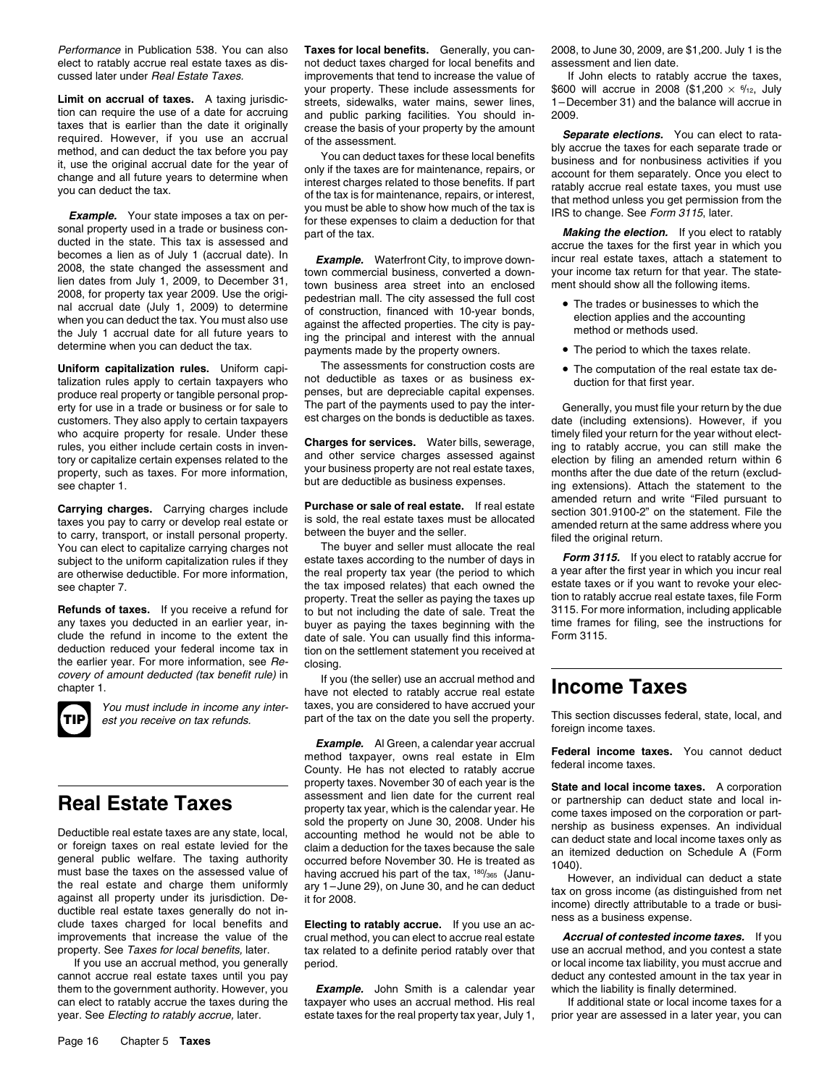method, and can deduct the tax before you pay<br>
that, use the original accrudiate for the year of only if the taxes are for minienearce, repairs, or<br>
the metodiate of the year of minienearce, repairs, or account for them se

**Uniform capitalization rules.** Uniform capi-<br>
talization rules apply to certain taxpayers who not deductible as taxes or as business ex-<br>
produce real property or tangible personal prop-<br>
ernses, but are depreciable capit who acquire property for resale. Under these that these the set of the vear without elect-<br>rules, you either include certain costs in inven-<br>tory or capitalize certain expenses related to the and other service charges asse

taxes you pay to carry or develop real estate or<br>to carry, transport, or install personal property.<br>The buyer and the seller.<br>You can elect to capitalize carrying charges not<br>subject to the uniform capitalization rules if

any taxes you deducted in an earlier year, in-<br>clude the refund in income to the extent the date of sale You can usually find this informa- Form 3115. deduction reduced your federal income tax in tion on the settlement statement you received at the earlier year. For more information, see Re-<br>closing.<br>rive



improvements that increase the value of the crual method, you can elect to accrue real estate *Accrual of contested income taxes.* If you

cannot accrue real estate taxes until you pay deduct any contested amount in the tax year in them to the government authority. However, you *Example.* John Smith is a calendar year which the liability is finally determined. can elect to ratably accrue the taxes during the taxpayer who uses an accrual method. His real If additional state or local income taxes for a year. See Electing to ratably accrue, later. estate taxes for the real property tax year, July 1, prior year are assessed in a later year, you can

Performance in Publication 538. You can also **Taxes for local benefits.** Generally, you can- 2008, to June 30, 2009, are \$1,200. July 1 is the elect to ratably accrue real estate taxes as dis- not deduct taxes charged for local benefits and assessment and lien date. cussed later under Real Estate Taxes. improvements that tend to increase the value of If John elects to ratably accrue the taxes, **Limit on accrual of taxes.** A taxing jurisdiction can require the use of a date for accruing and public parking facilities. You should in-<br>tion can require the use of a date for accruing and public parking facilities. Yo

subject to the uniform capitalization rules if they estate taxes according to the number of days in **Form 3115.** If you elect to ratably accrue for<br>are otherwise deductible. For more information, the real property tax year see chapter 7. The tax imposed relates) that each owned the estate taxes or if you want to revoke your elec-<br>orgoerty. Treat the seller as paying the taxes up tion to ratably accrue real estate taxes, file Form property. Treat the seller as paying the taxes up tion to ratably accrue real estate taxes, file Form<br>to but not including the date of sale. Treat the 3115. For more information, including applicable **Refunds of taxes.** If you receive a refund for to but not including the date of sale. Treat the 3115. For more information, including applicable any taxes you deducted in an earlier year, in-<br>any taxes you deducted in an date of sale. You can usually find this informa-

covery of amount deducted (tax benefit rule) in If you (the seller) use an accrual method and chapter 1. have not elected to ratably accrue real estate **Income Taxes** You must include in income any inter- taxes, you are considered to have accrued your

**Example.** Al Green, a calendar year accrual<br>method taxpayer, owns real estate in Elm<br>County. He has not elected to ratably accrue federal income taxes.<br>property taxes. November 30 of each year is the<br>**State and local inco** From the calendary perty taxes. November 30 of each year is the **State and local income taxes**. A corporation and the mate for the current real expectible real estate taxes are any state, local, sold the property on June 3

perty. See Taxes for local benefits, later. use an actreated to a definite period ratably over that if you use an accrual method, you generally period.

your property. These include assessments for \$600 will accrue in 2008 (\$1,200  $\times$  6/12, July

- 
- 
- 

**Carrying charges.** Carrying charges include **Purchase or sale of real estate.** If real estate anended return and write "Filed pursuant to **Carrying charges** include **Purchase or sale of real estate.** If real estate sectio

part of the tax on the date you sell the property. This section discusses federal, state, local, and est you receive on tax refunds.

or local income tax liability, you must accrue and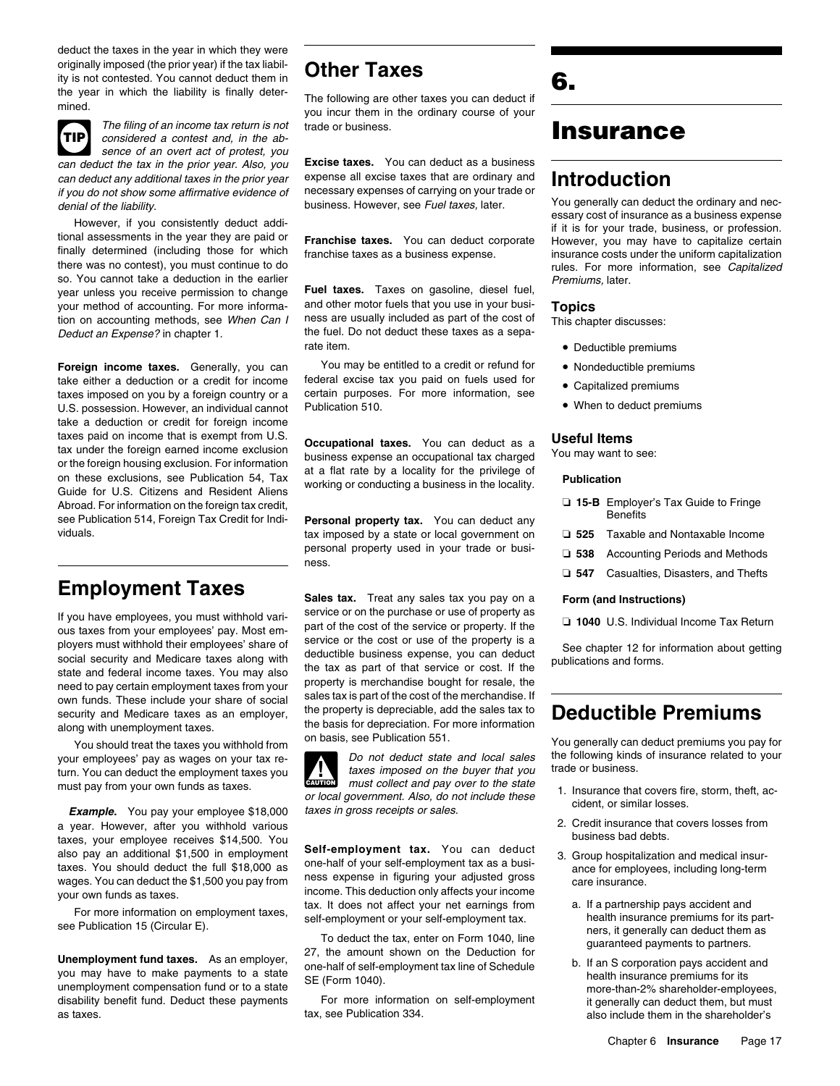deduct the taxes in the year in which they were originally imposed (the prior year) if the tax liabiloriginally imposed (the prior year) if the tax liabil-<br>ity is not contested. You cannot deduct them in<br>the year in which the liability is finally deter-<br>mined. The following are other taxes you can deduct if<br>wou incur the



The filing of an income tax return is not trade or business. The tiling of an income tax return is not trade or business.<br>
considered a contest and, in the absence of an overt act of protest, you

there was no contest), you must continue to do rules. For more information, see *Capitalized* so. You cannot take a deduction in the earlier<br>vear unless you receive permission to change **Fuel taxes.** Taxes on gasoline, diesel fuel, year unless you receive permission to change **Fuel taxes.** Taxes on gasoline, diesel fuel, your method of accounting. For more informa- and other motor fuels that you use in your busi- **Topics**<br>tion on accounting methods, see When Can I ness are usually included as part of the cost of This chapter discusses: Deduct an Expense? in chapter 1. The fuel. Do not deduct these taxes as a sepa-

take either a deduction or a credit for income federal excise tax you paid on fuels used for <br>taxes imposed on you by a foreign country or a certain purposes. For more information, see **Capitalized premiums** U.S. possession. However, an individual cannot Publication 510. take a deduction or credit for foreign income taxes paid on income that is exempt from U.S. **Occupational taxes.** You can deduct as a **Useful Items** tax under the foreign earned income exclusion<br>or the foreign housing exclusion. For information<br>on these exclusions, see Publication 54, Tax<br>Guide for U.S. Citizens and Resident Aliens working or conducting a business in t Abroad. For information on the foreign tax credit, ❏ **15-B** Employer's Tax Guide to Fringe see Publication 514, Foreign Tax Credit for Indi-<br>viduals. You can deduct any<br>tax imposed by a state or local government on

your employees' pay as wages on your tax re-<br>turn. You can deduct the employment taxes you taxes imposed on the buyer that you trade or business.

a year. However, after you withhold various 2. Credit insurance that covers losses from the covers losses from the covers losses from the covers for the covers from the covers from the covers from the covers from the cover taxes, your employee receives \$14,500. You<br>also pay an additional \$1,500 in employment **Self-employment tax.** You can deduct<br>taxes. You should deduct the full \$18,000 as one-half of your self-employment tax as a busi-<br>wage

can deduct the tax in the prior year. Also, you **Excise taxes.** You can deduct as a business can deduct any additional taxes in the prior year expense all excise taxes that are ordinary and **Introduction**<br>if you do not show some affirmative evidence of necessary expenses of carrying on your trade or<br>doniel of the

rate item. •

Foreign income taxes. Generally, you can You may be entitled to a credit or refund for • Nondeductible premiums certain purposes. For more information, see<br>Publication 510. • When to deduct premiums

tax imposed by a state or local government on **□ 525** Taxable and Nontaxable Income personal property used in your trade or busi- **□ 538** Accounting Periods and Methods ness.

**Employment Taxes**<br>**Sales tax.** Treat any sales tax you pay on a **Form (and Instructions)**<br>**If you have employees** you must withhold you service or on the purchase or use of property as If you have employees, you must withhold variable with the purchase or use of property as<br>ous taxes from your employees' pay. Most employe is a part of the cost of the service or property. If the<br>ployers must withhold thei

must collect and pay over to the state **!** must pay from your own funds as taxes.<br>
or local government. Also, do not include these<br> **Example.** You pay your employee \$18,000 taxes in gross receipts or sales.<br>
a year. However, after you withhold various

Vour own funds as taxes.<br>
For more information on employment taxes, the set our net earnings from the set Publication 15 (Circular E).<br>
See Publication 15 (Circular E).<br>
To deduct the tax, enter on Form 1040, line<br>
27, the

disability benefit fund. Deduct these payments For more information on self-employment it generally can deduct them, but must<br>as taxes. It as taxes. It as taxes exploitation 334.

business. However, see Fuel taxes, later. You generally can deduct the ordinary and nec-<br>essary cost of insurance as a business expense However, if you consistently deduct addi-<br>Itional assessments in the year they are paid or<br>Itional assessments in the year they are paid or<br>Itinally determined (including those for which<br>Itinally determined (including thos

- Deductible premiums
- 
- 
- 

- 
- 
- 
- ❏ **547** Casualties, Disasters, and Thefts

- 
- 
- -
	- also include them in the shareholder's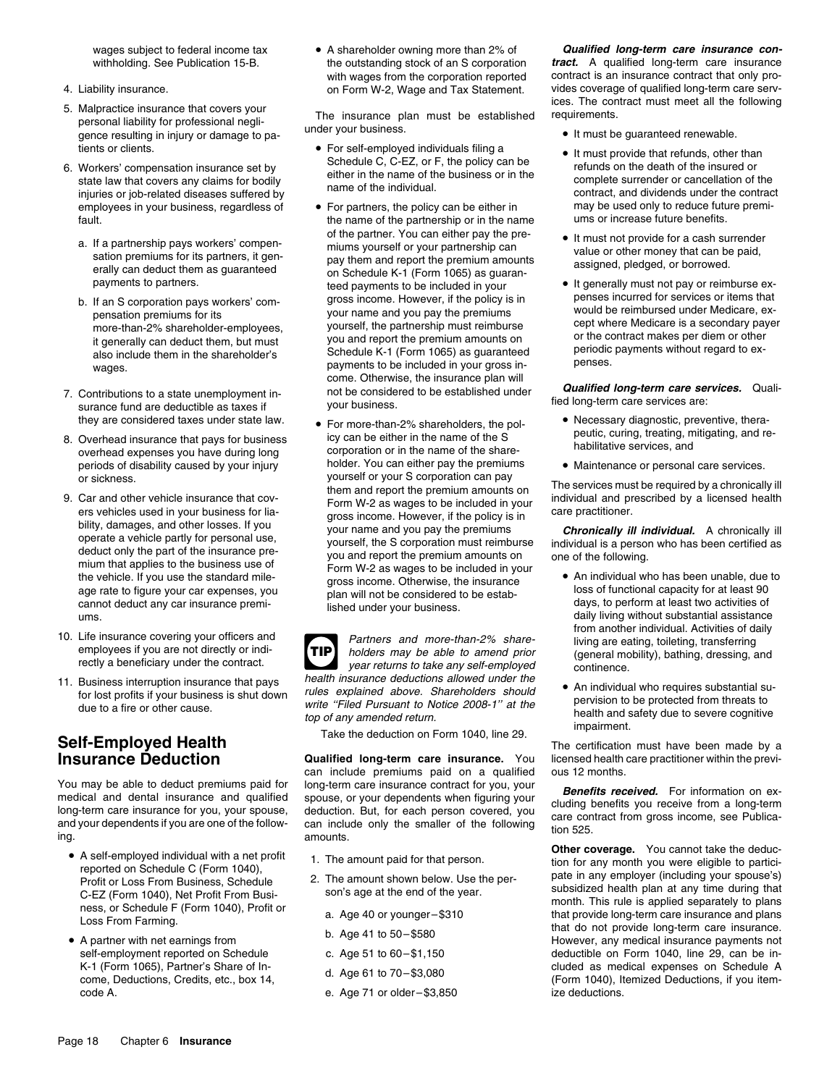- 
- ices. The contract must meet all the following<br>personal liability for professional negli-<br>gence resulting in injury or damage to pa- under your business.<br>gence resulting in injury or damage to pa- under your business.
- -
	-
- surance fund are deductible as taxes if
- 
- 
- 
- 

- 
- code A. e. Age 71 or older–\$3,850 ize deductions.

- tients or clients. For self-employed individuals filing a lt must provide that refunds, other than
- employees in your business, regardless of  $\bullet$  For partners, the policy can be either in may be used only to reduce future premifault. **the name of the partnership or in the name** and the partnership or in the name and the name of the partnership or in the name of the partner. You can either pay the pre-<br>miums yourself or your partnership can<br>you e or other money that can be paid a. If a partnership pays workers' compension premiums for its partners, it generally can deduct them as guaranteed<br>
e and the partnership can and report the premium amounts<br>
payments to partners.<br>
payments to partners.<br>
pa b. If an S corporation pays workers' com-<br>your name and you pay the premiums would be reimbursed under Medicare, ex-<br>your name and you pay the premiums would be reimbursed under Medicare, expensation premiums for its would be reimbursed under Medicare, ex-<br>more-than-2% shareholder-employees, your name and you pay the premiums would be reimbursed under Medicare, ex-<br>it generally can deduct them, but must you a it generally can deduct them, but must you and report the premium amounts on<br>also include them in the shareholder's Schedule K-1 (Form 1065) as guaranteed periodic payments without regard to ex-<br>research payments to be inc payments to be included in your gross in-<br>come. Otherwise, the insurance plan will 7. Contributions to a state unemployment in-<br>curance fund are deductible as taxes if<br>vour business.<br>vour business.<br>price of the stablished under fied long-term care services are:
- are considered taxes under state law. <br>B. Overhead insurance that pays for business icy can be either in the name of the S<br>overhead expenses you have during long corporation or in the name of the share-<br>nabilitative servic periods of disability caused by your injury holder. You can either pay the premiums • Maintenance or personal care services.<br>or sickness. 9. Car and other vehicle insurance that cov-<br>
19. Car and other vehicle insurance that cov-<br>
Insurance that cov-<br>
Insurance that cov-<br>
Insurance that cov-<br>
Insurance in your business for lia-<br>
lighty, damages, and other lo
- **TIP** health insurance deductions allowed under the 11. Business interruption insurance that pays beath insurance deductions allowed under the <br>for lost profits if your business is shut down rules explained above. Shareholders s

**Insurance Deduction Qualified long-term care insurance.** You licensed health care practitioner within the prevican include premiums paid on a qualified ous 12 months. You may be able to deduct premiums paid for<br>medical and dental insurance and qualified spouse, or your dependents when figuring your<br>long-term care insurance for you, your spouse, deduction. But, for each person covered, y

- 
- 
- 
- 
- 
- 
- 

wages subject to federal income tax • A shareholder owning more than 2% of *Qualified long-term care insurance con*withholding. See Publication 15-B. the outstanding stock of an S corporation **tract.** A qualified long-term care insurance with wages from the corporation reported contract is an insurance contract that only pro-4. Liability insurance. on Form W-2, Wage and Tax Statement. vides coverage of qualified long-term care serv-<br>ices. The contract must meet all the following

- 
- Example the internation insurance set by<br>
Example the contract of the policy can be<br>
a the policy can be<br>
Schedule C, C-EZ, or F, the policy can be<br>
state law that covers any claims for bodily<br>
injuries or job-related dise
	-
	-

- they are considered taxes under state law. For more-than-2% shareholders, the pol-<br>• Necessary diagnostic, preventive, thera-
	-

- cannot deduct any car insurance premi-<br>ums. daily living without substantial assistance<br>daily living without substantial assistance 10. Life insurance covering your officers and<br>employees if you are not directly or indi-<br>rectly a beneficiary under the contract.<br>rectly a beneficiary under the contract.<br>year returns to take any self-employed continence.
- Fri. Business interruption insurance that pays<br>for lost profits if your business is shut down<br>due to a fire or other cause.<br>Self-Employed Health<br>Self-Employed Health<br>Self-Employed Health<br>Self-Employed Health<br>Self-Employed

• A self-employed individual with a net profit 1. The amount paid for that person. **Other coverage.** You cannot take the deduc-<br> **Contracted on Schodule C (Form 1040)**<br> **Contracted on Schodule C (Form 1040)** • A self-employed individual with a net profit 1. The amount paid for that person.<br>
reported on Schedule C (Form 1040),<br>
Profit or Loss From Business, Schedule<br>
C-EZ (Form 1040), Net Profit From Busi-<br>
examples the end of A partner with net earnings from  $h$  b. Age 41 to 50-\$580<br>However, any medical insurance payments not self-employment reported on Schedule c. Age 51 to 60-\$1,150 deductible on Form 1040, line 29, can be in-K-1 (Form 1065), Partner's Share of In-<br>
come, Deductions, Credits, etc., box 14, d. Age 61 to 70–\$3,080 come, Deductions, if you item-<br>
come, Deductions, Credits, etc., box 14,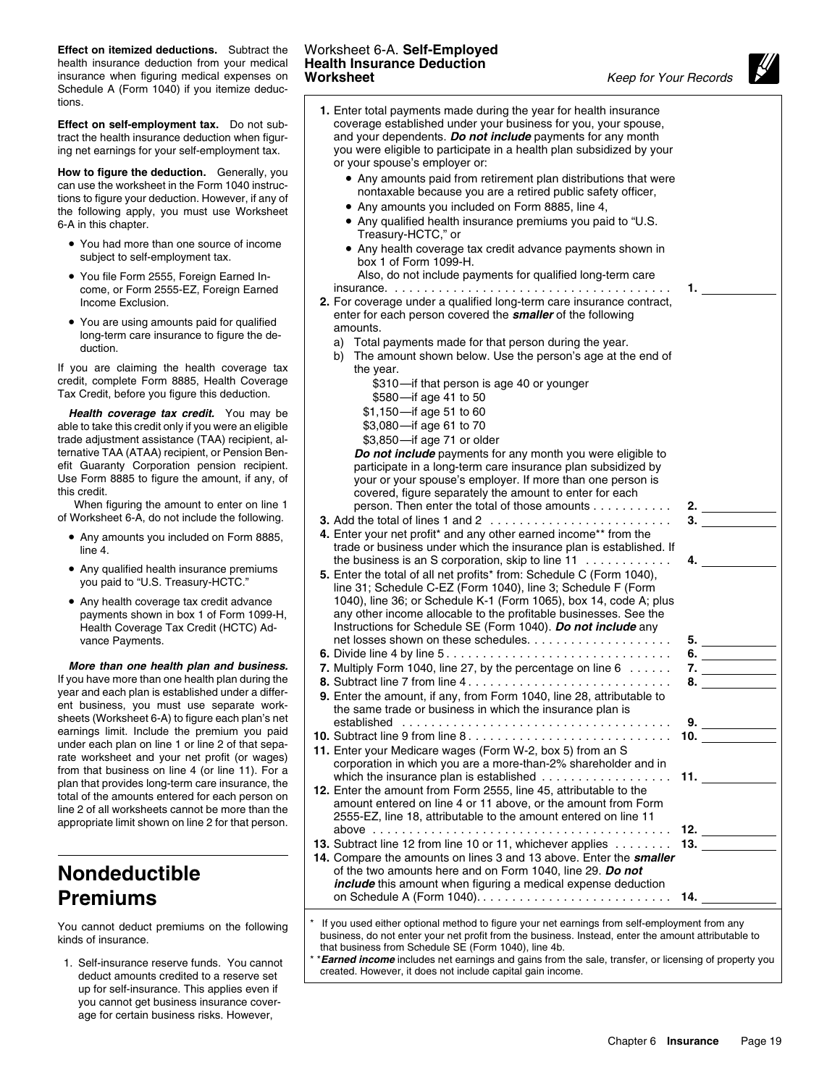**Effect on itemized deductions.** Subtract the Worksheet 6-A. **Self-Employed** health insurance deduction from your medical **Health Insurance Deduction** insurance when figuring medical expenses on **Worksheet** Manual Charles Reprise that Meep for Your Records Schedule A (Form 1040) if you itemize deductions.

the following apply, you must use Worksheet 6-A in this chapter.

- You had more than one source of income  $\qquad \qquad \bullet$
- You file Form 2555, Foreign Earned In-
- 

If you are claiming the health coverage  $\frac{1}{10}$  the year.<br>
credit, complete Form 8885, Health Coverage  $\frac{1}{3310}$ 

**Health coverage tax credit.** You may be  $\left| \right|$  \$1,150—if age 51 to 60 able to take this credit only if you were an eligible  $\sim$  \$3,080—if age 61 to 70 trade adjustment assistance (TAA) recipient, al-<br>ternative TAA (ATAA) recipient, or Pension Ben-<br>**Do not include** payments fo

- Any amounts you included on Form 8885,
- Any qualified health insurance premiums
- Any health coverage tax credit advance

up for self-insurance. This applies even if you cannot get business insurance coverage for certain business risks. However,

- **1.** Enter total payments made during the year for health insurance **Effect on self-employment tax.** Do not sub-<br>
coverage established under your business for you, your spouse, tract the health insurance deduction when figur- and your dependents. **Do not include** payments for any month ing net earnings for your self-employment tax.  $\vert$  you were eligible to participate in a health plan subsidized by your **Frame the deduction.** Generally, you or your spouse's employer or:<br>
can use the worksheet in the Form 1040 instruc-<br> **•** Any amounts paid from retirement plan distributions that were Any amount prompted in the Form 1040 instruc-<br>
that were can use that were can use the form 1040 instructions to the form 1040 instructions to figure you are a retired public safety officer,<br>  $\bullet$  Any amounts you included •Any qualified health insurance premiums you paid to "U.S.<br>Treasury-HCTC," or You had more than one source of income<br>subject to self-employment tax.<br>box 1 of Form 1099-H. Also, do not include payments for qualified long-term care come, or Form 2555-EZ, Foreign Earned insurance. ...................................... **1.** Income Exclusion. **2.** For coverage under a qualified long-term care insurance contract, • You are using amounts paid for qualified enter for each person covered the **smaller** of the following enter for each person covered the **smaller** of the following Vong-term care insurance to figure the de-<br>
a) Total payments made for that person during the year.<br>
b) The amount shown below. Use the person's age at the end of credit, complete Form 8885, Health Coverage  $\overline{\phantom{0}}$  \$310—if that person is age 40 or younger Tax Credit, before you figure this deduction. ternative TAA (ATAA) recipient, or Pension Ben- *Do not include* payments for any month you were eligible to efit Guaranty Corporation pension recipient. participate in a long-term care insurance plan subsidized by<br>Use Form 8885 to figure the amount, if any, of your or your spouse's employer. If more than one person is Use Form 8885 to figure the amount, if any, of your or your spouse's employer. If more than one person is this credit. the credit.<br>
When figuring the amount to enter on line 1<br>
Covered, figure separately the amount to enter for each<br>
person. Then enter the total of those amounts When figuring the amount to enter on line 1 person. Then enter the total of those amounts ............<br>**2.** Add the total of lines 1 and 2 of Worksheet 6-A, do not include the following. **3.** Add the total of lines 1 and 2 ......................... **3.** Any amounts you included on Form 8885, **4.** Enter your net profit\* and any other earned income\*\* from the trade or business under which the insurance plan is establishe trade or business under which the insurance plan is established. If the business is an S corporation, skip to line  $11$  ............. Any qualified health insurance premiums **5.** Enter the total of all net profits\* from: Schedule C (Form 1040), you paid to "U.S. Treasury-HCTC." line 31; Schedule C-EZ (Form 1040), line 3; Schedule F (Form 1040), line 36; or Schedule K-1 (Form 1065), box 14, code A; plus payments shown in box 1 of Form 1099-H, any other income allocable to the profitable businesses. See the Health Coverage Tax Credit (HCTC) Ad- Instructions for Schedule SE (Form 1040). *Do not include* any vance Payments. net losses shown on these schedules. ................... **5. 6.** Divide line 4 by line 5 ............................... **6.** *More than one health plan and business.* **7.** Multiply Form 1040, line 27, by the percentage on line 6 ...... **7.** If you have more than one health plan during the **8.** Subtract line 7 from line 4...............................<br>year and each plan is established under a differ- **9** Foter the amount if any from Form 1040 line 28 attribut year and each plan is established under a differ-<br>ent business, you must use separate work-<br>sheets (Worksheet 6-A) to figure each plan's net<br>earnings limit. Include the premium you paid<br>**10** Subtroot line 0 from line 8 earnings limit. Include the premium you paid<br>
under each plan on line 1 or line 2 of that separate worksheet and your net profit (or wages)<br>
from that business on line 4 (or line 11). For a<br>
plan that provides long-term ca **13.** Subtract line 12 from line 10 or 11, whichever applies ........ **13. 14.** Compare the amounts on lines 3 and 13 above. Enter the *smaller* **Nondeductible** of the two amounts here and on Form 1040, line 29. *Do not include* this amount when figuring a medical expense deduction **Premiums** on Schedule A (Form 1040). .......................... **14.** You cannot deduct premiums on the following \* If you used either optional method to figure your net earnings from self-employment from any
- kinds of insurance.<br>
kinds of insurance.<br>
that business from Schedule SE (Form 1040), line 4b.
- 1. Self-insurance reserve funds. You cannot <sup>\*</sup> *\* Earned income* includes net earnings and gains from the sale, transfer, or licensing of property you deduct amounts credited to a reserve set created. However, it does not include capital gain income.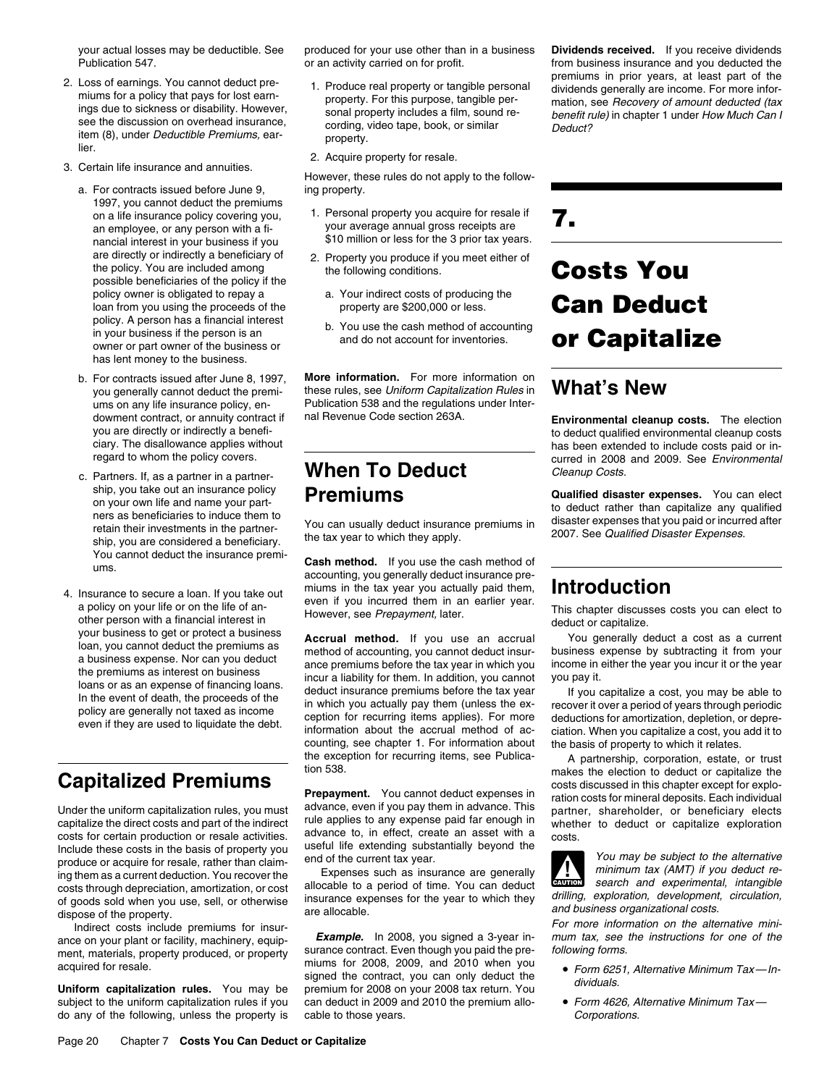- 2. Loss of earnings. You cannot deduct pre-<br>
miums for a policy that pays for lost earn-<br>
ings due to sickness or disability. However,<br>
see the discussion on overhead insurance,<br>
item (8), under *Deductible Premiums*, ear-
- - a. For contracts issued before June 9, ing property. 1997, you cannot deduct the premiums<br>on a life insurance policy covering you,<br>an employee, or any person with a fi-<br>nancial interest in your business if you  $\begin{array}{c} 1. \text{ $\text{Personal property you acquire for resale if}} \\ 3. \text{D million or less for the 3 prior tax years.} \end{array}$$ possible beneficiaries of the policy if the policy owner is obligated to repay a a. Your indirect costs of producing the loan from you using the proceeds of the property are \$200,000 or less. policy. A person has a financial interest b. You use the cash method of accounting<br>in your business if the person is an and to not account for inventories. in your business if the person is an and do not account for inventories. **or Capitalize** has lent money to the business.
	-
	-
- a policy on your life or on the life of an-<br>a policy on your life or on the life of an-<br>other person with a financial interest in<br>your business to get or protect a business<br>loan, you cannot deduct the premiums as<br>a busines

Include these costs in the basis of property you useful life extending substantially beyond the<br>produce or acquire for resale, rather than claim-<br>include them as a current deduction. You recover the Expenses such as insura Expenses such as insurance are generally minimum tax (AMT) if you deduct re-<br>costs through depreciation, amortization, or cost allocable to a period of time. You can deduct<br>of goods sold when you use sell or otherwise insu costs through depreciation, and business through depreciation, amortization, development<br>of goods sold when you use, sell, or otherwise insurance expenses for the year to which they drilling, exploration, development<br>dispo

- 
- 2. Acquire property for resale.<br>3. Certain life insurance and annuities.

However, these rules do not apply to the follow-

- 
- are directly or indirectly a beneficiary of 2. Property you produce if you meet either of the policy. You are included among the following conditions.
	-
	-

b. For contracts issued after June 8, 1997, **More information.** For more information on For contracts issued after June 6, 1997, these information. The more information on<br>you generally cannot deduct the premi-<br>ums on any life insurance policy, en-<br>Publication 538 and the regulations under Inter-Publication 538 and the regulations under Inter-<br>nal Revenue Code section 263A.

retain their investments in the partner-<br>ship, you are considered a beneficiary. The tax year to which they apply. 2007. See Qualified Disaster Expenses.

You cannot deduct the insurance premi-<br>ums.<br>accounting, you generally deduct insurance pre-<br>re-4. Insurance to secure a loan. If you take out miums in the tax year you actually paid them, **Introduction** 

counting, see chapter 1. For information about the basis of property to which it relates.<br>the exception for recurring items, see Publica **A** partnership corporation estate

Under the uniform capitalization rules, you must<br>capitalize the direct costs and part of the indirect<br>costs for certain production or resale activities.<br>Include these costs in the basis of property you useful life extendin

ance on your plant or facility, machinery, equip-<br>ment, materials, property produced, or property surance contract. Even though you paid the pre-<br>following forms. miums for 2008, 2009, and 2010 when you<br>acquired for resale. signed the contract, you can only deduct the dividuals signed the contract, you can only deduct the dividuals.<br>**Uniform capitalization rules.** You may be premium for 2008 on your 2008 tax return. You subject to the uniform capitalization rules if you can deduct in 2009 and 2010 the premium allo- • Form 4626, Alternative Minimum Taxdo any of the following, unless the property is cable to those years. The corporations corporations.

your actual losses may be deductible. See produced for your use other than in a business Dividends received. If you receive dividends Publication 547. **Exercise 3 and 20 an** activity carried on for profit. **From business insurance and you deducted the** 

## **Costs You Can Deduct**

dowment contract, or annuity contract if nal Revenue Code section 263A. **Environmental cleanup costs.** The election you are directly or indirectly a benefi-<br>ciary. The disallowance applies without the state of the state of the costs of the costs paid or inciary. The disallowance applies without extended to include costs paid or in-<br>
regard to whom the policy covers.<br>
regard to whom the policy covers. regard to whom the policy covers.<br>**When To Deduct** Cleanup Costs. Cleanup Costs.

ship, you take out an insurance policy<br>on your own life and name your part-<br>ners as beneficiaries to induce them to<br>ratain their investments in the partner.<br>You can usually deduct insurance premiums in disaster expenses th

Free exception for recurring items, see Publica A partnership, corporation, estate, or trust<br>
tion 538.<br>
Trepayment. You cannot deduct expenses in costs discussed in this chapter except for explo-<br>
Under the uniform capita



dispose of the property.<br>Indirect costs include premiums for insur-<br>Indirect costs include premiums for insur-<br>ance on your plant or facility, machinery, equip-<br>ance on your plant or facility, machinery, equip-<br>ance on you

- 
-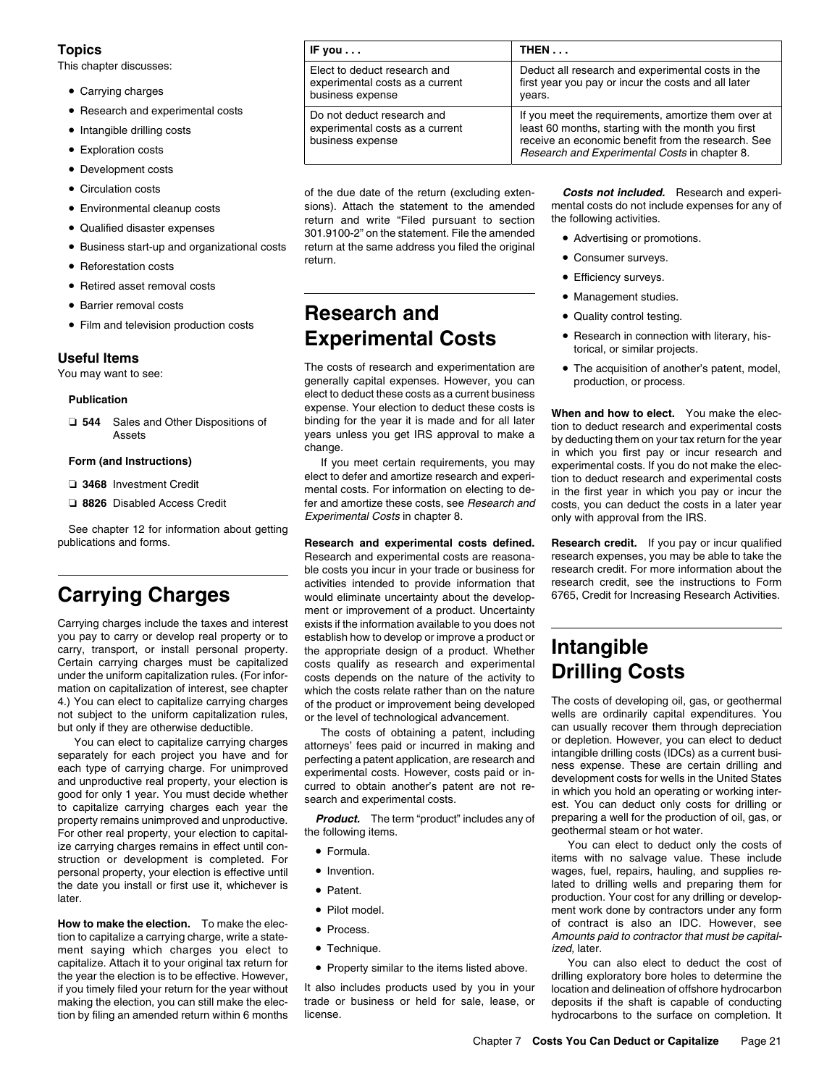- 
- 
- Intangible drilling costs
- 
- Development costs
- Circulation costs
- Environmental cleanup costs
- 
- Business start-up and organizational costs
- Reforestation costs
- Retired asset removal costs
- Barrier removal costs
- Film and television production costs

- 
- 

See chapter 12 for information about getting publications and forms. **Research and experimental costs defined. Research credit.** If you pay or incur qualified

you pay to carry or develop real property or to establish how to develop or improve a product or you pay to carry or develop real property or to establish how to develop or improve a product. Of **Intangible** carry, transport, or install personal property. the appropriate design of a product. Whether **Intangible** Certa Certain carrying charges must be capitalized costs qualify as research and experimental<br>under the uniform capitalization rules. (For infor-costs depends on the nature of the activity to mation on capitalization of interest, see chapter which the costs relate rather than on the nature 4.) You can elect to capitalize carrying charges of the product or improvement being developed The costs of developing oil, gas, or geothermal or the level of technological advancement wells are ordinarily capital expendit not subject to the uniform capitalization rules, or the level of technological advancement. wells are ordinarily capital expenditures. You or the level of technological advancement. wells are ordinarily capital expenditure

property remains unimproved and unproductive. **Product.** The term "product" includes any of preparing a well for the production of oil, gas, or property remains unimproved and unproductive. **Product.** The term "product" in For other real property, your election to capital- the following items.<br>
ize carrying charges remains in effect until con-<br>
For the strive of the costs of the costs of ize carrying charges remains in effect until con-<br>struction or development is completed. For<br>struction or development is completed. For struction or development is completed. For items with no salvage value. These include<br>nersonal property vour election is effective until the invention. personal property, your election is effective until  $\bullet$  Invention.<br>
the date vou install or first use it. whichever is a patent of the state of the lated to drilling wells and preparing them for the date you install or first use it, whichever is • Patent.<br>later.

ment saying which charges you elect to capitalize. Attach it to your original tax return for • Property similar to the items listed above. You can also elect to deduct the cost of

| Topics                            | IF you $\dots$                                                  | THEN                                                                                                     |
|-----------------------------------|-----------------------------------------------------------------|----------------------------------------------------------------------------------------------------------|
| This chapter discusses:           | Elect to deduct research and<br>experimental costs as a current | Deduct all research and experimental costs in the<br>first year you pay or incur the costs and all later |
| • Carrying charges                | business expense                                                | years.                                                                                                   |
| • Research and experimental costs | Do not deduct research and                                      | If you meet the requirements, amortize them over at                                                      |
| • Intangible drilling costs       | experimental costs as a current<br>business expense             | least 60 months, starting with the month you first<br>receive an economic benefit from the research. See |
| • Exploration costs               |                                                                 | Research and Experimental Costs in chapter 8.                                                            |

of the due date of the return (excluding exten-<br> **Costs not included.** Research and experisions). Attach the statement to the amended mental costs do not include expenses for any of return and write "Filed pursuant to section the following activities. return and write "Filed pursuant to section<br>2010 07" on the statement File the amonded 301.9100-2" on the statement. File the amended return at the same address you filed the original • Consumer surveys. return.

**Research and • Quality control testing.** 

Useful Items<br>You may want to see:<br>generally capital expenses. However, you can between the acquisition of another's patent, model, elect to deduct these costs as a current business<br>
expense. Your election to deduct these costs is<br> **Publication and how to elect.** You make the elec-<br> **Publication**<br>
Sales and Other Dispositions of binding for the year it

Experimental Costs in chapter 8. The same only with approval from the IRS.

Research and experimental costs are reasona-<br>ble costs you incur in your trade or business for esearch credit. For more information about the ble costs you incur in your trade or business for research credit. For more information about the activities intended to provide information that research credit, see the instructions to Form activities intended to provide information that **Carrying Charges** would eliminate uncertainty about the develop- 6765, Credit for Increasing Research Activities. ment or improvement of a product. Uncertainty Carrying charges include the taxes and interest exists if the information available to you does not costs quality as research and experimental **Drilling Costs** 

- Formula.
- 
- 
- Pilot model
- 
- 
- 

- Advertising or promotions.
- 
- Efficiency surveys.
- Management studies.
- 
- **Experimental Costs**<br>**Experimental Costs**<br>**identity** torical, or similar projects.
	-

❏ **<sup>544</sup>** Sales and Other Dispositions of binding for the year it is made and for all later tion to deduct research and experimental costs Assets years unless you get IRS approval to make a by deducting them on your tax return for the year change. in which you first pay or incur research and **Form (and Instructions)** If you meet certain requirements, you may experimental costs. If you do not make the elec-**□ 3468** Investment Credit experito defer and amortize research and experi-<br>mental costs. For information on electing to de-<br>**□ 8826** Disabled Access Credit for and amortize these costs, see *Research and* costs, you can costs, you can deduct the costs in a later year

but only if they are otherwise deductible.<br>
You can elect to capitalize carrying charges attorneys' fees paid or incurred in making and<br>
separately for each project you have and for<br>
each type of carrying charge. For unimp

production. Your cost for any drilling or development work done by contractors under any form **How to make the election.** To make the elec- **of contract is also an IDC.** However, see • **and the election** of contract is also an IDC. However, see • **and the capital-** of contract is also an IDC. However, see *and* a Process. tion to capital-<br>
Process. the capital-<br> *ized*, later.

the year the election is to be effective. However,<br>If you timely filed your return for the year without It also includes products used by you in your location and delineation of offshore hydrocarbon if you timely filed your return for the year without It also includes products used by you in your location and delineation of offshore hydrocarbon making the election, you can still make the elec- trade or business or held for sale, lease, or deposits if the shaft is capable of conducting tion by filing an amended return within 6 months license. tion by filing an amended return within 6 months license.<br>
hydrocarbons to the surface on completion. It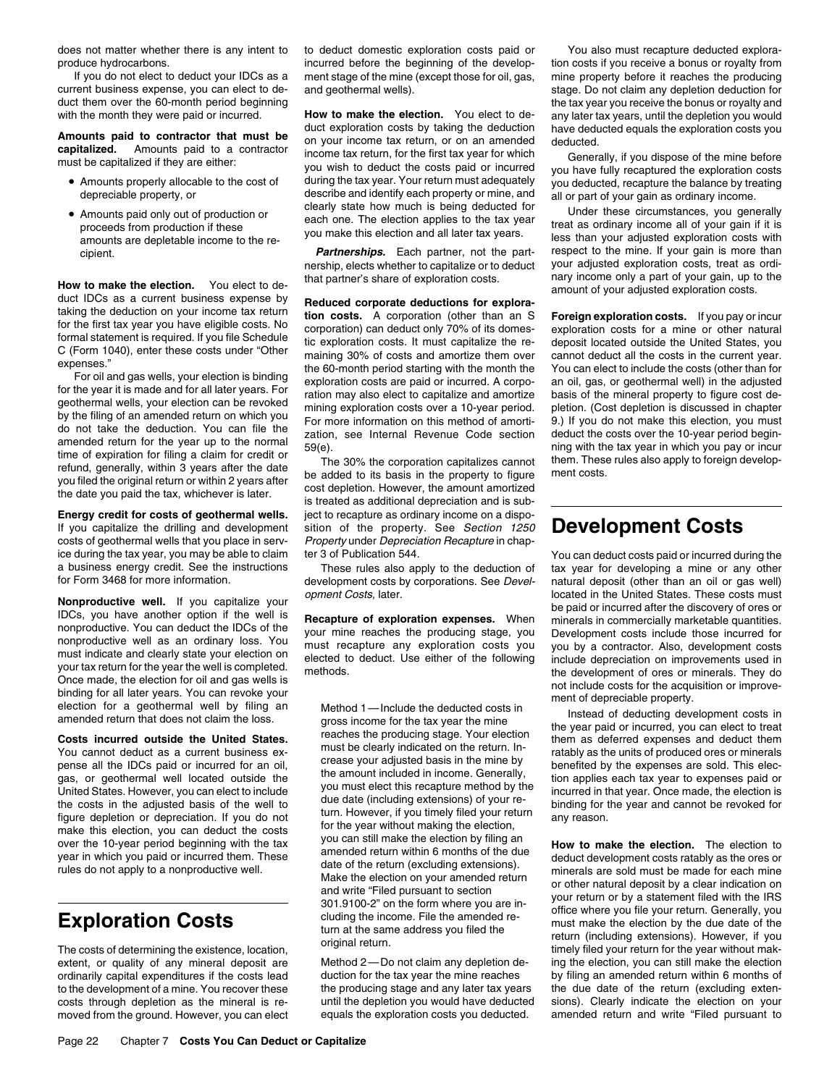- 
- 

ice during the tax year, you may be able to claim ter 3 of Publication 544. You can deduct costs paid or incurred during the a business energy credit. See the instructions These rules also apply to the deduction of tax year for developing a mine or any other for Form 3468 for more information. development costs by corporations. See Devel- natura

extent, or quality of any mineral deposit are Method 2—Do not claim any depletion de- ing the election, you can still make the election ordinarily capital expenditures if the costs lead duction for the tax year the mine reaches by filing an amended return within 6 months of to the development of a mine. You recover these the producing stage and any later tax years the due date of the return (excluding extenmoved from the ground. However, you can elect equals the exploration costs you deducted.

does not matter whether there is any intent to to deduct domestic exploration costs paid or You also must recapture deducted explora-

**Amounts paid to contractor that must be**<br> **capitalized.** Amounts paid to a contractor income tax return, or on an amended deducted.<br>
must be capitalized if they are either:<br>
you wish to deduct the costs paid or incurred y • Amounts properly allocable to the cost of during the tax year. Your return must adequately you deducted, recapture the balance by treating depreciable property, or describe and identify each property or mine, and all or part of your gain as ordinary income.<br>Clearly state how much is being deducted for under these eigenvalues and all or part of these eigenvalu • Amounts paid only out of production or clearly state now much is being deducted for Under these circumstances, you generally each one. The election applies to the tax year treat as ordinary income all of your gain if it

cipient. **Partnerships.** Each partner, not the part- respect to the mine. If your gain is more than cipient.<br>nership.elects whether to capitalize or to deduct your adjusted exploration costs, treat as ordinership, elects whether to capitalize or to deduct your adjusted exploration costs, treat as ordi-<br>that partner's share of exploration costs. That yincome only a part of your gain, up to the

**Energy credit for costs of geothermal wells.** ject to recapture as ordinary income on a dispo-If you capitalize the drilling and development sition of the property. See Section 1250 **Development Costs** costs of geothermal wells that you place in serv- Property under Depreciation Recapture in chap-

development costs by corporations. See Devel- natural deposit (other than an oil or gas well)

Nonproductive well. If you capitatize your *operal costs*, later. These costs must<br>productive well as an ordinary loss. You your mine receivers when the paid or incurred after the discovery of ores or<br>nonproductive. You ca

produce hydrocarbons. incurred before the beginning of the develop- tion costs if you receive a bonus or royalty from If you do not elect to deduct your IDCs as a ment stage of the mine (except those for oil, gas, mine property before it reaches the producing current business expense, you can elect to de- and geothermal wells).<br>
duct them over the 60-month period beginning<br>
duct them over the 60-month period beginning the tax year you receive the bonus or royalty and with the month they were paid or incurred. **How to make the election.** You elect to de-<br>duct exploration costs by taking the deduction have deducted equals the exploration costs you

proceeds from production if these<br>announts are depletable income to the re-<br>**Partnerships.** Each partner, not the part-<br>**Partnerships.** Each partner, not the part-<br>respect to the mine. If your gain is more than

How to make the election. You elect to de-<br>
that partner's share of exploration costs.<br>
any income of your gain, up to the<br>
duct IDDs as a current busines expense by<br>
taking the deduction or your income tax return<br>
for the

costs through depletion as the mineral is re-<br>moved from the ground. However, you can elect equals the exploration costs you deducted. amended return and write "Filed pursuant to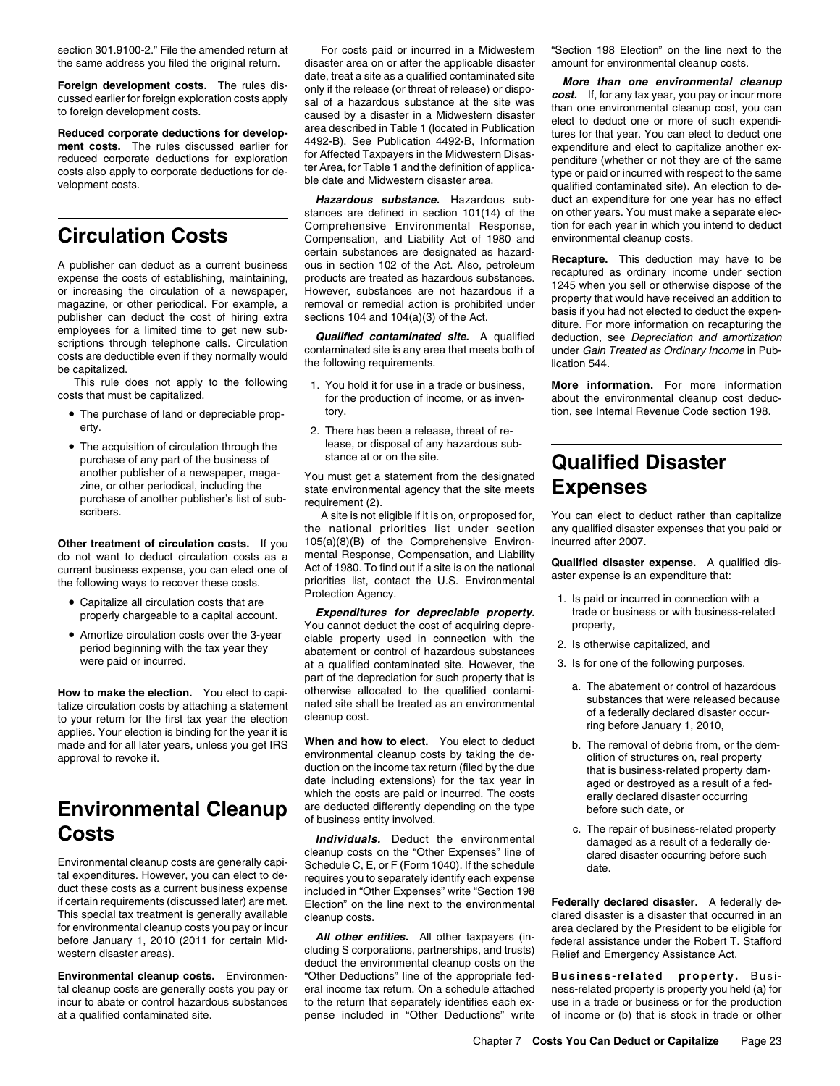This rule does not apply to the following 1. You hold it for use in a trade or business, **More information.** For more information costs that must be capitalized.

- The purchase of land or depreciable property. 2. There has been a release, threat of re-
- The acquisition of circulation through the<br>
purchase of any part of the business of<br>
another publisher of a newspaper, maga-<br>
zine, or other periodical, including the<br>
purchase of another publisher's list of sub-<br>
scribe

do not want to deduct circulation costs as a montal response, compensation, and clasming<br>current business expense, you can elect one of Act of 1980. To find out if a site is on the national aster expense is an expenditure

- 
- Amortize circulation costs over the 3-year

**How to make the election.** You elect to caping the rivise allocated to the qualified contami-<br>talize circulation costs by attaching a statement and the treated as an environmental<br>to your return for the first tax year the

duct these costs as a current business expense included in "Other Expenses" write "Section 198<br>if certain requirements (discussed later) are met. Flection" on the line next to the environmental This special tax treatment is generally available cleanup costs.<br>
for environmental cleanup costs you pay or incur<br> **All other has contained by the Clared by the President to be eligible for** 

at a qualified contaminated site. pense included in "Other Deductions" write of income or (b) that is stock in trade or other

the same address you filed the original return. disaster area on or after the applicable disaster amount for environmental cleanup costs. Foreign development costs. The rules dis-<br>cussed earlier for foreign exploration costs apply<br>the release (or threat of release) or dispo-<br>cussed earlier for foreign exploration costs apply<br>to foreign development costs.<br>Red

stances are defined in section 101(14) of the on other years. You must make a separate elec-<br>Comprehensive Environmental Response, tion for each year in which you intend to deduct Comprehensive Environmental Response, tion for each year in which you intend to detain to detain to detain to to the Costs.<br>Compensation, and Liability Act of 1980 and environmental cleanup costs.

- 
- The acquisition of circulation through the lease, or disposal of any hazardous sub-<br>purchase of any part of the business of stance at or on the site.

**Other treatment of circulation costs.** If you 105(a)(8)(B) of the Comprehensive Environ- incurred after 2007.<br>do not want to deduct circulation costs as a mental Response, Compensation, and Liability the following ways to recover these costs.<br>
Protection Agency.

properly chargeable to a capital account.<br>
You cannot deduct the cost of acquiring depre-<br>
You cannot deduct the cost of acquiring depre-Amortize circulation costs over the 3-year ciable property used in connection with the<br>
period beginning with the tax year they abatement or control of hazardous substances<br>
at a qualified contaminated site. However, the 3 at a qualified contaminated site. However, the 3. Is for one of the following purposes. part of the depreciation for such property that is

approval to revoke it.<br>
approval to revoke it.<br>
duction on the income tax return (filed by the due<br>
duction on the income tax return (filed by the due<br>
date including extensions) for the tax year in<br>
which the costs are pa of business entity involved.

**COSTS**<br> *Individuals* Deduct the environmental<br>
Cheanup costs are generally capible of Schedule C, E, or F (Form 1040). If the schedule<br>
Environmental cleanup costs are generally capible of Schedule C, E, or F (Form 1040) Election" on the line next to the environmental **Federally declared disaster.** A federally de-

for environmental cleanup costs you pay or incur<br>before January 1, 2010 (2011 for certain Mid-**All other entities.** All other taxpayers (in-<br>duding S corporations, partnerships, and trusts)<br>deduct the environmental cleanup **Environmental cleanup costs.** Environmen- "Other Deductions" line of the appropriate fed- **Business-related property.** Busital cleanup costs are generally costs you pay or eral income tax return. On a schedule attached ness-related property is property you held (a) for incur to abate or control hazardous substances to the return that separately identifies each ex- use in a trade or business or for the production

section 301.9100-2." File the amended return at For costs paid or incurred in a Midwestern "Section 198 Election" on the line next to the

ment costs. The rules discussed earlier for the state of the state and elect to capitalize another expenditure and elect to capitalize another expenditure and elect to capitalize another expenditure and elect to capitalize *Hazardous substance.* Hazardous sub- duct an expenditure for one year has no effect

A publisher can deduct as a current business<br>expense the costs of establishing, maintaining, product are designated as hazard-<br>expense the costs of establishing, maintaining, products are texted as hazardous substances.<br>or

for the production of income, or as inven-<br>about the environmental cleanup cost deduction, see Internal Revenue Code section 198.

the national priorities list under section any qualified disaster expenses that you paid or

- Capitalize all circulation costs that are<br>**Expenditures for depreciable property.** Trade or business or with business-related<br>reperty oberseed to a sopital account
	-
	- -
		-
		-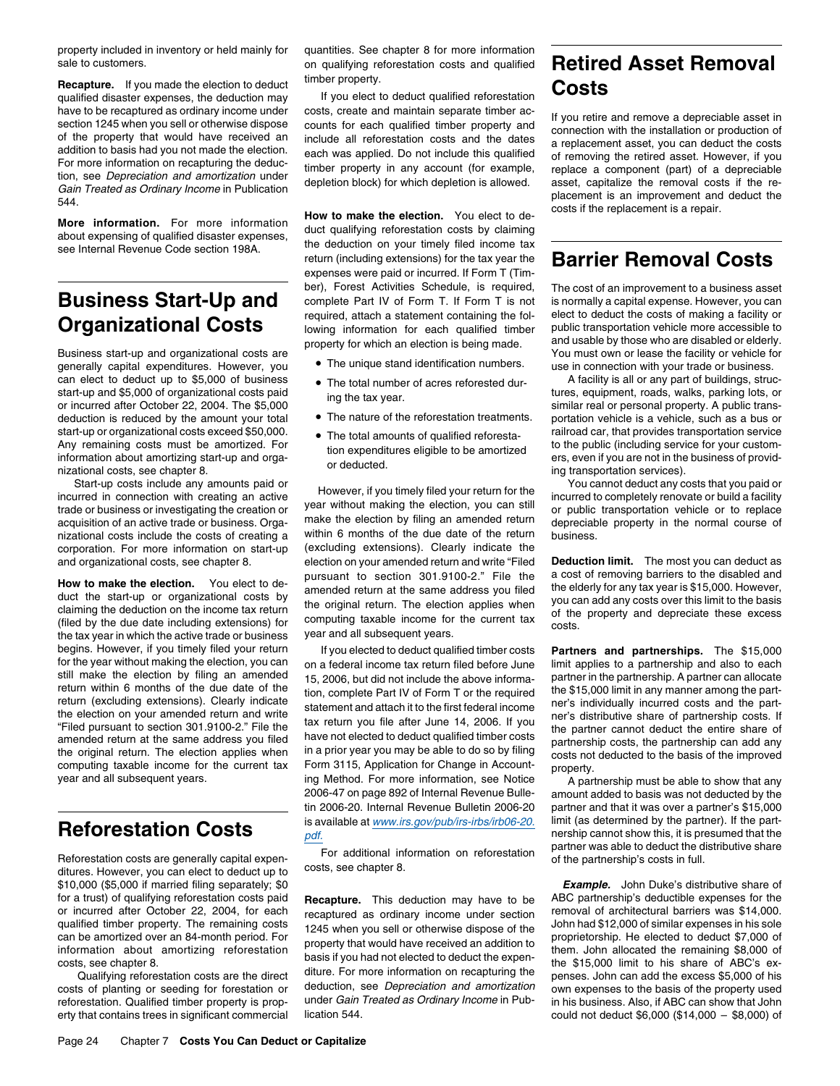sale to customers. **on aualifying reforestation costs and qualified Retired Asset Removal** 

**Recapture.** If you made the election to deduct<br>
qualified disaster expenses, the deduction may by the value of the deduct qualified reforestation Recapture. If you made the election to deduct<br>qualified disaster expenses, the deduction may lif you elect to deduct qualified reforestation<br>have to be recaptured as ordinary income under costs, create and maintain separat have to be recaptured as ordinary income under<br>section 1245 when you sell or otherwise dispose counts for each qualified timber property and<br>different and remove a depreciable asset in<br>addition to basis had you not made th

generally capital expenditures. However, you can elect to deduct up to \$5,000 of business  $\bullet$  The total number of acres reforested dur-<br>A facility is all or any part of buildings, strucstart-up and \$5,000 of organizational costs paid ing the tax year. tures, equipment, roads, walks, parking lots, or<br>or incurred after October 22, 2004. The \$5,000 similar real or personal property. A public trans-<br>deductio deduction is reduced by the amount your total • The nature of the reforestation treatments. portation vehicle is a vehicle, such as a bus or start-up or organizational costs exceed \$50,000. • The total amounts of qualified reforesta-<br>Any remaining costs must be amortized. For<br>fine expanditures eligible to be emortized to the public (including service for your c

Start-up costs include any amounts paid or<br>incurred in connection with creating an active<br>trade or business or investigating the creation or year without making the election, you can still<br>acquisition of an active trade or nizational costs include the costs of creating a within 6 months of the due date of the return business.<br>corporation. For more information on start-up (excluding extensions). Clearly indicate the corporation. For more information on start-up

begins. However, if you timely filed your return If you elected to deduct qualified timber costs **Partners and partnerships.** The \$15,000 for the year without making the election, you can on a federal income tax return fil

\$10,000 (\$5,000 if married filing separately; \$0 *Example.* John Duke's distributive share of

erty that contains trees in significant commercial lication 544. Could not deduct \$6,000 (\$14,000 – \$8,000) of

property included in inventory or held mainly for quantities. See chapter 8 for more information

return (including extensions) for the tax year the **Barrier Removal Costs** expenses were paid or incurred. If Form T (Timber), Forest Activities Schedule, is required, The cost of an improvement to a business asset complete Part IV of Form T. If Form T is not is normally a capital expense. However, you can required, attach a statement contai **Organizational Costs** lowing information for each qualified timber public transportation vehicle more accessible to<br>
property for which an election is being made and usable by those who are disabled or elderly.

- 
- The total number of acres reforested dur-
- 
- 

**How to make the election.** You elect to de-<br>duct the start-up or organizational costs by<br>claiming the deduction on the income tax return the original return. The election applies when<br>(filed by the due date including exte

for the year without making the election, you can on a federal income tax return filed before June limit applies to a partnership and also to each still make the election by filing an amended 15 2006 but did not include th still make the election by filing an amended 15, 2006, but did not include the above informa-<br>return within 6 months of the due date of the tion complete Part IV of Form T or the required the \$15,000 limit in any manner am return within 6 months of the due date of the<br>return (excluding extensions). Clearly indicate<br>the election on your amended return and write<br>"Filed pursuant to section 301.9100-2." File the tax return you file after June 14 amended return at the same address you filed in a prior year to deduct qualitied thinger costs. The partnership can add any<br>the original return. The election applies when in a prior year you may be able to do so by filing computing taxable income for the current tax Form 3115, Application for Change in Account-<br>year and all subsequent years.<br>A part ing Method. For more information, see Notice ing Method. For more information, see Notice and partnership must be able to show that any<br>2006-47 on page 892 of Internal Revenue Bulle-a mount added to basis was not deducted by the tin 2006-20. Internal Revenue Bulletin 2006-20 partner and that it was over a partner's \$15,000

Reforestation costs are generally capital expen-<br>ditures. However, you can elect to deduct up to costs, see chapter 8.<br>ditures. However, you can elect to deduct up to costs, see chapter 8.

For a trust) of qualifying reforestation costs paid<br>or incurred after October 22, 2004, for each<br>qualified timber property. The remaining costs<br>qualified timber property. The remaining costs<br>can be amortized over an 84-mon costs of planting or seeding for forestation or deduction, see *Depreciation* and amortization own expenses to the basis of the property used<br>reforestation Qualified timber property is prop- under *Gain Treated as Ordinary* reforestation. Qualified timber property is prop- under Gain Treated as Ordinary Income in Pub- in his business. Also, if ABC can show that John erty that contains trees in significant commercial lication 544.

and usable by those who are disabled or elderly.<br>Pou must own or lease the facility or vehicle for<br>generally capital expenditures. However, you • The unique stand identification numbers. use in connection with your trade o

State-up of organizational costs exceed \$50,000.<br>Any remaining costs must be amortized. For<br>information about amortizing start-up and orga-<br>nizational costs, see chapter 8.<br>nizational costs, see chapter 8.

and organizational costs, see chapter 8. election on your amended return and write "Filed **Deduction limit.** The most you can deduct as

amount added to basis was not deducted by the **is available at www.irs.gov/pub/irs-irbs/irb06-20.** limit (as determined by the partner). If the part-<br>nership cannot show this, it is presumed that the<br>partner was able to deduct the distributive share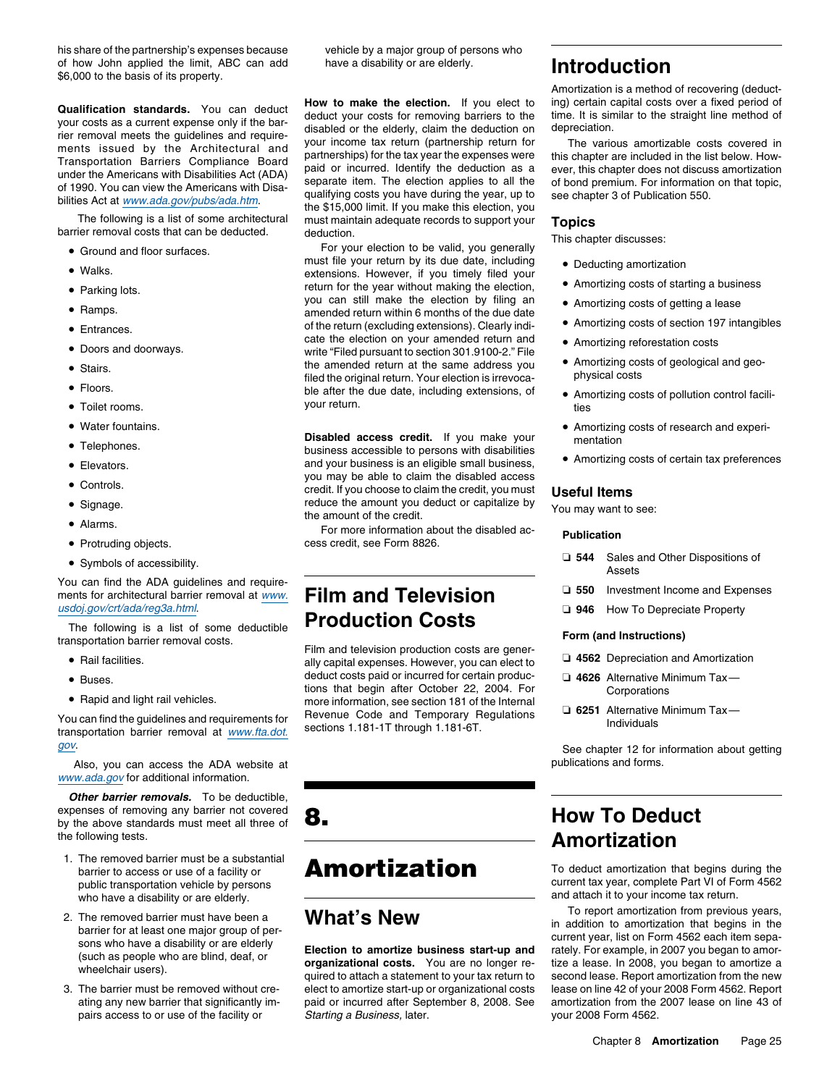his share of the partnership's expenses because vehicle by a major group of persons who of how John applied the limit, ABC can add have a disability or are elderly. **Introduction** \$6,000 to the basis of its property.

- Ground and floor surfaces.
- 
- 
- 
- **•** Entrances.
- 
- 
- Floors.
- Toilet rooms.
- Water fountains.
- 
- 
- 
- Controls.
- Signage.
- Alarms.
- Protruding objects.
- Symbols of accessibility.

You can find the ADA guidelines and require- ❏ **<sup>550</sup>**Investment Income and Expenses ments for architectural barrier removal at www. **Film and Television**

The following is a list of some deductible

- Rail facilities.
- Buses.
- Rapid and light rail vehicles.

You can find the guidelines and requirements for<br>transportation barrier removal at www.fta.dot. sections 1.181-1T through 1.181-6T. gov.<br>See chapter 12 for information about getting

publications and forms. Also, you can access the ADA website at www.ada.gov for additional information.

*Other barrier removals.* To be deductible, expenses of removing any barrier not covered **8. How To Deduct** by the above standards must meet all three of the following tests. **Amortization**

- 1. The removed barrier must be a substantial The removed partier must be a substantial **Amortization** To deduct amortization that begins during the who have a disability or are elderly.
- 
- 

**Qualification standards.** You can deduct **How to make the election.** If you elect to ing) certain capital costs over a fixed period of<br>your costs as a current expense only if the bar-<br>tier removal meets the guidelines an The following is a list of some architectural must maintain adequate records to support your **Topics**<br>barrier removal costs that can be deducted. deduction. This chapter discusses:<br>• Ground and floor surfaces **For your ele** 

must file your return by its due date, including • Deducting amortization of Walks.<br>• Walks. extensions. However, if you timely filed your **extension** extensions. However, if you timely filed your • Parking lots.  $\bullet$  **Parking lots.**  $\bullet$  starting the election, you can still make the election by filing an • Ramps. amended return within 6 months of the due date of the return (excluding extensions). Clearly indi- • Amortizing costs of section 197 intangibles •cate the election on your amended return and • Amortizing reforestation costs •• Doors and doorways. • Stairs. • Chains of the amended return at the same address you • Amortizing costs • Chains and geofiled the original return. Your election is irrevocable after the due date, including extensions, of ble after the due date, including extensions, of <br>your return.<br>ties

business accessible to persons with disabilities • Elevators. **Amortizing costs of certain tax preferences** • election of certain tax preferences you may be able to claim the disabled access credit. If you choose to claim the credit, you must **Useful Items** reduce the amount you deduct or capitalize by You may want to see:<br>the amount of the credit.

> For more information about the disabled ac-<br>**Publication** cess credit, see Form 8826.

## **Production Costs**

**Form (and Instructions)**<br>transportation barrier removal costs.<br>**Film and television production costs are gener-**<br>**Film and television production costs are gener-**<br>**Example 2** 4562 Depreciation and Amortization<br>**Example 2** ally capital expenses. However, you can elect to deduct costs paid or incurred for certain produc- **Q 4626** Alternative Minimum Taxtions that begin after October 22, 2004. For Corporations more information, see section 181 of the Internal Revenue Code and Temporary Regulations **□ 6251** Alternative Minimum Tax—<br>Revenue Code and Temporary Regulations **□ 6251** Alternative Minimum Tax—

3. The barrier must be removed without cre- elect to amortize start-up or organizational costs lease on line 42 of your 2008 Form 4562. Report ating any new barrier that significantly im- paid or incurred after September 8, 2008. See amortization from the 2007 lease on line 43 of pairs access to or use of the facility or Starting a Business, later. The Starting 2008 Form 4562.

Amortization is a method of recovering (deduct-

- 
- Amortizing costs of starting a business
- Amortizing costs of getting a lease
- 
- 
- Amortizing costs of geological and geo-
- 
- Water fountains.<br>• Telephones. Disabled access credit. If you make your **mentation** Telephones.
	- Amortizing costs of certain tax preferences

- ❏ **<sup>544</sup>**Sales and Other Dispositions of •
- 
- 

- 
- 
- 

public transportation vehicle by persons<br>who have a disability or are elderly example that is experience and attach it to your income tax return.

2. The removed barrier must have been a<br>
barrier for at least one major group of per-<br>
sons who have a disability or are elderly<br>
(such as people who are blind, deaf, or<br>
wheelchair users). **Election to amortize business s**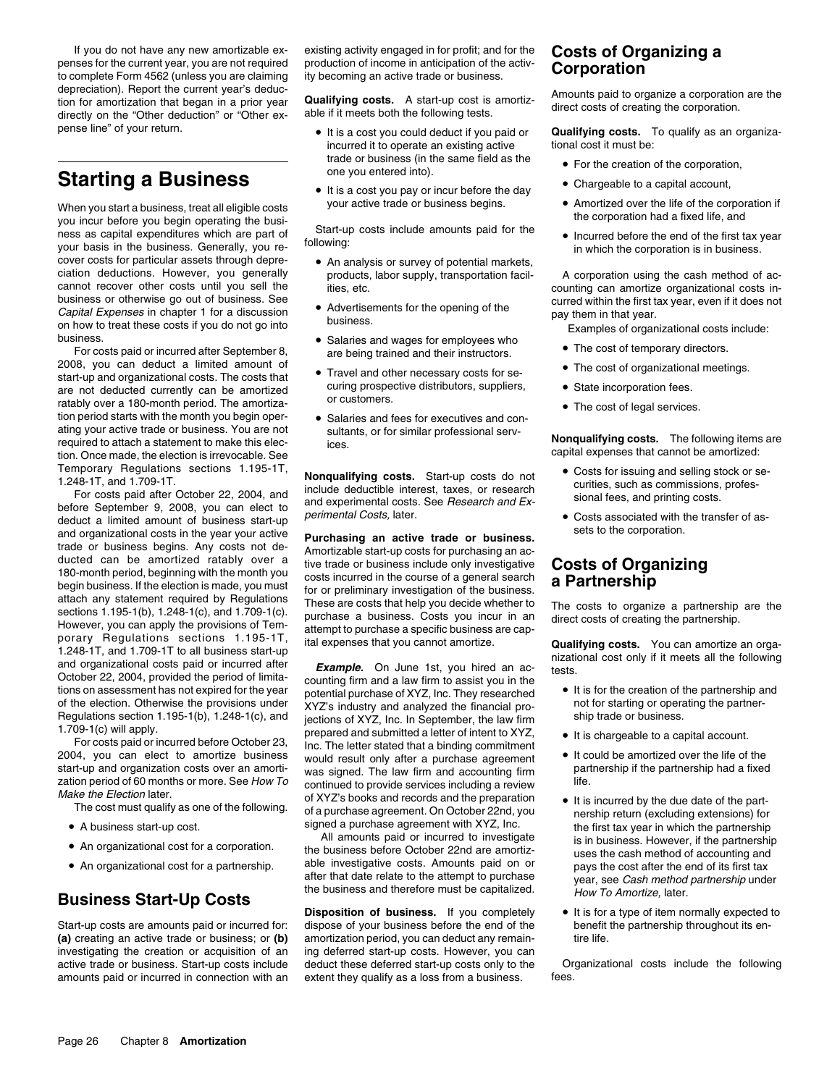depreciation). Report the current year's deduc-<br>tion for amortization that began in a prior year **Qualifying costs.** A start-up cost is amortiz- Amounts paid to organize a corporation are the<br>directly on the "Other deducti pense line" of your return.  $\bullet$  It is a cost you could deduct if you paid or

### **Starting a Business** one you entered into).<br> **Starting a Business •** Chargeable to a capital account,

you incur before you begin operating the busi-<br>ness as capital expenditures which are part of the start-up costs include amounts paid for the **and the corporation had a fixed life**, and<br>ness as capital expenditures which a cover costs for particular assets through depre-<br>ciation deductions. However, you generally expression and products labor supply transportation facilciation deductions. However, you generally products, labor supply, transportation facil-<br>counting can amortize organizational costs until you sell the ities etc. cannot recover other costs until you sell the ities, etc. counting can amortize organizational costs in-<br>counting can amortize organizational costs in-<br>curred within the first tax vear, even if it does not Advertisements for the operators for the Capital Examples of organizational costs include:<br>
business.<br>
Examples of organizational costs include:<br>
business include:<br>
Examples of organizational costs include:<br>
Examples of or

For costs paid or incurred after September 8, are being trained and their instructors. 2008, you can deduct a limited amount of<br>example of Travel and other necessary costs for sedivided to the costs. The costs that the cost in the cost of the cost of the cost of the cost of the cost of the amortized<br>
are not deducted currently can be amortized to currently can be amortized to the cost of legal ser tion period starts with the month you begin oper- • Salaries and fees for executives and conating your active trade or business. You are not<br>
required to attach a statement to make this elec-<br>
ices.<br>
ices.<br>
ices.<br>
capital expenses that cannot be amortized:<br>
capital expenses that cannot be amortized:<br>
capital expe Temporary Regulations sections 1.195-1T,<br>1.248-1T and 1.709-1T<br>1.248-1T and 1.709-1T

1.248-17, and 1.709-117. **Nonqualifying costs.** Start-up costs do not<br>
The postes for issues, or research and selling stock or securities, such as commissions, profes-<br>
For costs paid after October 22, 2004, and include e

For costs paid or incurred before October 23,<br>2004, you can elect to amortize business would result only after a purchase agreement<br>3004, you can elect to amortize business would result only after a purchase agreement<br>31.

- A business start-up cost.
- 
- 

## the business and therefore must be capitalized. How To Amortize, later.<br>**Business Start-Up Costs Disposition of business.** If you completely • It is for a type of item normally expected to

investigating the creation or acquisition of an ing deferred start-up costs. However, you can

If you do not have any new amortizable ex-<br>penses for the current year, you are not required production of income in anticipation of the activ-<br>to complete Form 4562 (unless you are claiming ity becoming an active trade or

- incurred it to operate an existing active tional cost it must be: trade or business (in the same field as the • For the creation of the corporation, one you entered into).
- It is a cost you pay or incur before the day

- 
- 
- Salaries and wages for employees who
- 
- 

of the election. Otherwise the provisions under<br>Regulations section 1.195-1(b), 1.248-1(c), and increase is a ship trade or business.<br>1.709-1(c) will apply. prepared and submitted a letter of intent to XYZ, • It is chargea start-up and organization costs over an amorti-<br>
zation period of 60 months or more. See How To<br>
Make the Election later.<br>
Make the Election later.<br>
Make the Election later.<br>
of XYZ's books and records and the preparation It is incurred by the due date of the part-<br> **It is incurred by the due date of the part-**<br> **A business start-up cost**<br> **A business start-up cost**<br> **A business start-up cost**<br> **A business start-up cost**<br> **A business start-**

the business before October 22nd are amortizable investigative costs. Amounts paid on or • An organizational cost for a partnership. able investigative costs. Amounts paid on or pays the cost after the end of its first tax after that date relate to the attempt to purchase year, see Cash method partnership unde

Start-up costs are amounts paid or incurred for: dispose of your business before the end of the benefit the partnership throughout its en-**(a)** creating an active trade or business; or **(b)** amortization period, you can deduct any remain- tire life. active trade or business. Start-up costs include deduct these deferred start-up costs only to the Organizational costs include the following amounts paid or incurred in connection with an extent they qualify as a loss from a business. fees.

Qualifying costs. To qualify as an organiza-

- 
- 
- When you start a business, treat all eligible costs your active trade or business begins.<br>you incur before you begin operating the busi-
	-

business or otherwise go out of business. See exercisements for the opening of the curred within the first tax year, even if it does not capital Expenses in chapter 1 for a discussion

- 
- The cost of organizational meetings. •
- 
- 

- 
- 

- 
- 
- 
- A business start-up cost. signed a purchase agreement with XYZ, Inc. the first tax year in which the partnership<br>All amounts paid or incurred to investigate<br>An organizational cost for a corporation. the business before Oct
	-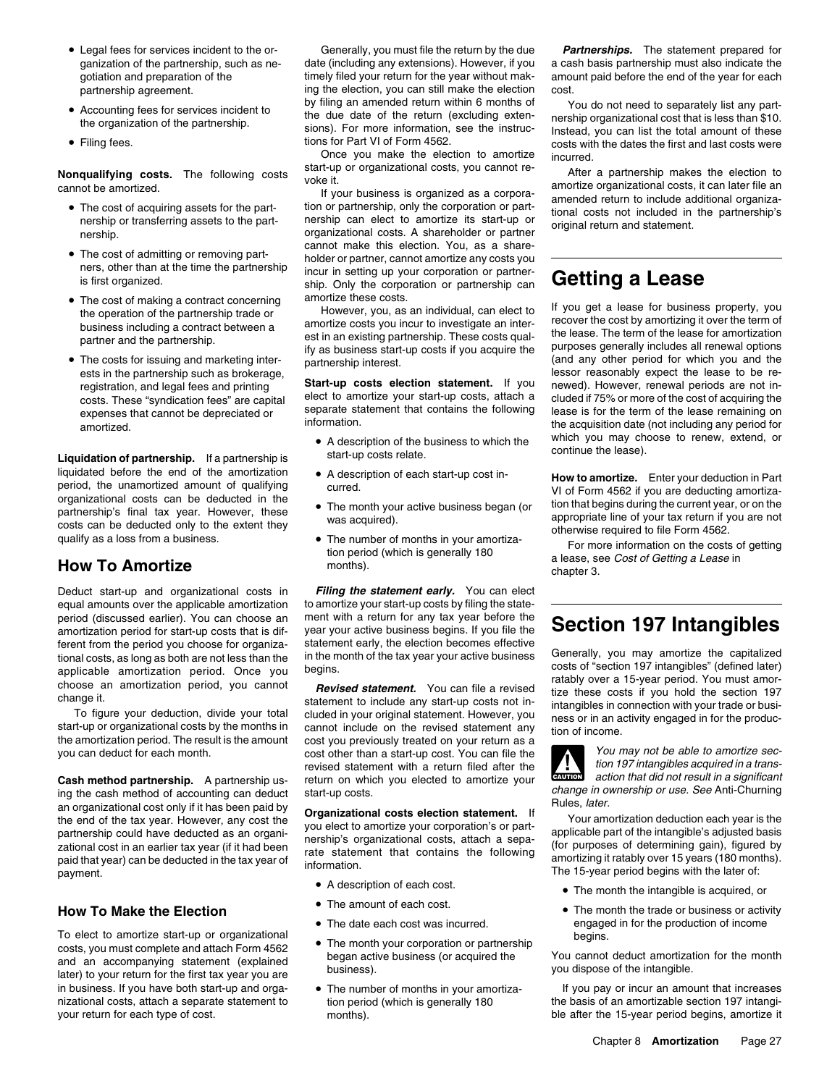- Legal fees for services incident to the or-
- 
- Filing fees.

- The cost of acquiring assets for the part-
- The cost of admitting or removing part-
- The cost of making a contract concerning amortize these costs.
- 

liquidated before the end of the amortization <br>period, the unamortized amount of qualifying curred.<br>organizational costs can be deducted in the **and the state of the cost of the cost** of Form 4562 if you are deducting amor Expansion to the second of the second of the second of the second of the second of the second of the second of the second of the second of the second of the second of the second of the second of the second of the second of

equal amounts over the applicable amortization period (discussed earlier). You can choose an ment with a return for any tax year before the amortization period for start-up costs that is dif-<br>gear your active business begins. If you file the period (discussed earlier). You can choose an intent with a return for any tax year before the **Section 197 Intangibles**<br>amortization period for start-up costs that is dif-<br>ferent from the period you choose for organiza-<br>s ferent from the period you choose for organizain the month of the tax year your active business Generally, you may amortize the capitalized<br>applicable amortization period. Once you begins.

the amortization period. The result is the amount cost you previously treated on your return as a<br>cost other than a start-up cost. You can file the

**Cash method partnership.** A partnership using the cash method of accounting can deduct<br>an organizational costs election statement. If<br>the end of the tax year. However, any cost the<br>partnership could have deducted as an organi-<br>zational costs election statement and paid that year) can be deducted in the tax year of information.<br>The 15-year period begins with the later of:

To elect to amortize start-up or organizational<br>costs, you must complete and attach Form 4562 • The month your corporation or partnership costs, you must complete and attach Form 4562<br>and an accompanying statement (explained began active business (or acquired the You cannot deduct amortization for the month<br>later) to your return for the first tax year you ar in business. If you have both start-up and orga- • The number of months in your amortiza- If you pay or incur an amount that increases nizational costs, attach a separate statement to tion period (which is generally 180 the basis of an amortizable section 197 intangiyour return for each type of cost. months). Coverage months ble after the 15-year period begins, amortize it

ganization of the partnership, such as ne- date (including any extensions). However, if you a cash basis partnership must also indicate the vear tor each contate the vear for each basis partnership must also indicate the v gotiation and preparation of the timely filed your return for the year without mak- amount paid before the end of the year for each partnership agreement. ing the election, you can still make the election cost.<br>by filing an amended return within 6 months of by filing an amended return within 6 months of The Vou do not need to separately list any part-<br>the crassization of the pertacretic of the due date of the return (excluding exten-<br>the crassizational cost that is less than

Once you make the election to amortize incurred.<br>start-up or organizational costs, you cannot re-

• The cost of acquiring assets for the part-<br>nership can elect to amortize its start-up or<br>nership or transferring assets to the part-<br>nership can elect to amortize its start-up or<br>organizational costs. A shareholder or pa cannot make this election. You, as a share- The cost of daminuing of temoving part-<br>ners, other than at the time the partnership<br>is first organized.<br>ship. Only the corporation or partnership can

• The costs for issuing and marketing inter- partnership interest. (and any other period for which you and the partnership interest.)

registration, and legal fees and printing **Start-up costs election statement.** If you newed). However, renewal periods are not in-<br>costs These "syndication fees" are capital elect to amortize your start-up costs, attach a costs. These "syndication fees" are capital elect to amortize your start-up costs, attach a cluded if 75% or more of the cost of acquiring the expansion on expanses that cannot be depreciated or separate statement that con expenses that cannot be depreciated or separate statement that contains the following lease is for the term of the lease remaining on<br>information.

- A description of the business to which the continue the lease). start-up costs relate. **Liquidation of partnership.** If a partnership is
	-
	-
	-

Deduct start-up and organizational costs in **Filing the statement early.** You can elect equal amounts over the applicable amortization to amortize your start-up costs by filing the state-

cost other than a start-up cost. You can file the You may not be able to amortize sec-<br>revised statement with a return filed after the tion 197 intangibles acquired in a trans-

- A description of each cost.
- The amount of each cost.
- The date each cost was incurred.
- 
- 

Generally, you must file the return by the due **Partnerships.** The statement prepared for

Accounting rees for services incluent to<br>the due date of the return (excluding exten-<br>the organization of the partnership.<br>Filing fees.<br>Filing fees on the partnership.<br>Filing fees the structure of these<br>filing fees on the costs with the dates the first and last costs were

**Nonqualifying costs.** The following costs start-up or organizational costs, you cannot re-<br>cannot be amortized. The following costs woke it.<br>If your business is organized as a corpora-<br>in the start of the space of the spa

For the operation of the partnership trade or<br>business including a contract between a<br>partner and the partnership.<br>partner and the partnership.<br>if y as business start-up costs if you acquire the cost pual-<br>if y as business ests in the partnership such as brokerage,<br> **Start-up costs election statement.** If you newed). However, renewal periods are not in-<br>
registration and legal fees and printing **Start-up costs election statement.** If you new information. amortized. the acquisition date (not including any period for • A description of the business to which the which you may choose to renew, extend, or

applicable amortization period. Once you begins.<br>
choose an amortization period, you cannot<br>
change it.<br>
To figure your deduction, divide your total divide in your original statement. However, you can file a revised<br>
state

return on which you elected to amortize your **CAUTION** action that did not result in a significant return on where shange in ownership or use. See Anti-Churning **CAUTION** 

- The month the intangible is acquired, or
- How To Make the Election **Find all Cost. How To Make the Election Find the amount of each cost. •** The month the trade or business or activity engaged in for the production of income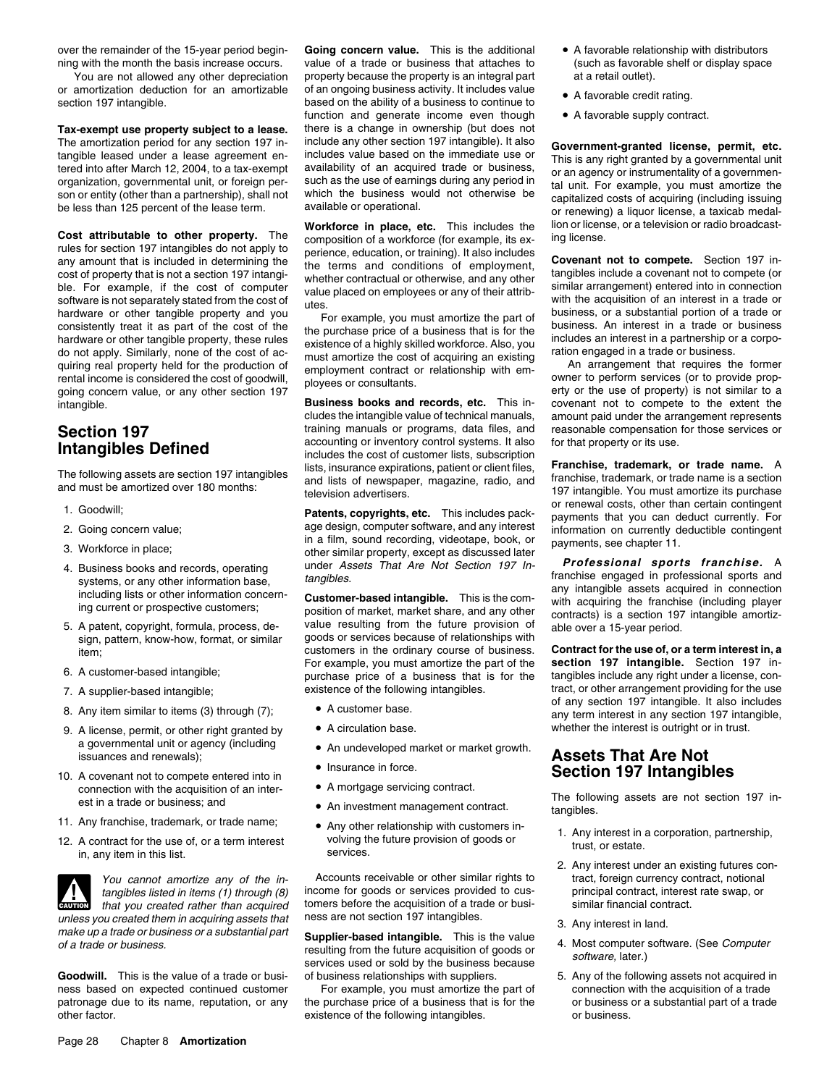over the remainder of the 15-year period begin- **Going concern value.** This is the additional • A favorable relationship with distributors

or amortization deduction for an amortizable of an ongoing business activity. It includes value • A favorable credit rating.<br>
based on the ability of a business to continue to • A favorable credit rating.

**Cost attributable to other property.** The composition of a workforce (for example, its ex-<br>rules for section 197 intangibles do not apply to periodic direction or training). It also includes hardware or other tangible property and you<br>
consistently treat it as part of the cost of the<br>
hardware or other tangible property, these rules<br>
hardware or other tangible property, these rules<br>
do not apply. Similarly, no

- 
- 
- 
- 
- sign, pattern, know-how, format, or similar
- 
- 
- 
- 9. A license, permit, or other right granted by <br>• A circulation base. We can also whether the interest is outright or in trust. a governmental unit or agency (including<br>issuances and renewals);
- 10. A covenant not to compete entered into in **Section 197 Intangibles**<br>
connection with the acquisition of an inter-<br> **A** mortgage servicing contract.
- 11. Any franchise, trademark, or trade name;<br>• Any other relationship with customers in-
- 



that you created rather than acquired tomers before the acquisition of a trade or busi-<br>Nu created them in acquiring assets that pess are not section 197 intangibles.

unless you created them in acquiring assets that ness are not section 197 intangibles.<br>
make up a trade or business or a substantial part **Supplier-based intangible.** This is the value<br>
of a trade or business. (See Compute

ness based on expected continued customer For example, you must amortize the part of connection with the acquisition of a trade patronage due to its name, reputation, or any the purchase price of a business that is for the or business or a substantial part of a trade other factor. **EXIST CONCOCOLLET ACT CONCOCOLLET ACT CONCOCOLLET ACT CONCOCOLLET ACT CONCOCOLLET ACT CONCOCOLLET ACT CONCOCOLLET ACT CONCOCOLLET ACT CONCOCOLLET ACT CONCOCOLLET ACT CONCOCOLLET ACT CONCOCOLLET ACT CONCOCOLL** 

ning with the month the basis increase occurs. value of a trade or business that attaches to (such as favorable shelf or display space You are not allowed any other depreciation property because the property is an integral part at a retail outlet). based on the ability of a business to continue to<br>function and generate income even though . A favorable supply contract. function and generate income even though **Tax-exempt use property subject to a lease.** there is a change in ownership (but does not The amortization period for any section 197 in-<br>The amortization period for any section 197 in-<br> $\frac{1}{2}$  include any other section

rules for section 197 intangibles do not apply to<br>any amount that is included in determining the terms and conditions of employment,<br>cost of property that is not a section 197 intangi-<br>ble. For example, if the cost of comp

**Section 197** training manuals or programs, data files, and reasonable compensation for those services or<br>**Intenguibles Defined** accounting or inventory control systems. It also for that property or its use. **Intangibles Defined**<br>includes the counting of inventory control systems. It also for that property or its use.<br>lists insurance expirations nation client files **Franchise**, trademark, or trade name. A lists, insurance expirations, patient or client files, **Franchise, trademark, or trade name.** <sup>A</sup>

2. Going concern value;<br>3. Workforce in place;<br>3. Workforce in place;<br>4. Business books and records operating under Assets That Are Not Section 197 In-<br>4. Business books and records operating under Assets That Are Not Sect

5. A patent, copyright, formula, process, de-<br>sign pattern know-how format or similar goods or services because of relationships with customers in the ordinary course of business. **Contract for the use of, or a term interest in, a** item; For example, you must amortize the part of the 6. A customer-based intangible;<br>purchase price of a business that is for the tangibles include any right under a license, con-<br>existence of the following intangibles.<br>The tangibles include any right under a license, con-<br>t

- 
- 
- An undeveloped market or market growth. **Assets That Are Not**
- Insurance in force.
- 
- An investment management contract.
- 12. A contract for the use of, or a term interest volving the future provision of goods or<br>in, any item in this list. services services.

You cannot amortize any of the in-<br>tangibles listed in items (1) through (8) income for goods or services provided to cus-<br>tangibles listed in items (1) through (8) income for goods or services provided to cus- principal c tangibles listed in items (1) through (8) income for goods or services provided to cus-<br>that you created rather than acquired tomers before the acquisition of a trade or busi-<br>similar financial contract.

resulting from the future acquisition of goods or  $\frac{4}{100}$  services used or sold by the business because software, later.) Goodwill. This is the value of a trade or busi-<br>
of business relationships with suppliers.<br>
5. Any of the following assets not acquired in

- 
- 
- 

The amortization period for any section 197 include any other section 197 intangible). It also covernment-granted license, permit, etc.<br>
tangible leased under a lease agreement en-<br>
tered into after March 12, 2004, to a ta **Workforce in place, etc.** This includes the lion or license, or a television or radio broadcast-<br>composition of a workforce (for example, its ex-<br>

intangible. **Business books and records, etc.** This in-<br>cludes the intangible value of technical manuals, amount paid under the arrangement represents amount paid under the arrangement represents

The following assets are section 197 intangibles<br>and lists of newspaper, magazine, radio, and<br>television advertisers.<br>Transfer than changible. You must amortize its purchase<br>or renewal costs, other than certain contingent or renewal costs, other than certain contingent 1. Goodwill; **Patents, copyrights, etc.** This includes pack- payments that you can deduct currently. For

4. Business books and records, operating under Assets That Are Not Section 197 In-<br>systems, or any other information base, tangibles.<br>including lists or other information concern-<br>ing current or prospective customers;<br>ing

7. A supplier-based intangible; existence of the following intangibles.<br>8. Any item similar to items (3) through (7);<br>8. Any item similar to items (3) through (7);<br>8. Any item interest in any section 197 intangible.

connection with the acquisition of an inter-<br>est in a trade or business; and **•** An investment management contract.<br>angibles.<br>and <sup>†</sup> angibles.

- 
- 2. Any interest under an existing futures con-
- 
- 
-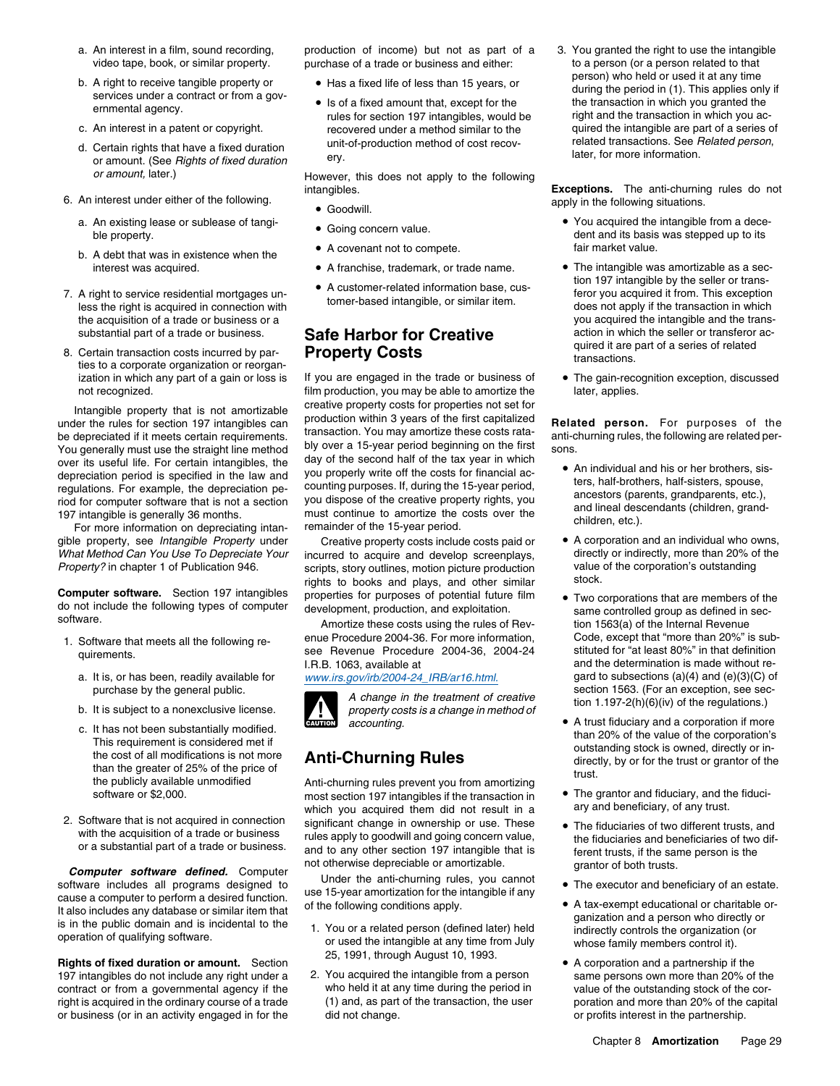- 
- 
- 
- or amount. (See Rights of fixed duration
- 6. An interest under either of the following. An interest under either of the following. An interest under either of the following.
	-
	- b. A debt that was in existence when the  $\bullet$  A covenant not to compete. Fair market value.
- 7. A right to service residential mortgages un-<br>less the right is acquired in connection with tomer-based intangible, or similar item.<br>does not apply if the transaction in which
- quired it are part of a series of a series of a series to a corporate organization or reorgan-<br>transactions.

gible property, see *Intangible Property* under Creative property costs include costs paid or  $\bullet$  A corporation and an individual who owns,<br>What Method Can You Use To Depreciate Your incurred to acquire and develop screen

- -
	-
	- C. It has not been substantially modified.<br>
	This requirement is considered met if<br>
	the cost of all modifications is not more<br>
	than the greater of 25% of the price of<br>
	the publicly available unmodified<br>
	Anti-churning rules
- 

**Computer software defined.** Computer computer computer and programs designed to software includes all programs designed to cause a computer to perform a desired function.<br>
It also includes any database or similar item tha

25, 1991, through August 10, 1993. **Rights of fixed duration or amount.** Section • A corporation and a partnership if the 197 intangibles do not include any right under a 2. You acquired the intangible from a persons as same persons own more than 20% of the 20% of the 2. You acquired the intangible from a persons own more than 20% of the corcontract or from a governmental agency if the who held it at any time during the period in value of the outstanding stock of the corright is acquired in the ordinary course of a trade (1) and, as part of the transaction, the user poration and more than 20% of the capital or business (or in an activity engaged in for the did not change. The state of profits interest in the partnership.

a. An interest in a film, sound recording, production of income) but not as part of a 3. You granted the right to use the intangible

- 
- d. Certain rights that have a fixed duration unit-of-production method of cost recov-<br>exaggeneum (See Rights of fixed duration erver a fixed duration erver a fixed duration.

or amount, later.) The However, this does not apply to the following intangibles. **Exceptions.** The anti-churning rules do not

- Goodwill.
- 
- A covenant not to compete.
- 
- 

ization in which any part of a gain or loss is If you are engaged in the trade or business of  $\bullet$  The gain-recognition exception, discussed<br>not recognized. Intervalsed film production, you may be able to amortize the late film production, you may be able to amortize the Intangible property that is not amortizable<br>under the rules for section 197 intangibles can<br>be depreciated if it meets certain requirements.<br>You generally must use the straight line method<br>over its useful life. For certain From the depreciation period is specified in the law and<br>regulations. For example, the depreciation period is specified in the law and<br>regulations. For example, the depreciation pe-<br>regulations. For example, the depreciati

What Method Can You Use To Depreciate Your incurred to acquire and develop screenplays, directly or indirectly, more than 20% of the corporation's outstanding Property? in chapter 1 of Publication 946. Property? in chapter 1 of Publication 946. scripts, story outlines, motion picture production value<br>
stock. scripts, to books and plays and other cimilary stock. rights to books and plays, and other similar **Computer software.** Section 197 intangibles properties for purposes of potential future film • Two corporations that are members of the do not include the following types of computer development, production, and exploitat

1. Software that meets all the following re-<br>see Revenue Procedure 2004-36, 2004-24 stituted for "at least 80%" in that definition<br>I.R.B. 1063, available at and the determination is made without re-<br>and the determination i



software or \$2,000. most section 197 intangibles if the transaction in • The grantor and fiduciary, and the fiduci-<br>which you acquired them did not result in a early and beneficiary, of any trust. which you acquired them did not result in a 2. Software that is not acquired in connection significant change in ownership or use. These •with the acquisition of a trade or business rules apply to goodwill and going concern value, the fiduciaries and beneficiaries of two dif-<br>or a substantial part of a trade or business. and to any other section 197 intangib

- 
- 

video tape, book, or similar property. experience of a trade or business and either: to a person (or a person related to that purchase of a trade or business and either: to a person) who held or used it at any time b. A right to receive tangible property or • Has a fixed life of less than 15 years, or services under a contract or from a gov- • Is of a fixed amount that, except for the during the period in (1). This applies only if se rules for section 197 intangibles, would be right and the transaction in which you acc. An interest in a patent or copyright. recovered under a method similar to the quired the intangible are part of a series of

- a. An existing lease or sublease of tangi-<br>ble property. **•** Going concern value. **•** Going the intangible from a dece-<br>dent and its basis was stepped up to its dent and its basis was stepped up to its
- interest was acquired.  **A** franchise, trademark, or trade name. The intangible was amortizable as a sec-• A customer-related information base, cus-<br>
feror you acquired it from. This exception the acquisition of a trade or business or a state of a you acquired the intangible and the transsubstantial part of a trade or business. **Safe Harbor for Creative** action in which the seller or transferor ac-<br>Cartein transaction aceta inquired by normal **Dranarty Coots** 
	-

- 
- 
- do not include the following types of computer development, production, and exploitation.<br>Software. Mortize these costs using the rules of Rev- tion 1563(a) of the Internal Revenue a. It is, or has been, readily available for www.irs.gov/irb/2004-24\_IRB/ar16.html. gard to subsections (a)(4) and (e)(3)(C) of purchase by the general public. purchase by the general public.<br>b. It is subject to a nonexclusive license.<br>b. It is subject to a nonexclusive license.<br>property costs is a change in method of<br>property costs is a change in method of
	- **CAUTION A TENSO ALCOMENDENT ACCOUNTING ACCOUNTING.** A trust fiduciary and a corporation if more than 20% of the value of the corporation's
		-
		-
		-
		-
		-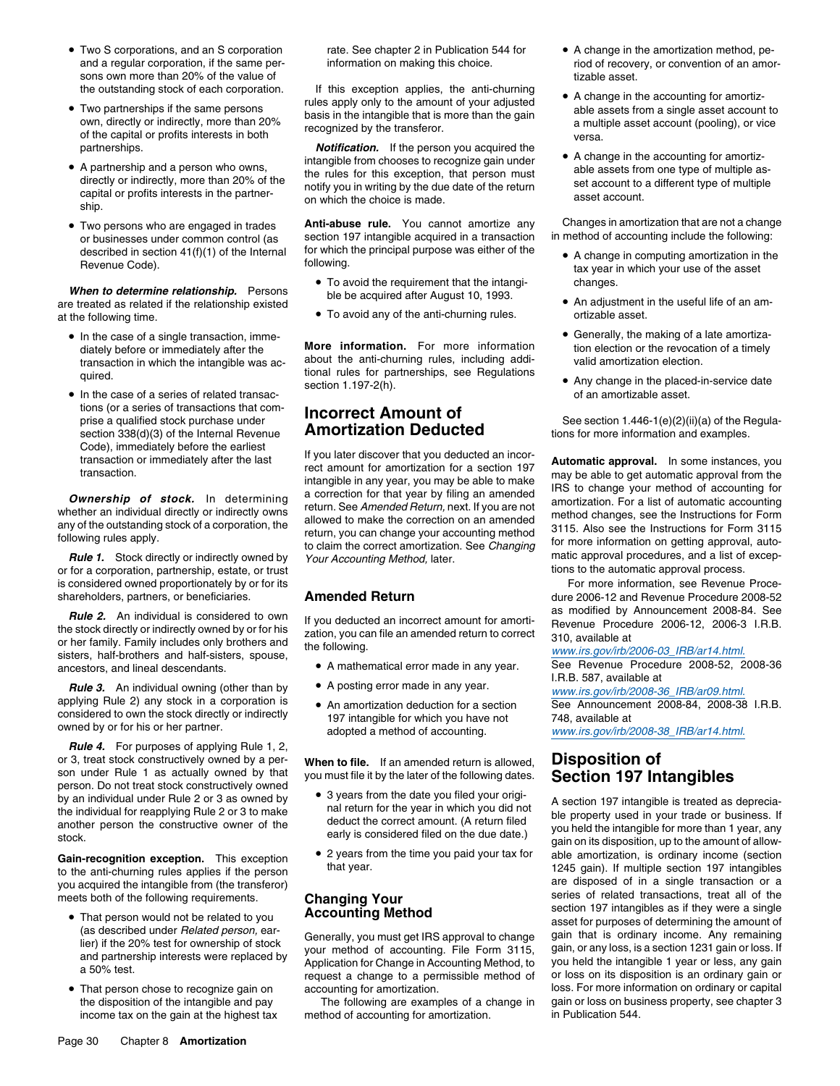- Two S corporations, and an S corporation *rate.* See chapter 2 in Publication 544 for **•** A change in the amortization method, pesons own more than 20% of the value of the value of the value of the value of the value of the value of the value of the value of the value of the value of the value of the value of the value of the value of the value of t
- 
- A partnership and a person who owns,<br>directly or indirectly, more than 20% of the rules for this exception, that person must<br>capital or profits interests in the partner-<br>ship. asset account.
- 

**When to determine relationship.** Persons<br>are treated as related if the relationship existed<br>at the following time.<br>**•** To avoid any of the anti-churning rules.<br>**•** To avoid any of the anti-churning rules.<br>**•** To avoid any at the following time. • To avoid any of the anti-churning rules.

- In the case of a single transaction, imme- Generally, the making of a late amortizatransaction in which the intangible was ac-
- In the case of a series of related transac-  $\overline{\phantom{a}}$  and  $\overline{\phantom{a}}$  and  $\overline{\phantom{a}}$  and  $\overline{\phantom{a}}$  and  $\overline{\phantom{a}}$  of an amortizable asset. tions (or a series of transactions that com-<br> **Incorrect Amount of** See section 1.446-1(e)(2)(ii)(a) of the Regula-<br> **Incorrect Amount of** See section 1.446-1(e)(2)(ii)(a) of the Regulaprise a quanned stock purchase diner<br>section 338(d)(3) of the Internal Revenue **Amortization Deducted** tions for more information and examples.

or for a corporation, partnership, estate, or trust is considered owned proportionately by or for its For more information, see Revenue Proceshareholders, partners, or beneficiaries. **Amended Return** dure 2006-12 and Revenue Procedure 2008-52

**Rule 2.** An individual is considered to own if you deducted an incorrect amount for amorti-<br>the stock directly or indirectly owned by or for his zation, you can file an amended return to correct amount or<br>or her family. F sisters, half-brothers and half-sisters, spouse,<br>ancestors, and lineal descendants. • A mathematical error made in any year. See Revenue Procedure 2008-52, 2008-36

**Rule 3.** An individual owning (other than by • A posting error made in any year.<br>applying Rule 2) any stock in a corporation is • An amortization deduction for a section See Announcement 2008-84, 2008-81 I.R.B.

*Rule 4.* For purposes of applying Rule 1, 2, or 3, treat stock constructively owned by a per-<br>son under Rule 1 as actually owned by that<br>person. Do not treat stock constructively owned<br>by an individual under Rule 2 or 3 as owned by<br>by an individual under Rule 2 or 3

- That person would not be related to you
- That person chose to recognize gain on

the outstanding stock of each corporation. If this exception applies, the anti-churning • A change in the accounting for amortiz-For any to the accounting in the accounting for amount of your adjusted<br>Two partnerships if the same persons besis in the intensible that is more than the gain able assets from a single asset account to

partnerships. *Notification.* If the person you acquired the • A partnership and a person who owns, intangible from chooses to recognize gain under • A change in the accounting for amortiz-<br>- directly a limit in the accounting for amortiz-<br>- directly a limit in the second of the sec

**• Two persons who are engaged in trades Anti-abuse rule.** You cannot amortize any Changes in amortization that are not a change in trades **• Anti-abuse rule.** You cannot amortize any **• Changes in amortization that are** or businesses under common control (as section 197 intangible acquired in a transaction described in section 41(f)(1) of the Internal for which the principal purpose was either of the • A change in computing amortization in the **Francisco in the structure** 

- To avoid the requirement that the intangi-
- 

diately before or immediately after the **More information.** For more information tion election or the revocation of a timely transaction in which the intangible was ac-<br>the anti-churning rules, including addi-<br>valid amorti quired. tional rules for partnerships, see Regulations • section 1.197-2(h).

Code), immediately before the earliest<br>transaction or immediately after the last<br>transaction.<br>**Change is the sect of the sect of the sect of the section** for a section 197<br>**Change is a correction** for that you may be able

- A mathematical error made in any year.
- 
- applying Fulle 2) any stock in a corporation is  $\bullet$  An amortization deduction for a section  $\bullet$  See Announcement 2008-84, 2008-38 I.R.B.<br>
considered to own the stock directly or indirectly and the strangible for which yo

- 
- 

income tax on the gain at the highest tax method of accounting for amortization.

- and a regular corporation, if the same per-<br>information on making this choice. This covery, or convention of an amor-
- own, directly or indirectly, more than 20% basis in the intangible that is more than the gain<br>own, directly or indirectly, more than 20% recognized by the transferor.<br>of the capital or profits interests in both recognized
	- A change in the accounting for amortiz-

- Revenue Code). The revenue Code in the Revenue Code). The Revenue Code is the Revenue Code in which your use of the asset
	-
	-
	- Any change in the placed-in-service date<br>of an amortizable asset.

*Rule 1.* Stock directly or indirectly owned by Your Accounting Method, later. The matic approval procedures, and a list of excep-<br>for a corporation, partnership, estate, or trust

I.R.B. 587, available at

by an individual under Rule 2 or 3 as owned by<br>the individual for reapplying Rule 2 or 3 to make<br>another person the constructive owner of the the searly is considered filed on the due date.)<br>stock. The state of the searly **Gain-recognition exception.** This exception **Calcular** This exception **Calcular** This exception **Calcular** This exception **Calcular** The *anti-churning rules* applies if the person that year.<br>
you acquired the intangible meets both of the following requirements. **Changing Your** series of related transactions, treat all of the<br>• That person would not be related to you **Accounting Method** section 197 intangibles as if they were a single • That person would not be related to you<br>
(as described under *Related person*, ear-<br>
lier) if the 20% test for ownership of stock<br>
and partnership interests were replaced by<br>
a 50% test.<br>
a 50% test.<br>
a 50% test. accounting for amortization. loss. For more information on ordinary or capital the disposition of the intangible and pay The following are examples of a change in gain or loss on business property, see chapter 3<br>income tax on the gain at the highest tax method of accounting for amortization. [15] in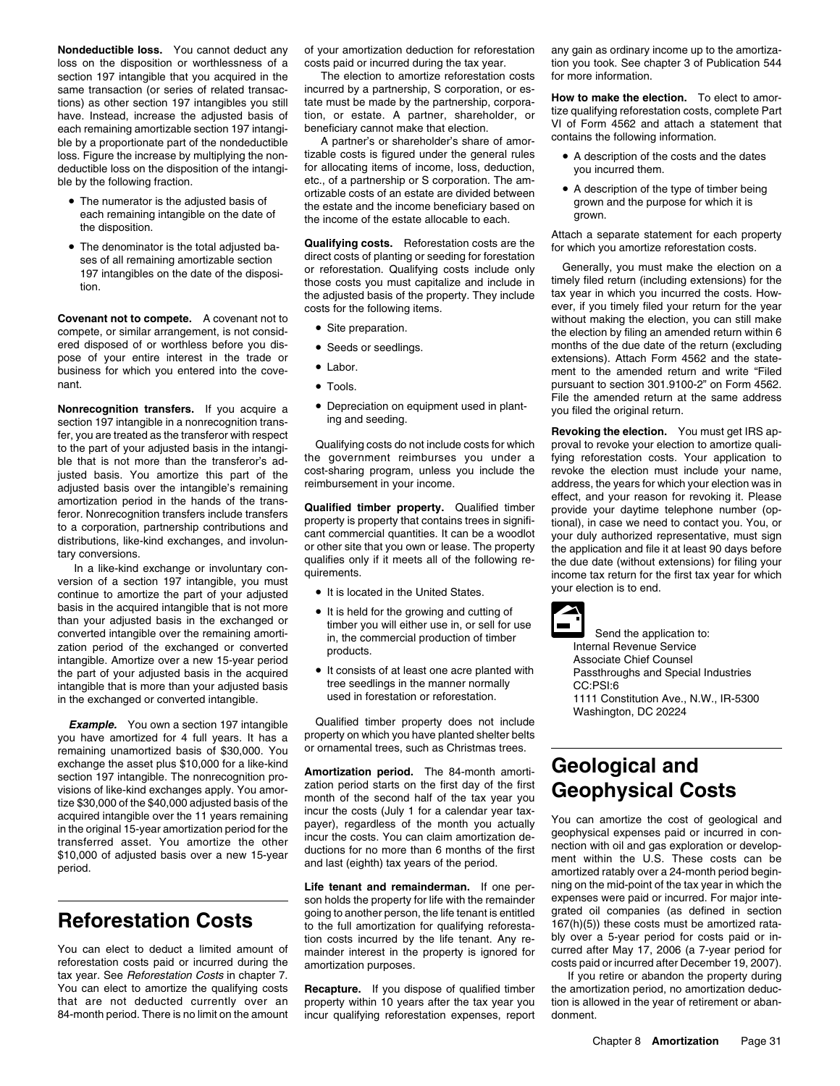**Nondeductible loss.** You cannot deduct any of your amortization deduction for reforestation any gain as ordinary income up to the amortizaloss on the disposition or worthlessness of a costs paid or incurred during the tax year. tion you took. See chapter 3 of Publication 544 section 197 intangible that you acquired in the The election to amortize reforestation costs for more information. same transaction (or series of related transac-<br>tions) as other section 197 intangibles you still tate must be made by the partnership, corpora-<br>have. Instead, increase the adjusted basis of tion, or estate. A partner, sha loss. Figure the increase by multiplying the non-<br>deductible loss on the disposition of the intangi-<br>for allocating items of income, loss, deduction,<br>vou incurred them. deductible loss on the disposition of the intangi- for allocating items of income, loss, deduction, you incurred them.

- The numerator is the adjusted basis of The numerator is the adjusted basis of the estate and the income beneficiary based on each remaining intangible on the date of the estate allocable to each. grown. the disposition.
- 

compete, or similar arrangement, is not consid-<br>
Site preparation.<br>
the election by filing an amended return within 6 ered disposed of or worthless before you dis- • Seeds or seedlings. pose of your entire interest in the trade or business for which you entered into the cove-<br>  $\blacksquare$  Labor.<br>  $\blacksquare$  Labor. nant. •

**Nonrecognition transfers.** If you acquire a **Convertion on equipment used in plant**<br>section 197 intangible in a nonrecognition trans-<br>fer, you are treated as the transferor with respect<br>to the part of your adjusted basis

basis in the acquired intangible that is not more • It is held for the growing and cutting of basis in the acquired manyible that is not more<br>than your adjusted basis in the exchanged or<br>zation period of the exchanged or converted<br>in the commercial production of timber<br>in the commercial production of timber<br>in the intangible. Amortize over a new 15-year period<br>
the part of your adjusted basis in the acquired • It consists of at least one acre planted with Passthroughs and Special Industries<br>
intangible that is more than your adjuste intangible that is more than your adjusted basis tree seedlings in the manner normally co:PSI:6<br>in the exchanged or converted intangible. Used in forestation or reforestation. The manner normally constitution Ave., N.W., I in the exchanged or converted intangible.

you have amortized for 4 full years. It has a property on which you have planted shelter belt<br>remaining unamortized basis of \$30,000. You or ornamental trees, such as Christmas trees. remaining unamortized basis of \$30,000. You exchange the asset plus \$10,000 for a like-kind<br>section 197 intangible. The nonrecognition prodetation period. The 84-month amorti-<br>visions of like-kind exchanges apply. You amortization period starts on the first day of t

reforestation costs paid or incurred during the amortization purposes.<br>The costs paid or incurred after December 19, 2007).<br>If you retire or abandon the property during tax year. See Reforestation Costs in chapter 7. You can elect to amortize the qualifying costs **Recapture.** If you dispose of qualified timber the amortization period, no amortization deducthat are not deducted currently over an property within 10 years after the tax year you tion is allowed in the year of retirement or aban-84-month period. There is no limit on the amount incur qualifying reforestation expenses, report donment.

ble by the following fraction.<br>
ortizable costs of an estate are divided between • A description of the type of timber being ortizable costs of an estate are divided between **A description of the type of timber being ortizable** costs of an estate are divided between **s** grown and the purpose for which it is

• The denominator is the total adjusted ba-<br>ses of all remaining amortizable section<br>197 intangibles on the date of the disposi-<br>197 intangibles on the date of the disposi-<br>197 intangibles on the date of the disposi-<br>197 i

- Site preparation.
- 
- Labor.
- 
- 

- 
- 
- 

**Example.** You own a section 197 intangible Qualified timber property does not include<br>Nu have amortized for 4 full years It has a property on which you have planted shelter belts

son holds the property for life with the remainder expenses were paid or incurred. For major inte-<br>going to another person, the life tenant is entitled grated oil companies (as defined in section **Reforestation Costs** going to another person, the life tenant is entitled grated oil companies (as defined in section to the full amortization for qualifying reforesta-<br>tion costs incurred by the life tenant. Any re- bly tion costs incurred by the life tenant. Any re-You can elect to deduct a limited amount of mainder interest in the property is ignored for curred after May 17, 2006 (a 7-year period for reforestation costs paid or incurred after December 19, 2007).

- 
- 

the disposition.<br>• The denominator is the total adjusted ba-**Qualifying costs.** Reforestation costs are the • for which you amortize reforestation costs.

costs for the following items. ever, if you timely filed your return for the year **Covenant not to compete.** A covenant not to without making the election, you can still make months of the due date of the return (excluding extensions). Attach Form 4562 and the state- Tools. pursuant to section 301.9100-2" on Form 4562. File the amended return at the same address

justed basis. You amortize this part of the cost-sharing program, unless you include the revoke the election must include your name,<br>adjusted basis over the intangible's remaining reimbursement in your income. and address,



Washington, DC 20224

Life tenant and remainderman. If one per-<br>son holds the property for life with the remainder<br>expenses were paid or incurred. For major inte-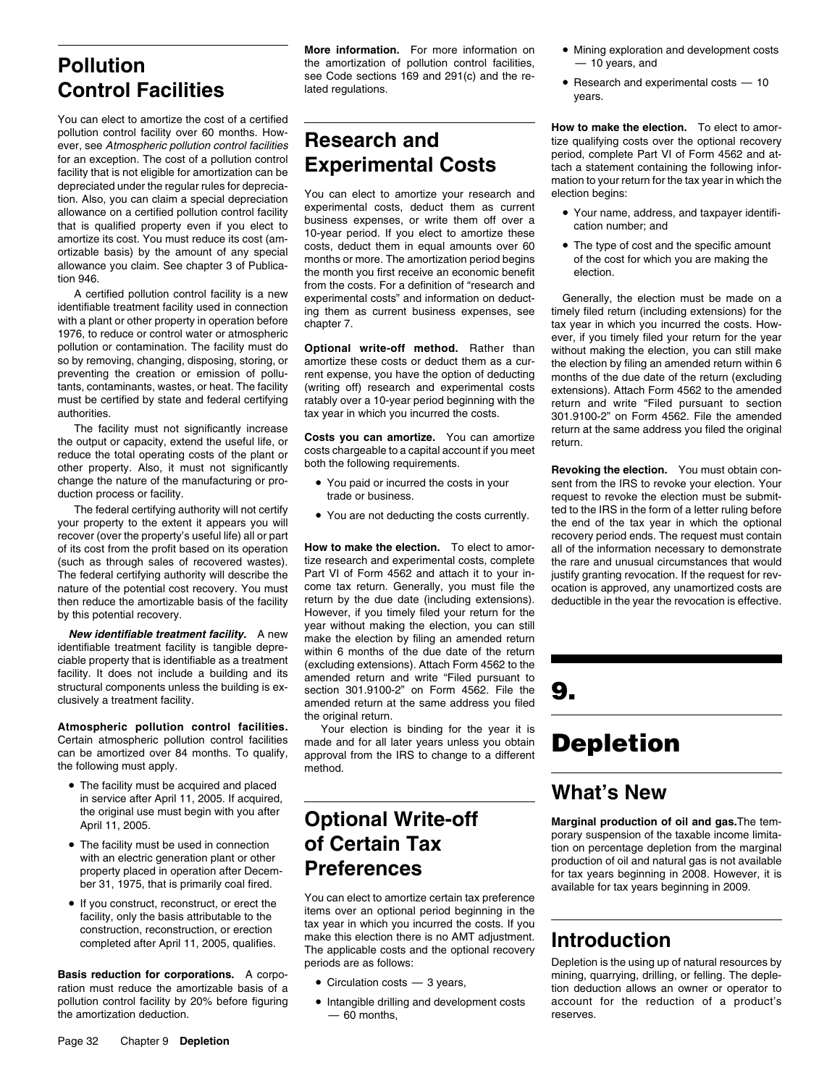You can elect to amortize the cost of a certified pollution control facility over 60 months. How **Research and**<br>
ever, see *Atmospheric pollution control facilities*<br>
facility that is not eligible for amortization can be<br>
facility that is not eligible for amortization can

A certified pollution control facility is a new<br>
identifiable treatment facility used in connection<br>
in g them as current business expenses, see timely filed return (including extensions) for the<br>
inthe plant or other prop

The facility must not significantly increase<br>the output or capacity, extend the useful life, or<br>reduce the total operating costs of the plant or costs chargeable to a capital account if you meet<br>other property. Also, it mu

your property to the extent it appears you will recover (over the property's useful life) all or part<br>of its cost from the profit based on its operation **How to make the election.** To elect to amor- all of the information necessary to demonstrate of its cost from the profit based on its operation **How to make the election.** To elect to amor- all of the information necessary to demonstrate **Austion** (such as through sales of recovered wastes), tize research and expe (such as through sales of recovered wastes). tize research and experimental costs, complete the rare and unusual circumstances that would<br>The federal certifying authority will describe the Part VI of Form 4562 and attach i The federal certifying authority will describe the Part VI of Form 4562 and attach it to your in-<br>nature of the potential cost recovery. You must come tax return. Generally, you must file the ocation is approved, any unamo nature of the potential cost recovery. You must come tax return. Generally, you must file the ocation is approved, any unamortized costs are then reduce the amortizable basis of the facility return by the due date (includi then reduce the amortizable basis of the facility

**New identifiable treatment facility.** A new make the electron by filling an amended return<br>identifiable treatment facility is tangible depre-<br>ciable property that is identifiable as a treatment<br> $\frac{1}{2}$  (excluding exten

the original return. **Atmospheric pollution control facilities.** Your election is binding for the year it is can be amortized over 84 months. To qualify, Certain atmospheric pollution control facilities the following must apply. The method.

- The facility must be acquired and placed The facility must be acquired and placed<br>in service after April 11, 2005. If acquired, **with any contract and all any contract and S** New the original use must begin with you after Ine original use must begin with you after **Optional Write-off** Marginal production of oil and gas. The tem-<br>April 11, 2005.
- The facility must be used in connection
- 

ration must reduce the amortizable basis of a pollution control facility by 20% before figuring the amortization deduction.  $-60$  months,  $-60$  months,  $-60$  months,  $-60$  months,  $-60$  months,  $-60$  months,  $-60$  months,  $-60$  months,  $-60$  months,  $-60$  months,  $-60$  months,  $-60$  months,  $-60$  months,  $-60$  months

**More information.** For more information on • Mining exploration and development costs **Pollution** the amortization of pollution control facilities,  $-10$  years, and see Code sections 169 and 291(c) and the re-<br>lated regulations.  $\bullet$  Research and experimental costs - 10 **Control Facilities Experimental control Facilities Research Accord Lated regulations.** The state of the vears.

- 
- 

by this potential recovery.<br>  $\begin{array}{ccc}\n\bullet \\
\bullet \\
\bullet \\
\bullet\n\end{array}$  However, if you timely filed your return for the<br>
year without making the election, you can still clable property that is identifiable as a treatment<br>facility. It does not include a building and its<br>structural components unless the building is ex-<br>clusively a treatment facility.<br> $\blacksquare$ <br>clusively a treatment facility.<br>

> approval from the IRS to change to a different made and for all later years unless you obtain **Depletion**

• If you construct, reconstruct, or erect the You can elect to amortize certain tax preference<br>focility only the bosin ettributable to the items over an optional period beginning in the • If you construct, reconstruct, or erect the<br>facility, only the basis attributable to the<br>construction, reconstruction, or erection<br>completed after April 11, 2005, qualifies.<br>The applicable costs and the optional recovery periods are as follows: Depletion is the using up of natural resources by

- 
- 
- 
- 

- 
- 

change the nature of the manufacturing or pro-<br>duction process or facility.<br>trade or business.<br>request to revoke the election must be submitrequest to revoke the election must be submit-The federal certifying authority will not certify vertify extination of a letter ruling before the form of a letter ruling before extent it appears you will

porary suspension of the taxable income limita- • The facility must be used in connection **of Certain Tax** tion on percentage depletion from the marginal with an electric generation plant or other property placed in operation after Decem-<br> **Preferences Preferences** fo ber 31, 1975, that is primarily coal fired. And the state of the state of the state of the state for tax years beginning in 2009.

**Basis reduction for corporations.** A corpo-<br> **e** Circulation costs - 3 years, and the amortizable basis of a **base of contact of the ential of the deple-** ration deduction allows an owner or operator to • Intangible drilling and development costs account for the reduction of a product's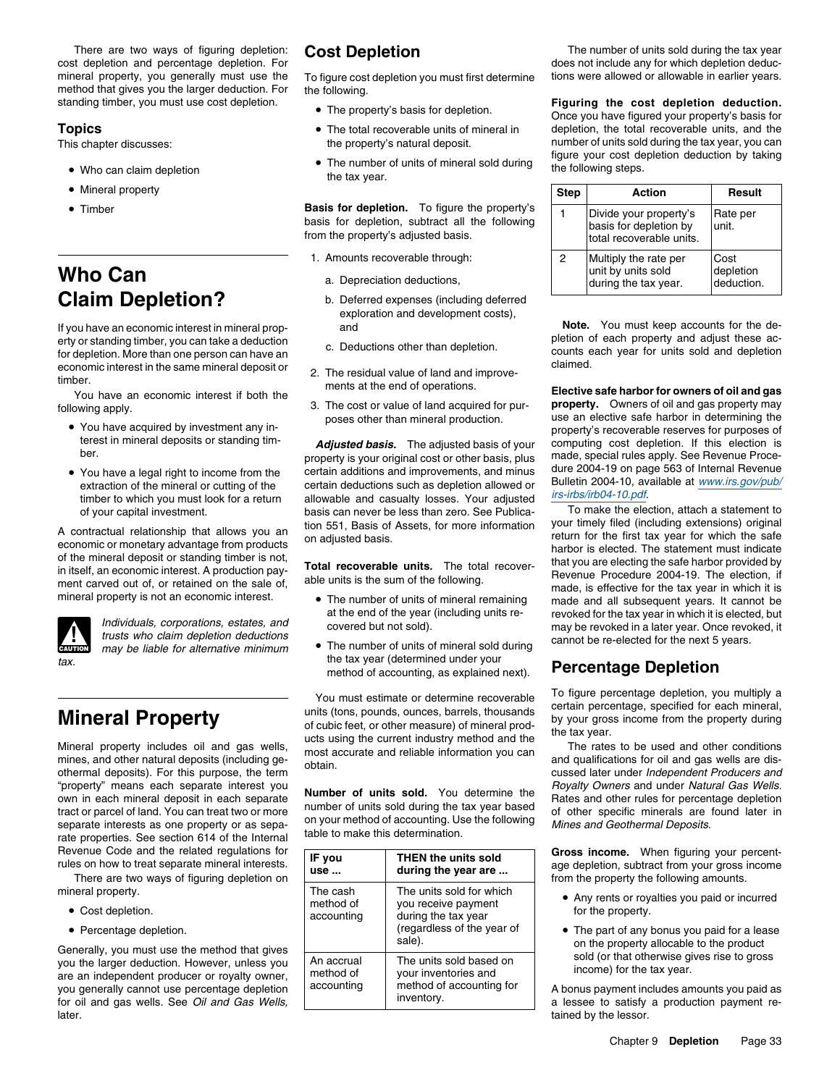mineral property, you generally must use the To figure cost depletion you must first determine tions were allowed or allowable in earlier years. method that gives you the larger deduction. For the following.<br>standing timber, you must use cost depletion.

- $\bullet$  Who can claim depletion
- Mineral property
- Timber

## **Claim Depletion?** b. Deferred expenses (including deferred

If you have an economic interest in mineral prop-<br>
erty or standing timber, you can take a deduction<br>
for depletion. More than one person can have an<br>
economic interest in the same mineral deposit or<br>  $\frac{1}{2}$ . The residu

- You have acquired by investment any in-
- 



"property" means each separate interest you<br>own in each mineral deposit in each separate interest you<br>tract or parcel of land. You can treat two or more number of units sold during the tax year based<br>separate interests as

- 
- Percentage depletion.

you did not income) for the tax year.<br>
you generally cannot use percentage depletion<br>
you generally cannot use percentage depletion<br>
for oil and gas wells. See *Oil and Gas Wells*,<br>
for oil and gas wells. See *Oil and Gas* later. the contract of the lessor. The contract of the lessor. The contract of the lessor.

- 
- 
- The number of units of mineral sold during<br>the tax year.

- 1. Amounts recoverable through:
	-
	- exploration and development costs),
	-
- 
- 

• You have a legal right to income from the certain additions and improvements, and minus dure 2004-19 on page 563 of Internal Revenue<br>extraction of the mineral or cutting of the certain deductions such as depletion allow of your capital investment. basis can never be less than zero. See Publica-<br>fight pass of Assets for more information your timely filed (including extensions) original

- 
- **•** The number of units of mineral sold during the tax year (determined under your method of accounting, as explained next). **Percentage Depletion**

Vou must estimate or determine recoverable<br>
Mineral Property<br>
Mineral property includes oil and gas wells,<br>
mineral and the measure) of mineral produces, barrels, thousands<br>
Mineral property includes oil and gas wells,<br>
mi

| Revenue Code and the related regulations for<br>rules on how to treat separate mineral interests.<br>There are two ways of figuring depletion on | IF you<br>use           | THEN the units sold<br>during the year are      | <b>Gross income.</b> When figuring your percent<br>age depletion, subtract from your gross income<br>from the property the following amounts. |
|--------------------------------------------------------------------------------------------------------------------------------------------------|-------------------------|-------------------------------------------------|-----------------------------------------------------------------------------------------------------------------------------------------------|
| mineral property.                                                                                                                                | The cash                | The units sold for which                        | • Any rents or royalties you paid or incurred                                                                                                 |
| • Cost depletion.                                                                                                                                | method of<br>accounting | you receive payment<br>during the tax year      | for the property.                                                                                                                             |
| • Percentage depletion.                                                                                                                          |                         | (regardless of the year of<br>sale).            | • The part of any bonus you paid for a lease                                                                                                  |
| Generally, you must use the method that gives                                                                                                    |                         |                                                 | on the property allocable to the product                                                                                                      |
| you the larger deduction. However, unless you<br>are an independent producer or royalty owner,                                                   | An accrual<br>method of | The units sold based on<br>your inventories and | sold (or that otherwise gives rise to gross<br>income) for the tax year.                                                                      |
| you generally cannot use percentage depletion<br>for oil and gas wells. See Oil and Gas Wells,                                                   | accounting              | method of accounting for<br>inventory.          | A bonus payment includes amounts you paid as<br>a lessee to satisfy a production payment re-                                                  |

There are two ways of figuring depletion: **Cost Depletion Cost The number of units sold during the tax year cost depletion and percentage depletion. For does not include any for which depletion deduc-<br>
Cost Depletion def** 

• The property's basis for depletion. **Figuring the cost depletion deduction.** • The property's basis for depletion. Once you have figured your property's basis for **Topics •** The total recoverable units of mineral in depletion, the total recoverable units, and the This chapter discusses: the property's natural deposit. This chapter of units sold during the tax year, you can figure your cost depletion deduction by taking<br>the following steps.

| • Mineral property |                                                                                                                                                | <b>Step</b>    | <b>Action</b>                                                                 | Result                  |
|--------------------|------------------------------------------------------------------------------------------------------------------------------------------------|----------------|-------------------------------------------------------------------------------|-------------------------|
| $\bullet$ Timber   | <b>Basis for depletion.</b> To figure the property's<br>basis for depletion, subtract all the following<br>from the property's adjusted basis. |                | Divide your property's<br>basis for depletion by<br>Itotal recoverable units. | Rate per<br>lunit.      |
|                    | 1. Amounts recoverable through:                                                                                                                | $\overline{2}$ | Multiply the rate per                                                         | Cost                    |
| Who Can<br>- -     | a. Depreciation deductions,                                                                                                                    |                | unit by units sold<br>during the tax year.                                    | depletion<br>deduction. |

<sup>21</sup>. The cost or value of land acquired for pur-<br>3. The cost or value of land acquired for pur-<br>property. Owners of oil and gas property may<br>poses other than mineral production. use an elective safe harbor in determining use an elective safe harbor in determining the You have acquired by investment any in-<br>The adjusted basis of your computing cost depletion. If this election is terest in mineral deposits or standing tim-<br>nonerty is your original cost or other basis olus made, special rules apply. See Revenue Proceproperty is your original cost or other basis, plus made, special rules apply. See Revenue Proce-<br>certain additions and improvements, and minus dure 2004-19 on page 563 of Internal Revenue

A contractual relationship that allows you an tion 551, Basis of Assets, for more information your timely filed (including extensions) original<br>economic or monetary advantage from products on adjusted basis.<br>of the mineral of the mineral deposit or standing timber is not,<br>in itself, an economic interest. A production pay-<br>ment carved out of, or retained on the sale of,<br>mineral property is not an economic interest.<br>mineral property is not an • The number of units of mineral remaining made and all subsequent years. It cannot be at the end of the year (including units re-<br>revoked for the tax year in which it is elected, but at the end of the year (including units re-<br>Individuals, corporations, estates, and<br>trusts who claim depletion deductions<br>may be liable for alternative minimum • The number of units of mineral sold during<br>may be liable for

- 
-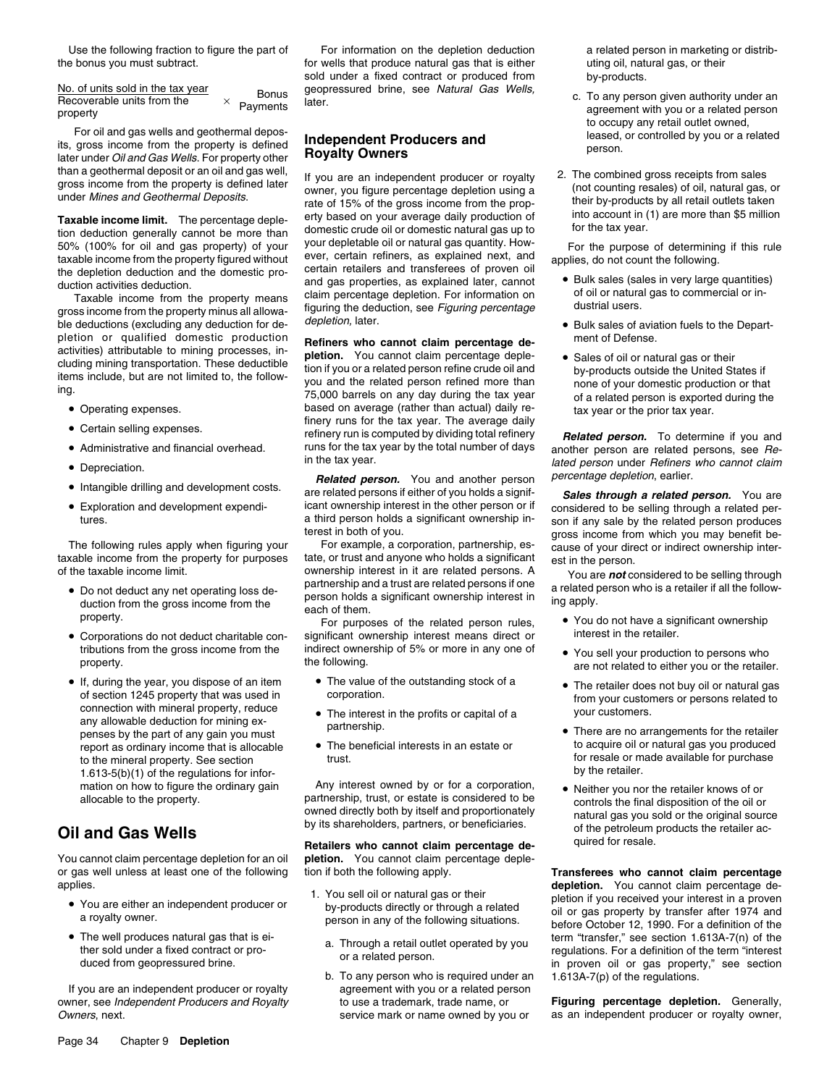the bonus you must subtract. for wells that produce natural gas that is either uting of the bonus you must subtract.

- Operating expenses.
- 
- Administrative and financial overhead.
- Depreciation.
- Intangible drilling and development costs.
- Exploration and development expendi-

taxable income from the property for purposes tate, or trust and anyone who holds a significant est in the person.<br>
of the taxable income limit. 
ownership interest in it are related persons. A

- Do not deduct any net operating loss de-<br>duction from the gross income from the ing apply.<br> $\frac{1}{2}$  ach of them.<br>Each of the related person rules  $\frac{1}{2}$  apply.
- 
- If, during the year, you dispose of an item The value of the outstanding stock of a •The interest in the profits or capital of a your customers.<br>
any allowable deduction for mining ex-<br>
partnership.<br>
partnership.<br> **•** There are no arrangements for the retailer<br>
• There are no arrangements for the retailer to the mineral property. See section by the mineral property. See section by the retailer.<br>1.613-5(b)(1) of the regulations for infor-<br>the mineral property. See section by the retailer.

or gas well unless at least one of the following tion if both the following apply. **Transferees who cannot claim percentage**

- 
- The well produces natural gas that is ei-

If you are an independent producer or royalty owner, see Independent Producers and Royalty to use a trademark, trade name, or **Figuring percentage depletion.** Generally, Owners, next. service mark or name owned by you or as an independent producer or royalty owner,

Use the following fraction to figure the part of For information on the depletion deduction a related person in marketing or distrib-<br>e bonus you must subtract. In for wells that produce natural gas that is either uting oi sold under a fixed contract or produced from by-products.

Taxable income limit. The percentage deple-<br>tion deduction generally cannot be more than<br>50% (100% for oil and gas property) of your wour depletable oil or domestic natural gas up to<br>50% (100% for oil and gas property) of Taxable income from the property means claim percentage depletion. For information on formation of one of one from the property means claim percentage depletion. For information on a distrial users.<br>Taxable income from the

pletion or qualified domestic production<br>activities) attributable to mining processes, in-<br>cluding mining transportation. These deductible<br>items include, but are not limited to, the follow-<br>items include, but are not limit Operating expenses. based on average (rather than actual) daily re-<br>
Certain selling expenses.<br>
For the tax year. The average daily<br>
refinery run is computed by dividing total refinery<br> **Related person**. To determine refinery run is computed by dividing total refinery **Related person.** To determine if you and runs for the tax year by the total number of days another person are related persons, see Reruns for the tax year by the total number of days another person are related persons, see Re-<br>in the tax year.

> *Related person.* You and another person Interpret are related persons if either of you holds a signif-<br> **Sales through a related person.** You are identifying the considered to be selling through a related per-

For example, a corporation, partnership, es-<br>tate, or trust and anyone who holds a significant<br>est in the person the taxable income limit. ownership interest in it are related persons. A<br>bo not deduct any net operating loss de-<br>Do not deduct any net operating loss de-<br>partnership and a trust are related persons if one • • • • • • •

• Corporations do not deduct charitable con- significant ownership interest means direct or interest in the retailer. tributions from the gross income from the indirect ownership of 5% or more in any one of

- 
- 
- The beneficial interests in an estate or

mation on how to figure the ordinary gain Any interest owned by or for a corporation, . Neither you nor the retailer knows of or

You cannot claim percentage depletion for an oil **pletion.** You cannot claim percentage deple-

- -
	- b. To any person who is required under an  $1.613A-7(p)$  of the regulations.<br>agreement with you or a related person

- No. of units sold in the tax year Bonus Bonus are operation of the see Natural Gas Wells,<br>
Property and gas wells and geothermal depos-<br>
For oil and gas wells and geothermal depos-<br>
Its, gross income from the property is d
- than a geothermal deposit or an oil and gas well,<br>gross income from the property is defined later and the you figure percentage depletion using a (not counting resales) of oil, natural gas, or<br>under *Mines and Geothermal D*

- 
- 
- 

lated person under Refiners who cannot claim<br>percentage depletion, earlier.

Exploration and development expendi-<br>a third person holds a significant ownership in-<br>for if any sale by the related person produces tures. a third person holds a significant ownership in-<br>terest in both of you. gross income from which you may benefit be-<br>The following rules apply when figuring your For example, a corporation, partnership, es-<br>For examp

- For purposes of the related person rules,  $\bullet$  You do not have a significant ownership<br>
inticant ownership interest means direct or interest in the retailer.
- Triputions from the gross income from the indirect ownership of 5% or more in any one of vou sell your production to persons who the following.
- The retailer does not buy oil or natural gas of section 1245 property that was used in corporation.<br>The interest in the profits or capital of a from your customers or persons related to connection with mineral property, re
- penses by the part of any gain you must<br>report as ordinary income that is allocable  $\bullet$  The beneficial interests in an estate or  $\bullet$  to acquire oil or natural gas you produced report as ordinary income that is allocable  $\bullet$  The beneficial interests in an estate or to acquire oil or natural gas you produced report as ordinary income that is allocable  $\bullet$  The beneficial interests in an estate or
- mation on now to figure the ordinary gain<br>allocable to the property.<br>
allocable to the property.<br> **Oil and Gas Wells**<br>
and Gas Wells<br>
and Gas Wells<br>
and Gas Wells<br>
and Gas Wells<br>
and Gas Wells<br>
and Gas Wells<br>
and Gas Wells

applies.<br>**1.** You sell oil or natural gas or their a pletion. You cannot claim percentage de-<br>1. by-products directly or through a related in a proven by transfer after 1974 and **•** You are either and independent producer a royalty owner. The products of through a related oil or gas property by transfer after 1974 and a royalty owner. The well produces natural gas that is ei-<br>ther sold under a fixed contract or pro-<br>duced from geopressured brine. or a related person.<br>duced from geopressured brine.<br>in proven oil or gas property," see section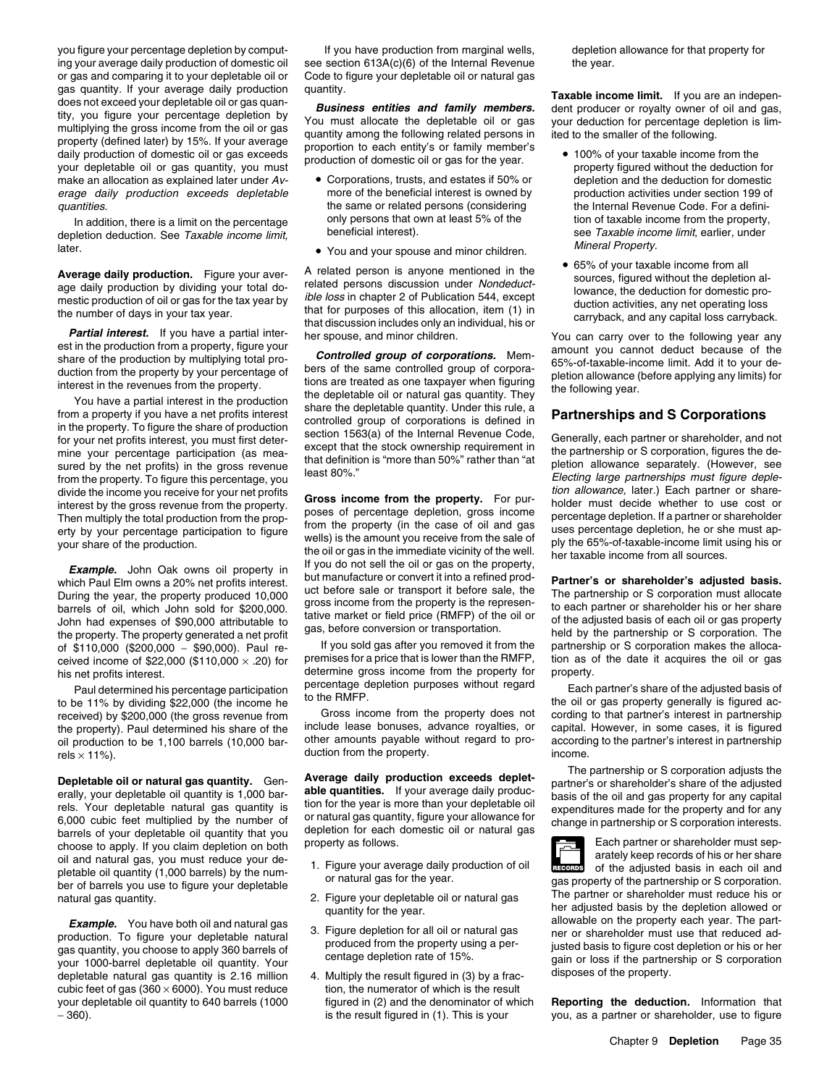you figure your percentage depletion by comput-<br>If you have production from marginal wells, depletion allowance for that property for ing your average daily production of domestic oil see section 613A(c)(6) of the Internal Revenue the year. or gas and comparing it to your depletable oil or Code to figure your depletable oil or natural gas gas quantity. If your average daily production quantity.<br>
does not exceed your depletable oil or gas quan-<br>
tity, you figure your percentage depletion by<br>
multiplying the gross income from the oil or gas<br>
property (defined make an allocation as explained later under  $Av-$  Corporations, trusts, and estates if 50% or depletion and the deduction for domestic erage daily production exceeds depletable more of the beneficial interest is owned by production activities under section 199 of quantities. the same or related persons (considering the Internal Revenue Code. For a defini-

depletion deduction. See Taxable income limit, beneficial interest). See Taxable income limit, beneficial inter<br>later and unit of You and your applicance and minor objiding and Mineral Property. American Charles Courses and Windows Children. Mineral Property.<br>
ater. The Mineral Property.

of \$110,000 (\$200,000 – \$90,000). Paul re- If you sold gas after you removed it from the partnership or S corporation makes the alloca-<br>ceived income of \$22.000 (\$110,000 × 20) for premises for a price that is lower than t ceived income of \$22,000 (\$110,000  $\times$  .20) for premises for a price that is lower than the RMFP, tion as c<br>his net property for property.

en processuit is a set of the context of the property.<br>
duction from the property. income.

**Depletable oil or natural gas quantity.** Gen-<br>
begins the quantity is 1,000 bar-<br>
begins the quantities. If your depleted be the action of the year is the search of the year is the oil quantities. The search of the year i

**Example.** You have both oil and natural gas<br>production. To figure your depletable natural gas<br>gas quantity, you choose to apply 360 barrels of<br>your 1000-barrel depletable oil quantity. Your<br>depletable oil quantity. Your<br>d cubic feet of gas (360  $\times$  6000). You must reduce tion, the numerator of which is the result your depletable oil quantity to 640 barrels (1000 figured in (2) and the denominator of which **Reporting the deduction.** Information that

- 
- 

**Average daily production.** Figure your aver-<br>
age daily production by dividing your total do-<br>
age daily production by dividing your total do-<br>
metate proses in charge loss in charge is the consister and the Nonedauti-<br>

divide the income you receive for your net profits<br>increase of percentage depletion, gross income to allowance, later.) Each partner or share-<br>Then multiply the gross rotation from the property. Tor pur-<br>Then multiply the

his net profits interest.<br>
net property for determine gross income from the property for<br>
percentage depletion purposes without regard

received) by \$200,000 (the gross revenue from Gross income from the property does not cording to that partner's interest in partnership<br>the property) Paul determined his share of the include lease bonuses, advance royaltie

- 
- 
- 
- 

- In addition, there is a limit on the percentage only persons that own at least 5% of the tion of taxable income from the property,<br>
oletion deduction, See Taxable income limit beneficial interest). See Taxable income limit
	- 65% of your taxable income from all

Paul determined his percentage participation<br>to be 11% by dividing \$22,000 (the income he<br>received) by \$20,000 (the income he<br>received) by \$20,000 (the gross revenue from the Sample of the property does not cording to that the property). Paul determined his share of the include lease bonuses, advance royalties, or capital. However, in some cases, it is figured<br>oil production to be 1.100 barrels (10,000 bar. other amounts payable without rega oil production to be 1,100 barrels (10,000 bar- other amounts payable without regard to pro- according to the partner's interest in partnership

The partnership or S corporation adjusts the



<sup>−</sup> 360). is the result figured in (1). This is your you, as a partner or shareholder, use to figure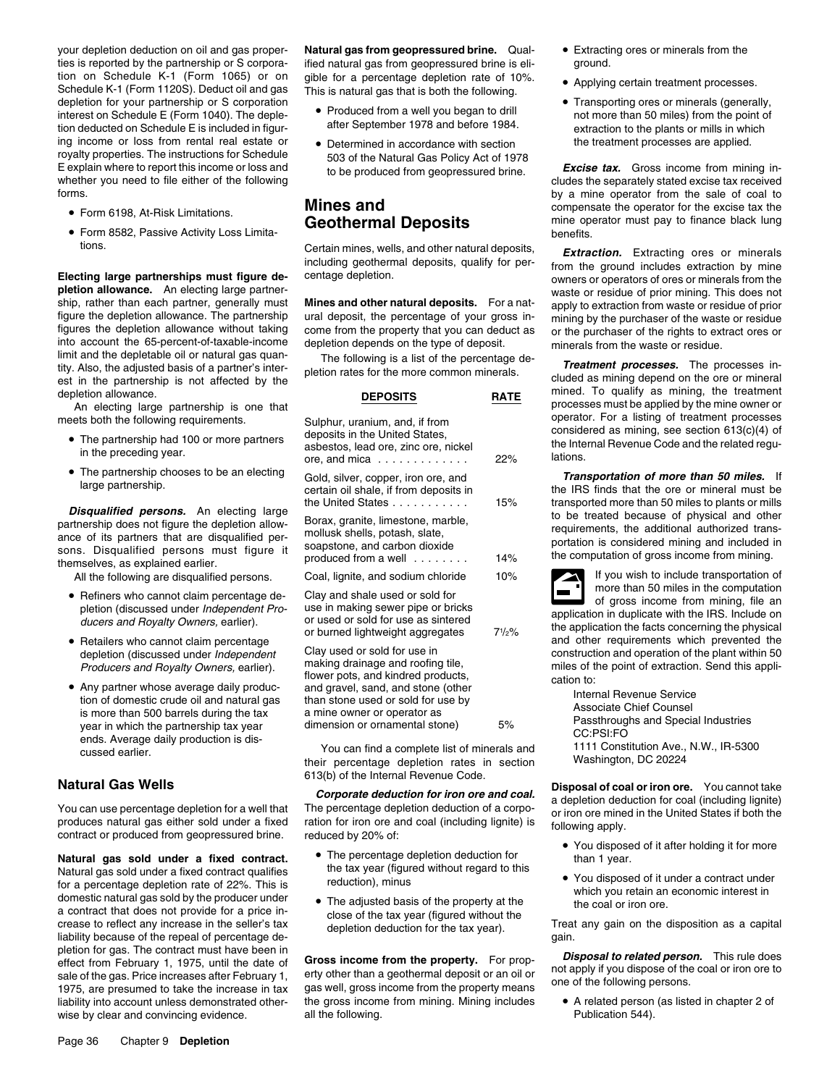ties is reported by the partnership or S corpora- ified natural gas from geopressured brine is eli- ground.<br>tion on Schedule K-1 (Form 1065) or on quible for a percentage depletion rate of 10%. Schedule K-1 (Form 1120S). Deduct oil and gas This is natural gas that is both the following.<br>Schedule K-1 (Form 1120S). Deduct oil and gas This is natural gas that is both the following. • Transporting ores or minerals (g depletion for your partnership or S corporation • Produced from a well you began to drill • Transporting ores or minerals (generally, interest on Schedule E (Form 1040). The deple-<br>
• Produced from a well you began to dril tion deducted on Schedule E is included in figuration to the plants of mills in which ing income or loss from rental real estate or •royalty properties. The instructions for Schedule 503 of the Natural Gas Policy Act of 1978<br>E explain where to report this income or loss and to be produced from geopressured brine.<br>Whether you need to file either of the f

- 
- Form 8582, Passive Activity Loss Limita- benefits. **benefits.**

**pletion allowance.** An electing large partner-<br>ship, rather than each partner, generally must<br>figure the depletion allowance. The partnership ural deposit, the percentage of your gross in-<br>figures the depletion allowance limit and the depletable oil or natural gas quan-<br>tity. Also, the adjusted basis of a partner's inter-<br>est in the partnership is not affected by the<br>est in the partnership is not affected by the

- 
- The partnership chooses to be an electing

- Refiners who cannot claim percentage de-
- 
- Any partner whose average daily produc-• Any partner whose average daily production of domestic crude oil and natural gas than stone used or sold for use by<br>
is more than 500 barrels during the tax a mine owner or operator as<br>
year in which the partnership tax

Natural gas sold under a fixed contract qualifies the tax year (figured without regard to this • You disposed of it under a contract under the tax year (figured without regard to this • You disposed of it under a contract  $\frac{1}{2}$  disposed of its under  $\frac{1}{2}$  a contract under  $\frac{1}{2}$  a percentage depletion rate of 22%. This is reduction, minus which you retain an economic interest in domestic natural gas sold by the producer under •• domestic hatural gas sold by the producer under<br>a contract that does not provide for a price in-<br>crease to reflect any increase in the seller's tax<br>liability because of the repeal of percentage de-<br>liability because of the pletion for gas. The contract must have been in effect from February 1, 1975, until the date of **Gross income from the property.** For prop-<br>sale of the gas. Price increases after February 1, erty other than a geothermal deposit or an oil or and apply if you dispose of t liability into account unless demonstrated other-<br>wise by clear and convincing evidence. all the following.<br>
all the following.<br>
all the following.<br>
Whication 544).

your depletion deduction on oil and gas proper- **Natural gas from geopressured brine.** Qual- • Extracting ores or minerals from the gible for a percentage depletion rate of  $10\%$ . • Applying certain treatment processes.

- 
- Determined in accordance with section the treatment processes are applied.

tions.<br>
Certain mines, wells, and other natural deposits, **Extraction.** Extracting ores or minerals<br>
including geothermal deposits, qualify for per-<br>
ting large partnerships must figure de-<br>
centage depletion.

| An electing large partnership is one that                                                                                                                                             | <b>PLF VOITU</b>                                                                                                                                 | 11715            | processes must be applied by the mine owner or                                                                                                                                          |
|---------------------------------------------------------------------------------------------------------------------------------------------------------------------------------------|--------------------------------------------------------------------------------------------------------------------------------------------------|------------------|-----------------------------------------------------------------------------------------------------------------------------------------------------------------------------------------|
| meets both the following requirements.                                                                                                                                                | Sulphur, uranium, and, if from                                                                                                                   |                  | operator. For a listing of treatment processes<br>considered as mining, see section $613(c)(4)$ of                                                                                      |
| • The partnership had 100 or more partners<br>in the preceding year.                                                                                                                  | deposits in the United States,<br>asbestos, lead ore, zinc ore, nickel<br>ore, and mica $\ldots \ldots \ldots \ldots$                            | 22%              | the Internal Revenue Code and the related requ-<br>lations.                                                                                                                             |
| • The partnership chooses to be an electing<br>large partnership.                                                                                                                     | Gold, silver, copper, iron ore, and<br>certain oil shale, if from deposits in<br>the United States                                               | 15%              | Transportation of more than 50 miles. If<br>the IRS finds that the ore or mineral must be<br>transported more than 50 miles to plants or mills                                          |
| <b>Disqualified persons.</b> An electing large                                                                                                                                        |                                                                                                                                                  |                  | to be treated because of physical and other                                                                                                                                             |
| partnership does not figure the depletion allow-<br>ance of its partners that are disqualified per-<br>sons. Disqualified persons must figure it<br>themselves, as explained earlier. | Borax, granite, limestone, marble,<br>mollusk shells, potash, slate,<br>soapstone, and carbon dioxide<br>produced from a well                    | 14%              | requirements, the additional authorized trans-<br>portation is considered mining and included in<br>the computation of gross income from mining.                                        |
| All the following are disqualified persons.                                                                                                                                           | Coal, lignite, and sodium chloride                                                                                                               | 10%              | If you wish to include transportation of<br>ZX                                                                                                                                          |
| • Refiners who cannot claim percentage de-<br>pletion (discussed under Independent Pro-<br>ducers and Royalty Owners, earlier).                                                       | Clay and shale used or sold for<br>use in making sewer pipe or bricks<br>or used or sold for use as sintered<br>or burned lightweight aggregates | $7\frac{1}{2}\%$ | more than 50 miles in the computation<br>of gross income from mining, file an<br>application in duplicate with the IRS. Include on<br>the application the facts concerning the physical |
| • Retailers who cannot claim percentage<br>depletion (discussed under Independent<br>Producers and Royalty Owners, earlier).                                                          | Clay used or sold for use in<br>making drainage and roofing tile,<br>flower pots, and kindred products,                                          |                  | and other requirements which prevented the<br>construction and operation of the plant within 50<br>miles of the point of extraction. Send this appli-                                   |
| • Any partner whose average daily produc-                                                                                                                                             | and gravel, sand, and stone (other                                                                                                               |                  | cation to:                                                                                                                                                                              |

their percentage depletion rates in section Washington, DC 20224

613(b) of the Internal Revenue Code.<br>Disposal of coal or iron ore. You cannot take<br>You can use percentage depletion for a well that The percentage depletion deduction of a corpo-<br>or iron ore mined in the United States if b

You can use percentage depletion for a well that The percentage depletion deduction of a corpo-<br>produces natural gas either sold under a fixed ration for iron ore and coal (including lignite) is following apply.<br>contract o

- **Natural gas sold under a fixed contract.** The percentage depletion deduction for than 1 year.<br>Natural gas sold under a fixed contract qualifies the tax year (figured without regard to this
	-

wise by clear and convincing evidence. all the following. The same state of the Publication 544).

- 
- 
- 

forms.<br> **Forms** and to the sale of coal to **Mines and** to the sale of coal to the excise tax the **Mines and** to the excise tax the • Form 6198, At-Risk Limitations. **Mines and Compensate the operator for the excise tax the Geothermal Deposits** mine operator must pay to finance black lung<br>benefits.

**Electing large partnerships must figure de-** centage depletion.<br> **pletion allowance.** An electing large partner-<br> **pletion allowance.** An electing large partner-

depletion allowance.<br> **DEPOSITS RATE RATE EXECUTE: RATE RATE RATE EXECUTE: PHONOGYPTER ADDED RATE** *RODE <b>RATE RODE <b>RATE <i>RODE <b>PHONOGYPTER RDEPOSITS RDEPOSITS RDEPOSITS RDEPOSIT* An electing large partnership is one that processes must be applied by the mine owner or<br>meets both the following requirements. Sulphur, uranium, and, if from operator. For a listing of treatment processes exa section the following requirements. Operator. Operator. Operator. The following of the United States,<br>The partnership had 100 or more partners deposits in the United States, the United States of the United States, The partnership had 100 or more partners asbestos, lead ore, zinc ore, nickel the Internal Revenue Code and the related regu- in the preceding year. ore, and mica lations. . . . . . . . . . . . . . 22%

- You disposed of it after holding it for more
-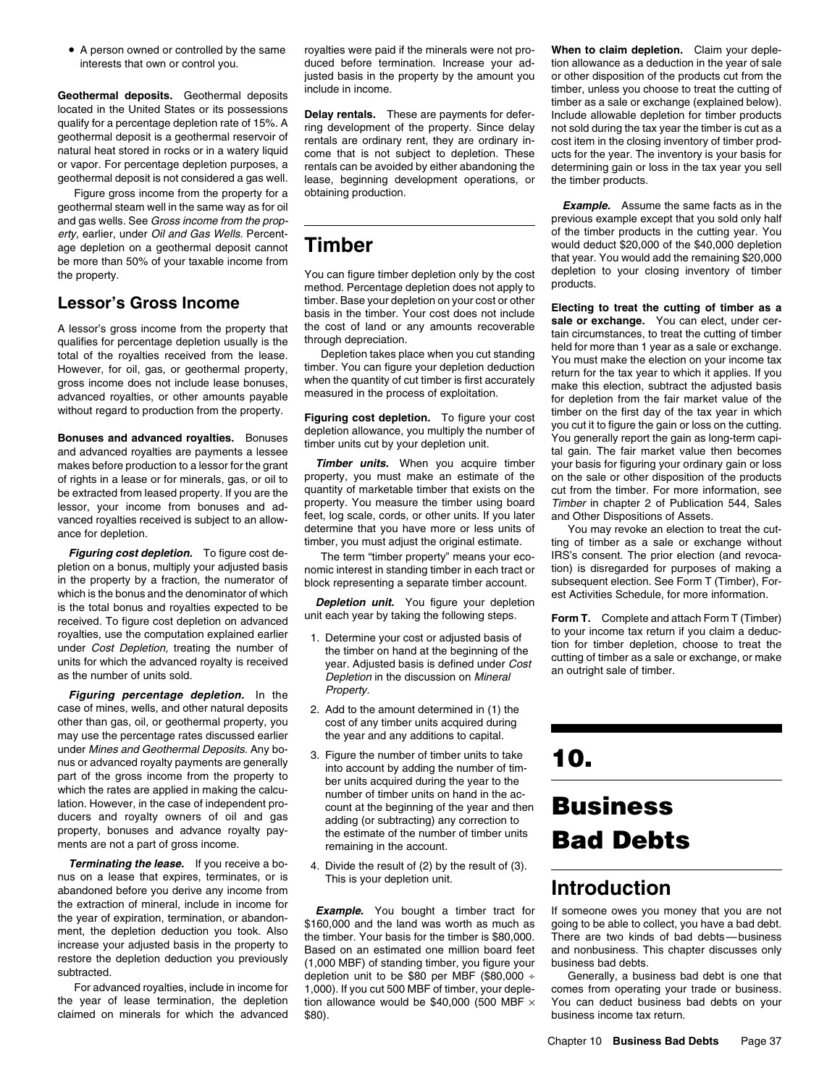• A person owned or controlled by the same

Figure gross income from the property for a obtaining production. geothermal steam well in the same way as for oil *Example.* Assume the same facts as in the and gas wells. See Gross income from the prop-<br>
erty earlier under Oil and Gas Wells Percent-<br>
erty earlier under Oil and Gas Wells Percent-<br>
of the timber products in the cutting year. You erty, earlier, under Oil and Gas Wells. Percent-<br>age depletion on a geothermal deposit cannot **Timber** and the studied would deduct \$20,000 of the \$40,000 depletion age depletion on a geothermal deposit cannot **TIMDEF**<br>he more than 50% of your taxable income from **TIMDEF** by that year. You would add the remaining \$20,000 helphaneled by the \$40,000 of the \$40,000 depletion that year. You would add the remaining \$20,000<br>The property of timber of timber depletion only by the cost depletion to your closing inventory of timber

However, for oil, gas, or geothermal property, infinition to carrifying your depletion deduction<br>gross income does not include lease bonuses, when the quantity of cut timber is first accurately<br>advanced royalties, or other

**Figuring cost depletion.** To figure cost de-<br>pletion on a bonus, multiply your adjusted basis nomic interest in standing timber in each tract or tion) is disregarded for purposes of making a pletion on a bonus, multiply your adjusted basis nomic interest in standing timber in each tract or tion) is disregarded for purposes of making a<br>in the property by a fraction, the numerator of block representing a separat in the property by a fraction, the numerator of block representing a separate timber account. Subsequent election. See Form T (Timber), For-<br>which is the bonus and the denominator of which entity and the separate timber ac is the total bonus and royalties expected to be<br>received. To figure cost depletion on advanced<br>royalties, use the computation explained earlier and explained earlier and explained earlier and attach form T (Timber)<br>royalti royalties, use the computation explained earlier the timber on hand at the beginning of the timber cost of the timber on hand at the beginning of the timber depletion, choose to treat the sum its for which the advanced roy

Figuring percentage depletion. In the Property. case of mines, wells, and other natural deposits 2. Add to the amount determined in (1) the other than gas, oil, or geothermal property, you cost of any timber units acquired during may use the percentage rates discussed earlier the year and any additions to capital. under Mines and Geothermal Deposits. Any bo-<br>
nus or advanced royalty payments are generally<br>
part of the gross income from the property to<br>
which the rates are applied in making the calcu-<br>
lation. However, in the case of lation. However, in the case of independent prolation. However, in the case of independent pro-<br>ducers and royalty owners of oil and gas adding (or subtraction) any correction to property, bonuses and advance royalty pay- the estimate of the number of timber units

**Terminating the lease.** If you receive a bo- 4. Divide the result of (2) by the result of (3). nus on a lease that expires, terminates, or is This is your depletion unit. abandoned before you derive any income from **Introduction**

claimed on minerals for which the advanced \$80). business income tax return.

royalties were paid if the minerals were not pro-<br> **When to claim depletion.** Claim your deplejusted basis in the property by the amount you

or vapor. For percentage depletion purposes, a rentals can be avoided by either abandoning the determining gain or loss in the tax year you sell geothermal deposit is not considered a gas well. lease, beginning development

The property.<br>The property extends the property of the property of the property of the products. method. Percentage depletion does not apply to timber. Base your depletion on your cost or other

makes before production to a lessor for the grant **Timber units.** When you acquire timber your basis for figuring your ordinary gain or loss of rights in a lease or for minerals, gas, or oil to property, you must make an e of rights in a lease or for minerals, gas, or oil to property, you must make an estimate of the on the sale or other disposition of the products be extracted from leased property. If you are the quantity of marketable timber that exists on the cut from the timber. For more information, see<br>Lessor, vour, income from bonuses, and ad. property. You measure the timber lessor, your income from bonuses and ad-<br>vanced royalties received is subject to an allow-<br>ance for depletion.<br>ance for depletion.<br>imber, you must adjust the original estimate. This of the are are election to treat the cut

- 
- 
- adding (or subtracting) any correction to property, bonuses and advance royalty pay-<br>ments are not a part of gross income.<br>remaining in the account.<br>**Bad Debts** 
	-

the extraction of mineral, include in income for<br>the year of expiration, termination, or abandon-<br>ment, the depletion deduction you took. Also<br>increase your adjusted basis in the property to<br>increase your adjusted basis in tion allowance would be \$40,000 (500 MBF  $\times$  You can deduct business bad debts on your

interests that own or control you. duced before termination. Increase your ad-<br>justed basis in the property by the amount you or other disposition of the products cut from the Geothermal deposits. Geothermal deposits include in income.<br>Iocated in the United States or its possessions **Delay rentals.** These are payments for defer-<br>quality for a percentage depletion rate of 15%. A<br>geothermal deposi

**Lessor's Gross Income**<br>A lessor's gross income from the property that<br>differences the cost of land or any amounts recoverable<br>all for more than 1 year as a sale or exchange. You can elect, under cer-<br>dualifies for percent without regard to production from the property.<br> **Eiguring cost depletion.** To figure your cost<br>
depletion allowance, you multiply the number of<br>
Mou generally report the gain or loss on the cutting.<br>
Mou generally report

For advanced royalties, include in income for 1,000). If you cut 500 MBF of timber, your deple-<br>the year of lease termination, the depletion tion allowance would be \$40,000 (500 MBF  $\times$  You can deduct business bad debts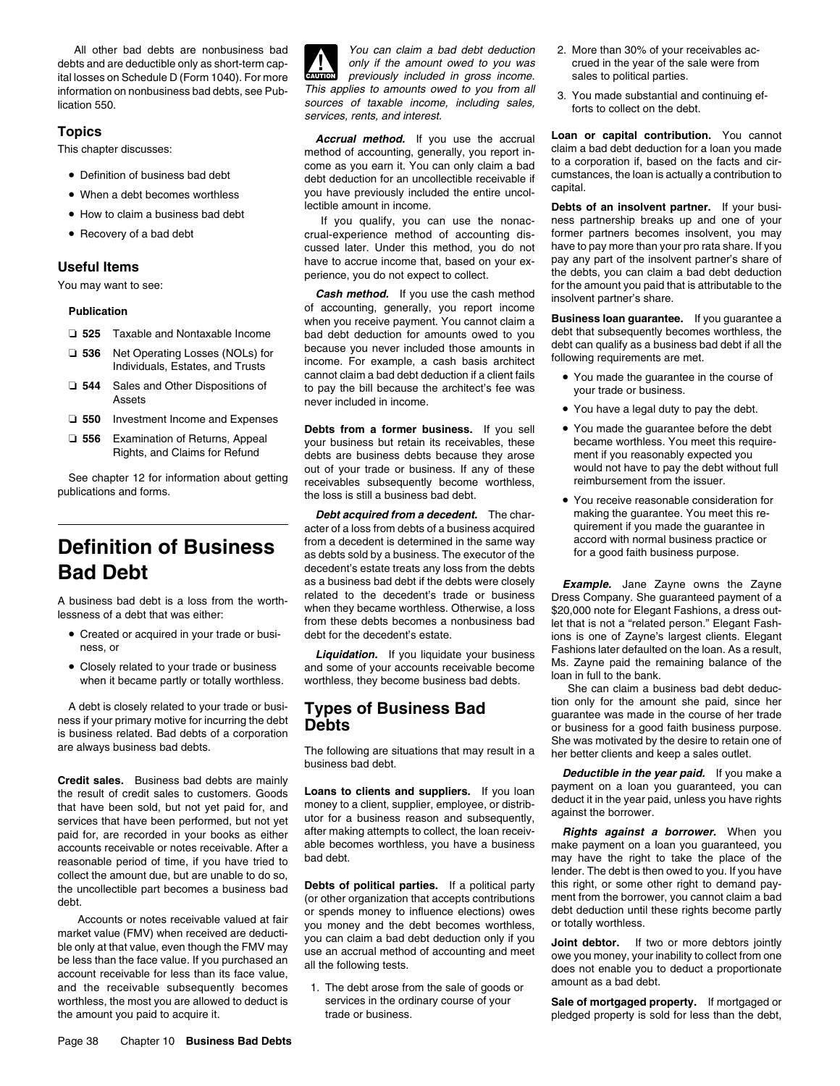All other bad debts are nonbusiness bad You can claim a bad debt deduction 2. More than 30% of your receivables acdebts and are deductible only as short-term cap-<br>
ital losses on Schedule D (Form 1040). For more **caution** previously included in gross income. Sales to political parties. ital losses on Schedule D (Form 1040). For more **CAUTION** previously included in gross income.<br>information on nonbusiness bad debts, see Pub-<br>This applies to amounts owed to you from all

- Definition of business had debt
- 
- 
- Recovery of a bad debt

- 
- 
- 
- 
- 

- Created or acquired in your trade or busi-
- 

**Credit sales.** Business bad debts are mainly<br>the result of credit sales to customers. Goods<br>that have been sold, but not yet paid for, and money to a client, supplier, employee, or distribute in the year paid, unless you paid for, are recorded in your books as either after making attempts to collect, the loan receiv-<br>accounts receivable or notes receivable. After a able becomes worthless, you have a business make payment on a loan you guar accounts receivable or notes receivable. After a able becomes worthless, you have a business make payment on a loan you guaranteed, you reserve the right to take the place of the receivable pariod of time if you have tried reasonable period of time, if you have tried to bad debt.<br>
collect the amount due, but are unable to do so,<br>
the uncollectible part becomes a business had<br> **Debts of political parties.** If a political party this right, or

Accounts or notes receivable valued at fair<br>
market value (FMV) when received are deducti-<br>
ble only at that value, even though the FMV may<br>
be less than the face value. If you purchased an<br>
account receivable for less tha worthless, the most you are allowed to deduct is services in the ordinary course of your **Sale of mortgaged property.** If mortgaged or<br>the amount you paid to acquire it. trade or business. pledged property is sold for less



information on nonbusiness bad debts, see Pub-<br>
sources of taxable income, including sales,<br>
services rents and interest.<br>
services rents and interest.

method of accounting, generally, you report in-<br>come as you earn it. You can only claim a bad to a corporation if, based on the facts and circome as you earn it. You can only claim a bad corporation it, based on the facts and cir-<br>debt doduction for an uncellectible receivable if cumstances, the loan is actually a contribution to debt deduction for an uncollectible receivable if cumstances, the local is action for an uncollectible receivable if • When a debt becomes worthless you have previously included the entire uncol-<br>starting

> crual-experience method of accounting dis-<br>Cussed later. Under this method, you do not have to pay more than your pro rata share. If you cussed later. Under this method, you do not have to pay more than your pro rata share. If you<br>have to accrue income that, based on your ex- pay any part of the insolvent partner's share of

For the amount of the amount of the amount of the amount of the amount of accounting, generally, you report income<br>Publication of accounting, generally, you report income of accounting, generally, you report income when you receive payment. You cannot claim a **Business loan guarantee.** If you guarantee a bad debt deduction for amounts owed to you debt that subsequently becomes worthless, the <p>■ 525 Taxable and Nontaxable Income bad debt deduction for amounts owed to you<br/>\n 536 Net Operating Losses (NOLs) for<br/>\n Individuals, Estados, and Trust<br/>\n cannot claim a bad debt deduction if a client fails<br/>\n cannot claim a bad debt deduction if a client fails</p>\n<p>Now, the following requirements are met.</p> The mate the guarantee in the course of course of to pay the bill because the architect's fee was your trade or business.<br>Assets never included in income.

0. Subseting the set of Netter Allies and Expenses<br>
556 Examination of Returns, Appeal **Debts from a former business.** If you sell<br>
9. Subset of Returns, Appeal your business but retain its receivables, these Rights, and out of your trade or business. If any of these would not have to pay the debt without full<br>publications and forms. The loss is still a business bad debt without full<br>the loss is still a business bad debt the loss is still a business bad debt.

acter of a loss from debts of a business acquired quirement if you made the guarantee in<br>from a decedent is determined in the same way accord with normal business practice or **Definition of Business** from a decedent is determined in the same way accord with normal business practice or for a good faith business purpose. **Bad Debt** decedent's estate treats any loss from the debts of the debts were closely as a business bad debt if the debts were closely **Example.** Jane Zayne owns the Zayne<br>related to the decedent's trade or business Dress Company She quaranteed payment of a A business bad debt is a loss from the worth-<br>When they became worthless. Otherwise, a loss \$20,000 note for Flegant Fashions a dress outwhen they became worthless. Otherwise, a loss \$20,000 note for Elegant Fashions, a dress out-<br>from these debts becomes a nonbusiness bad let that is not a "related person." Elegant Fash-<br>excepted or acquired in your trade

Closely related to your trade or business and some of your accounts receivable become<br>when it became partly or totally worthless. worthless, they become business bad debts. She can claim a business bad debt deduc-<br>She can

business bad debt.

the uncollectible part becomes a business bad<br>(or other organization that accepts contributions ment from the borrower, you cannot claim a bad<br>or spends money to influence elections) owes debt deduction until these rights

- 
- 

**Topics**<br>**Accrual method.** If you use the accrual **Loan or capital contribution.** You cannot<br>method of accounting generally you report in claim a bad debt deduction for a loan you made

lectible amount in income.<br>If you qualify, you can use the nonac- ness partnership breaks up and one of your busi-<br>If you qualify, you can use the nonac- ness partnership breaks up and one of your hess partnership breaks up and one of your<br>former partners becomes insolvent, you may **Useful Items** invertigative to accrue income that, based on your ex-<br>
perience, you do not expect to collect. The debts, you can claim a bad debt deduction<br>
for the amount you paid that is attributable to the

- 
- You have a legal duty to pay the debt.
- 
- You receive reasonable consideration for **Debt acquired from a decedent.** The char-<br>ter of a loss from debts of a business acquired quirement if you made the guarantee in

Created or acquired in your trade or busi- debt for the decedent's estate. ins is one of Zayne's largest clients. Elegant<br>Reshions later defaulted on the loan. As a result ness, or<br>■**Example 2019 Liquidation.** If you liquidate your business Fashions later defaulted on the loan. As a result,<br>• Closely related to your trade or business and some of your accounts receivable become Ms. Zayne p

A debt is closely related to your trade or busi-<br>
Types of Business Bad<br>
is business if your primary motive for incurring the debt<br>
is business related. Bad debts of a corporation<br>
are always business bad debts.<br>
The follo

pledged property is sold for less than the debt,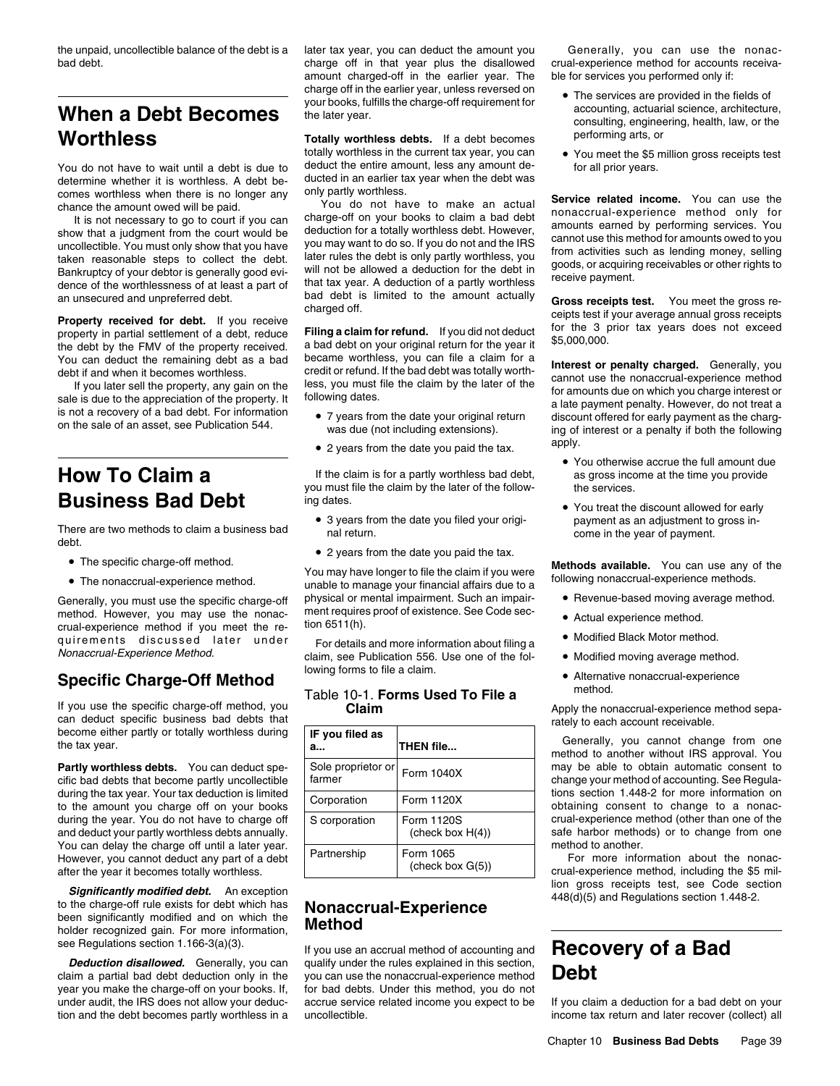bad debt. charge off in that year plus the disallowed crual-experience method for accounts receiva-

## **Worthless Worthless Totally worthless debts.** If a debt becomes performing arts, or

determine whether it is worthless. A debt be-

Eankruptcy of your debtor is generally good evi-<br>dence of the worthlessness of at least a part of that tax year. A deduction of a partly worthless<br>an unsecured and unpreferred debt. bad debt is limited to the amount actual

## **Business Bad Debt** ing dates.

3 years from the date you filed your origi- payment as an adjustment to gross in- There are two methods to claim a business bad nal return. come in the year of payment. debt.

- The specific charge-off method.
- The nonaccrual-experience method.

crual-experience method if you meet the re- tion 6511(h).<br>
quirements discussed later under  $\epsilon$  is a series of the results of Modified Black Motor method. quirements discussed later under • Fordetails and more information about filing a • Modified Black Motor method.<br>Nonaccrual-Experience Method. claim, see Publication 556. Use one of the fol- • Modified moving average metho

## **Alternative Charge-Off Method** Table 10-1. **Forms Used To File a** method. Table 10-1. **Forms Used To File a**

If you use the specific charge-off method, you **Claim Claim** Apply the nonaccrual-experience method sepa-<br>
Can deduct specific business bad debts that **Claim Claim** Apply the nonaccrual-experience method sepa-<br>
Claim A can deduct specific business bad debts that become either partly or totally worthless during

Significantly modified debt. An exception<br>to the charge-off rule exists for debt which has **Nonaccrual-Experience**<br>been significantly modified and on which the **Mothed** been significantly modified and on which the **Mothed** holder recognized gain. For more information, **Method**

claim a partial bad debt deduction only in the you can use the nonaccrual-experience method year you make the charge-off on your books. If, for bad debts. Under this method, you do not year you make the charge-off on your books. If, tion and the debt becomes partly worthless in a uncollectible.

the unpaid, uncollectible balance of the debt is a later tax year, you can deduct the amount you Generally, you can use the nonacamount charged-off in the earlier year. The ble for services you performed only if: charge off in the earlier year, unless reversed on<br>your books, fulfills the charge-off requirement for<br>example a state of later setting a state of later state of the state

totally worthless in the current tax year, you can •You do not have to wait until a debt is due to deduct the entire amount, less any amount de-<br>determine whether it is worthless. A debt be- ducted in an earlier tax year when the debt was

- 
- 2 years from the date you paid the tax. <sup>apply</sup>

you must file the claim by the later of the follow-

- 3 years from the date you filed your origi-
- 2 years from the date you paid the tax.

unable to manage your financial affairs due to a Generally, you must use the specific charge-off physical or mental impairment. Such an impair-<br>method. However, you may use the nonac- ment requires proof of existence. See Code sec-<br>a laturel superiores method method. However, you may use the nonac- ment requires proot of existence. See Code sec-<br>crual-experience method if you meet the re- tion 6511(h).

lowing forms to file a claim.  $\bullet$  Alternative nonaccrual-experience

| become either partly or totally worthless during<br>the tax year.                                                                                 | IF you filed as<br>а         | ITHEN file                        | Generally, you cannot change from one<br>method to another without IRS approval. You                               |
|---------------------------------------------------------------------------------------------------------------------------------------------------|------------------------------|-----------------------------------|--------------------------------------------------------------------------------------------------------------------|
| <b>Partly worthless debts.</b> You can deduct spe-<br>cific bad debts that become partly uncollectible                                            | Sole proprietor or<br>farmer | Form 1040X                        | may be able to obtain automatic consent to<br>change your method of accounting. See Regula-                        |
| during the tax year. Your tax deduction is limited<br>to the amount you charge off on your books                                                  | Corporation                  | Form 1120X                        | tions section 1.448-2 for more information on<br>obtaining consent to change to a nonac-                           |
| during the year. You do not have to charge off<br>and deduct your partly worthless debts annually.                                                | S corporation                | Form 1120S<br>(check box $H(4)$ ) | crual-experience method (other than one of the<br>safe harbor methods) or to change from one<br>method to another. |
| You can delay the charge off until a later year.<br>However, you cannot deduct any part of a debt<br>after the year it becomes totally worthless. | Partnership                  | Form 1065<br>(check box G(5))     | For more information about the nonac-<br>crual-experience method, including the \$5 mil-                           |

see Regulations section 1.166-3(a)(3).<br> **Deduction disallowed.** Generally, you can qualify under the rules explained in this section,<br>
claim a partial bad debt deduction only in the you can use the nonaccrual-experience me

- accounting, actuarial science, architecture,<br>consulting, engineering, health, law, or the
	- You meet the \$5 million gross receipts test

chance the amount owed will be paid. The view of that the paid of the set of the amount owed will be paid. The view of the model of the model of the model of the model of the paid. The set of the model of the model of the

an unsecured and unpreferred debt. bad debt is limited to the amount actually<br>
charged off.<br> **Property received for debt.** If you receive<br>
property in partial settlement of a debt, reduce<br>
the debt by the FMV of the proper

You can deduct the remaining debt as a bad became worthless, you can file a claim for a<br>debt if and when it becomes worthless. credit or refund. If the bad debt was totally worth-<br>If you later sell the property, any gain is not a recovery of a bad debt. For information <br>on the sale of an asset, see Publication 544. was due (not including extensions). ing of interest or a penalty if both the following

- You otherwise accrue the full amount due **How To Claim a** If the claim is for a partly worthless bad debt, as gross income at the time you provide<br>vou must file the claim by the later of the follow-<br>the services.
	- You treat the discount allowed for early

You may have longer to file the claim if you were<br>You may have longer to file the claim if you were following nonaccrual-experience methods.

- 
- 
- 
- 
- 

However, you cannot deduct any part of a debt Form leasing Form 1065 For more information about the nonac-<br>after the year it becomes totally worthless.

under audit, the IRS does not allow your deduc- accrue service related income you expect to be If you claim a deduction for a bad debt on your tion and the debt becomes partly worthless in a uncollectible.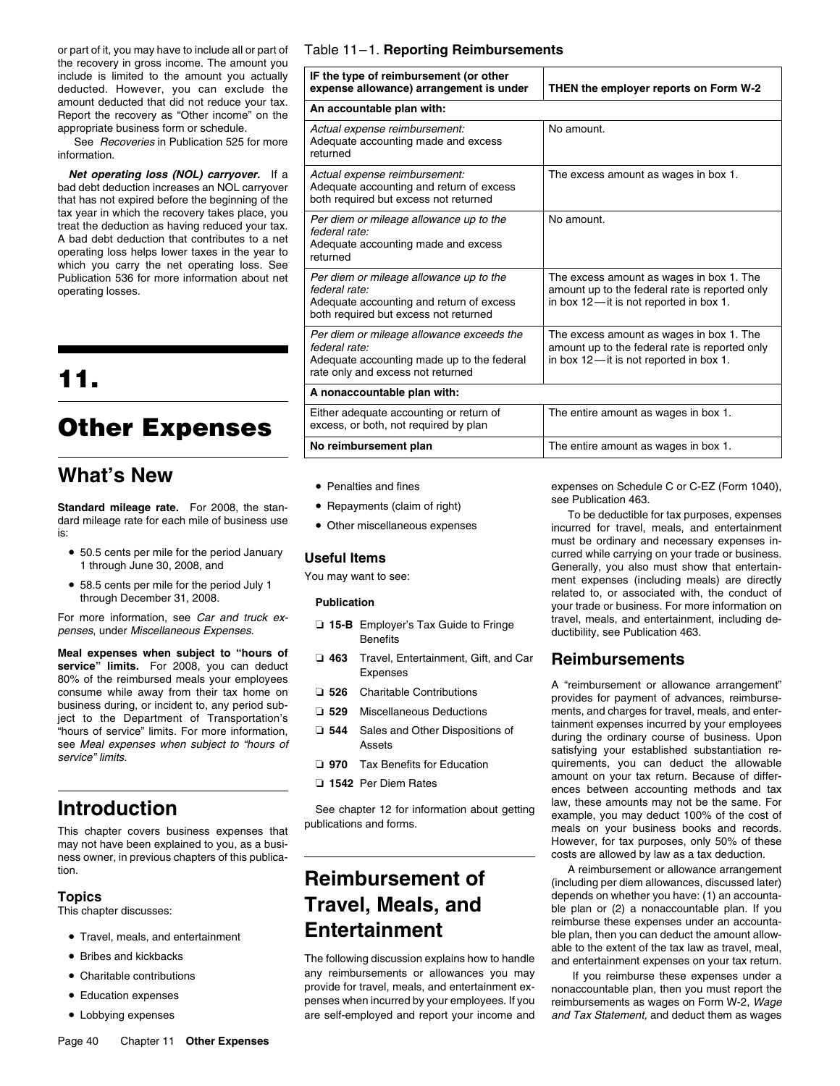the recovery in gross income. The amount you include is limited to the amount you actually deducted. However, you can exclude the amount deducted that did not reduce your tax. Report the recovery as "Other income" on the appropriate business form or schedule.

## **Other Expenses**

### **What's New**

Standard mileage rate. For 2008, the stan-<br> **Standard mileage rate for each mile of business use** • Other miscellaneous expenses incurred for travel, meals, and entertainment<br>
is:

- 50.5 cents per mile for the period January
- 

Meal expenses when subject to "hours of Expenses<br>
Service" limits. For 2008, you can deduct<br>
Service" limits and Carricoloms consume while away from their tax home on<br>
business during, or incident to, any period sub-<br>
jec

may not have been explained to you, as a busi- However, for tax purposes, only 50% of these ness owner, in previous chapters of this publica-<br> **costs are allowed by law as a tax deduction.**<br> **c**<br> **d c**<br> **d f**<br> **d f**<br> **d f**<br> **d f**<br> **d f**<br> **d f**<br> **d f**<br> **d f**<br> **d f**<br> **d f**<br> **d f**<br> **d f**<br>

- Travel, meals, and entertainment
- Bribes and kickbacks
- 
- 
- Lobbying expenses

### or part of it, you may have to include all or part of Table 11–1. **Reporting Reimbursements**

| and recovery in groco income. The amount you<br>include is limited to the amount you actually<br>deducted. However, you can exclude the                                                                 | IF the type of reimbursement (or other<br>expense allowance) arrangement is under                                                             | THEN the employer reports on Form W-2                                                                                                   |  |  |
|---------------------------------------------------------------------------------------------------------------------------------------------------------------------------------------------------------|-----------------------------------------------------------------------------------------------------------------------------------------------|-----------------------------------------------------------------------------------------------------------------------------------------|--|--|
| amount deducted that did not reduce your tax.<br>Report the recovery as "Other income" on the                                                                                                           | An accountable plan with:                                                                                                                     |                                                                                                                                         |  |  |
| appropriate business form or schedule.<br>See Recoveries in Publication 525 for more<br>information.                                                                                                    | Actual expense reimbursement:<br>Adequate accounting made and excess<br>returned                                                              | No amount.                                                                                                                              |  |  |
| Net operating loss (NOL) carryover. If a<br>bad debt deduction increases an NOL carryover<br>that has not expired before the beginning of the                                                           | Actual expense reimbursement:<br>Adequate accounting and return of excess<br>both required but excess not returned                            | The excess amount as wages in box 1.                                                                                                    |  |  |
| tax year in which the recovery takes place, you<br>treat the deduction as having reduced your tax.<br>A bad debt deduction that contributes to a net<br>operating loss helps lower taxes in the year to | Per diem or mileage allowance up to the<br>federal rate:<br>Adequate accounting made and excess<br>returned                                   | No amount.                                                                                                                              |  |  |
| which you carry the net operating loss. See<br>Publication 536 for more information about net<br>operating losses.                                                                                      | Per diem or mileage allowance up to the<br>federal rate:<br>Adequate accounting and return of excess<br>both required but excess not returned | The excess amount as wages in box 1. The<br>amount up to the federal rate is reported only<br>in box $12$ —it is not reported in box 1. |  |  |
| 11.                                                                                                                                                                                                     | Per diem or mileage allowance exceeds the<br>federal rate:<br>Adequate accounting made up to the federal<br>rate only and excess not returned | The excess amount as wages in box 1. The<br>amount up to the federal rate is reported only<br>in box 12-it is not reported in box 1.    |  |  |
|                                                                                                                                                                                                         | A nonaccountable plan with:                                                                                                                   |                                                                                                                                         |  |  |
| <b>Other Expenses</b>                                                                                                                                                                                   | Either adequate accounting or return of<br>excess, or both, not required by plan                                                              | The entire amount as wages in box 1.                                                                                                    |  |  |
|                                                                                                                                                                                                         | No reimbursement plan                                                                                                                         | The entire amount as wages in box 1.                                                                                                    |  |  |
|                                                                                                                                                                                                         |                                                                                                                                               |                                                                                                                                         |  |  |

- Penalties and fines
- 
- 

- 
- 
- 
- 
- 
- 
- 

# **This chapter discusses: Travel, Meals, and plan or (2) a non-**

• Charitable contributions **being any reimbursements** or allowances you may any reimbursements or allowances you may figrit you reimburse these expenses under a<br>provide for travel, meals, and entertainment ex-ponaccountable plan, then you must report the provide for travel, meals, and entertainment ex-<br>penses when incurred by your employees. If you reimbursements as wages on Form W-2, Wage penses when incurred by your employees. If you are self-employed and report your income and and Tax Statement, and deduct them as wages

expenses on Schedule C or C-EZ (Form 1040),

incurred for travel, meals, and entertainment must be ordinary and necessary expenses in-■ 50.5 cents per mile for the period January<br>
1 through June 30, 2008, and<br>
■ 1 You may want to see:<br>
■ 58.5 cents per mile for the period July 1<br>
■ You may want to see:<br>
■ 1 You may want to see:<br>
■ 1 through June 30, 200 For the per mile for the period July 1 related to, or associated with, the conduct of<br>through December 31, 2008.<br>**Publication Publication Publication** your trade or business. For more information on<br>travel, meals, and For more information, see Car and truck ex-<br>
penses, under Miscellaneous Expenses. <br>
Benefits **Benefits**Benefits **Benefits**Benefits **Benefits Benefits Benefits Benefits Benefits Benefits Benefits Benefits** 

amount on your tax return. Because of differ- ❏ **<sup>1542</sup>** Per Diem Rates ences between accounting methods and tax **Introduction** See chapter 12 for information about getting<br>publications and forms.<br>Function of the cost of the cost of the cost of the cost of the cost of the cost of the cost of publications and forms. This chapter covers business expenses that publications and forms.<br>may not have been explained to you as a busi-<br>However, for tax purposes, only 50% of these

tion. A reimbursement or allowance arrangement **Reimbursement of** (including per diem allowances, discussed later) **Topics**<br> **Travel, Meals, and** depends on whether you have: (1) an accounta-<br>
This chanter discusses: **The Community of the Community of the Community of the Community of the <b>Travel, Meals, and** reimburse these expenses under an accounta- **Entertainment** ble plan, then you can deduct the amount allowable to the extent of the tax law as travel, meal, The following discussion explains how to handle and entertainment expenses on your tax return.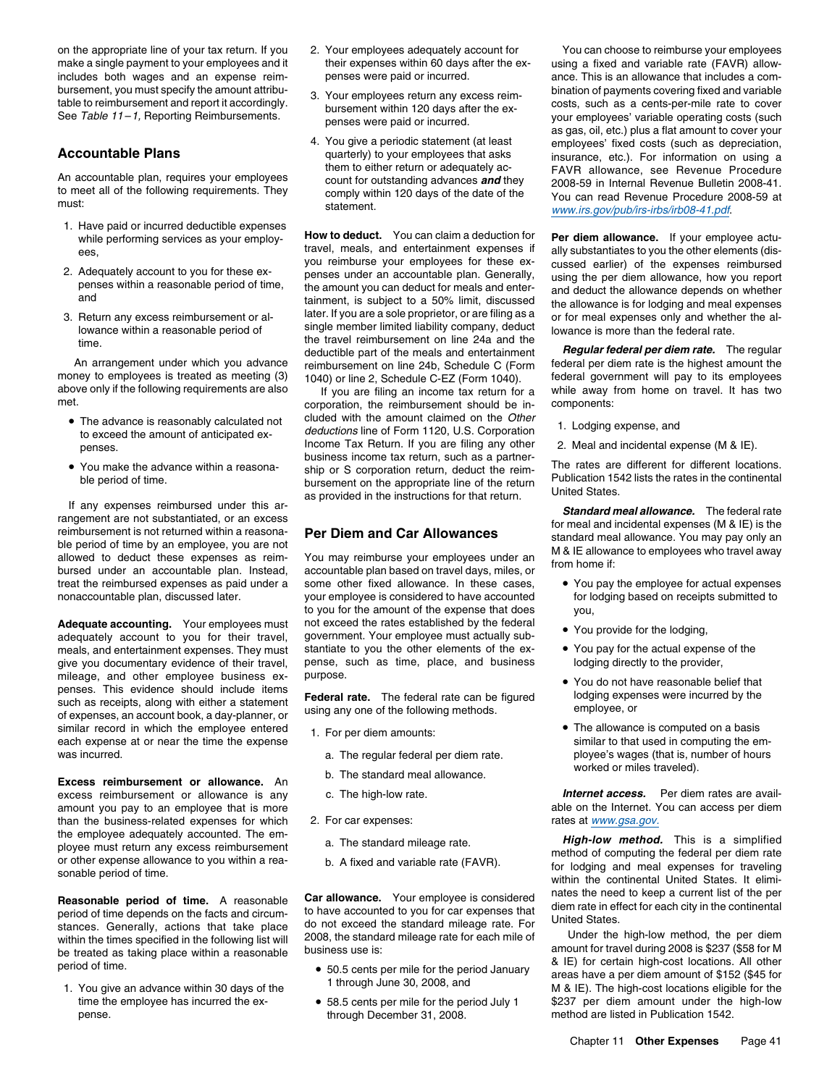make a single payment to your employees and it their expenses within 60 days after the ex- using a fixed and variable rate (FAVR) allow-<br>includes both wages and an expense reim- penses were paid or incurred. ance. This is includes both wages and an expense reim-<br>
penses were paid or incurred.<br>  $\frac{1}{2}$  ance. This is an allowance that includes a com-

- 1. Have paid or incurred deductible expenses
- 
- 

money to employees is treated as meeting (3) 1040) or line 2, Schedule C-EZ (Form 1040). Federal government will pay to its employees<br>above only if the following requirements are also fit you are filing an income tax retur above only if the following requirements are also if you are filing an income tax return for a while away from h<br>met. components: comproments: components:

- 
- •

• You make the advance within a reasona-<br>
ble period of time.<br>
If any expenses reimbursed under this ar-<br>
as provided in the instructions for that return.<br>
The rates are different for different locations.<br>
Per Diem and Car

give you documentary evidence of their travel, pense, species pense, such as the provider and other employee business exmileage, and other employee business ex- purpose.<br>
penses. This is evidence should include items<br>  $\begin{array}{ccc}\n & \text{First, for least one has a local solution, and so on the second solution, and so on the second solution, and so on the third solution, and so on the third solution, and so on the third solution, and so on the third solution, and so on the third solution, and so on the third solution, and so on the third solution, and so on the third solution, and so on the third solution, and so on the third solution, and so on the third solution, and so on the third solution, and so on$ e You do not have reasonable belief that<br>such as receipts, along with either a statement<br>of expenses, an account book, a day-planner, or using any one of the following methods.<br>The federal rate are figured and body in the similar record in which the employee entered 1. For per diem amounts:<br>
each expense at or near the time the expense similar to that used in computing the em-

**Excess reimbursement or allowance.** An b. The standard meal allowance. excess reimbursement or allowance is any c. The high-low rate. **Internet access.** Per diem rates are avail-<br>amount you pay to an employee that is more and a sumplement of the liternet. You can access per diem amount you pay to an employee that is more than the business-related expenses for which 2. For car expenses: rates at www.gsa.gov. the employee adequately accounted. The employee must return any excess reimbursement

- 
- 
- 

while performing services as your employ-<br>travel, meals, and entertainment expenses if ally substantiates to you the other elements (dis-<br>ees ees, travel, meals, and entertainment expenses if ally substantiates to you the other elements (dis-<br>you reimburse your employees for these ex-<br>cussed earlier) of the expenses reimbursed 2. Adequately account to you for these ex-<br>
penses under an accountable plan. Generally, using the per diem allowance, how you report<br>
penses within a reasonable period of time,<br>
3. Return any excess reimbursement or al-<br> the travel reimbursement on line 24a and the time. deductible part of the meals and entertainment *Regular federal per diem rate.* The regular reimbursement on line 24b. Schedule C (Form federal per diem rate is the highest amount the An arrangement under which you advance reimbursement on line 24b, Schedule C (Form federal per diem rate is the highest amount the money to employees is treated as meeting (3) 1040) or line 2 Schedule C-FZ (Form 1040) fede

corporation, the reimbursement should be in-• The advance is reasonably calculated not cluded with the amount claimed on the Other The advance is reasonably calculated not the active interactions line of Form 1120, U.S. Corporation to exceed the amount of anticipated ex-<br>necome Tax Return. If you are filing any other 2. Meal and incidental expense (M penses. Income Tax Return. If you are filing any other 2. Meal and income Tax Return. If you are filing any other business income tax return, such as a partner-

treat the reimbursed expenses as paid under a some other fixed allowance. In these cases, • You pay the employee for actual expenses nonaccountable plan, discussed later. for lodging based on receipts submitted to your employee is considered to have accounted for lodging based on receipts submitted to to you for the amount of the expense that does you, Adequate accounting. Your employees must not exceed the rates established by the federal • You provide for the lodging, adequately account to you for their travel government. Your employee must actually subadequately account to you for their travel, government. Your employee must actually sub-<br>meals, and entertainment expenses. They must stantiate to you the other elements of the ex- • You pay for the actual expense of the meals, and entertainment expenses. They must stantiate to you the other elements of the ex- • You pay for the actual expense<br>give you documentary evidence of their travel pense, such as time, place, and business bodging di

- -
	-
- 
- -
	-

**Reasonable period of time.** A reasonable **Car allowance.** Your employee is considered hates the need to keep a current list of the period of time depends on the facts and circum-<br>stances. Generally, actions that take plac

- 
- through December 31, 2008.

on the appropriate line of your tax return. If you 2. Your employees adequately account for You can choose to reimburse your employees bursement, you must specify the amount attribu-<br>
table to reimbursement and report it accordingly.<br>
See Table 11-1, Reporting Reimbursements.<br>
See Table 11-1, Reporting Reimbursements.<br>
See Table 11-1, Reporting Reimbursem 4. You give a periodic statement (at least employees' fixed costs (such as depreciation, quarterly) to your employees that asks insurance, etc.). For information on using a them to either return or adequately accuracy and them to either return or adequately ac-<br>2008-59 in Internal Revenue Procedure<br>2008-59 in Internal Revenue Bulletin 2008-41.<br>2008-59 must: must: must: must: must: must: must: must: must: must: must: must: must: must: must:

- 
- 

- 
- 
- 
- 
- was incurred. **a.** The regular federal per diem rate. ployee's wages (that is, number of hours and the regular federal per diem rate.

b. A fixed and variable rate. High-low method. This is a simplified<br>or other expense allowance to you within a rea-<br>sonable period of time.<br>Sonable period of time.<br>Sonable period of time.

within the times specified in the following list will 2008, the standard mileage rate for each mile of Under the high-low method, the per diem<br>be treated as taking place within a reasonable business use is: period of time.<br>• 50.5 cents per mile for the period January<br>• 50.5 cents per mile for the period January<br>• 9.6 cents per diem areas have a per diem amount of \$152 (\$45 for 50.5 1.5 You give an advance within 30 days of the 1 through June 30, 2008, and M & IE). The high-cost locations eligible for the time the employee has incurred the ex- • 58.5 cents per mile for the period July 1 \$237 per diem amount under the high-low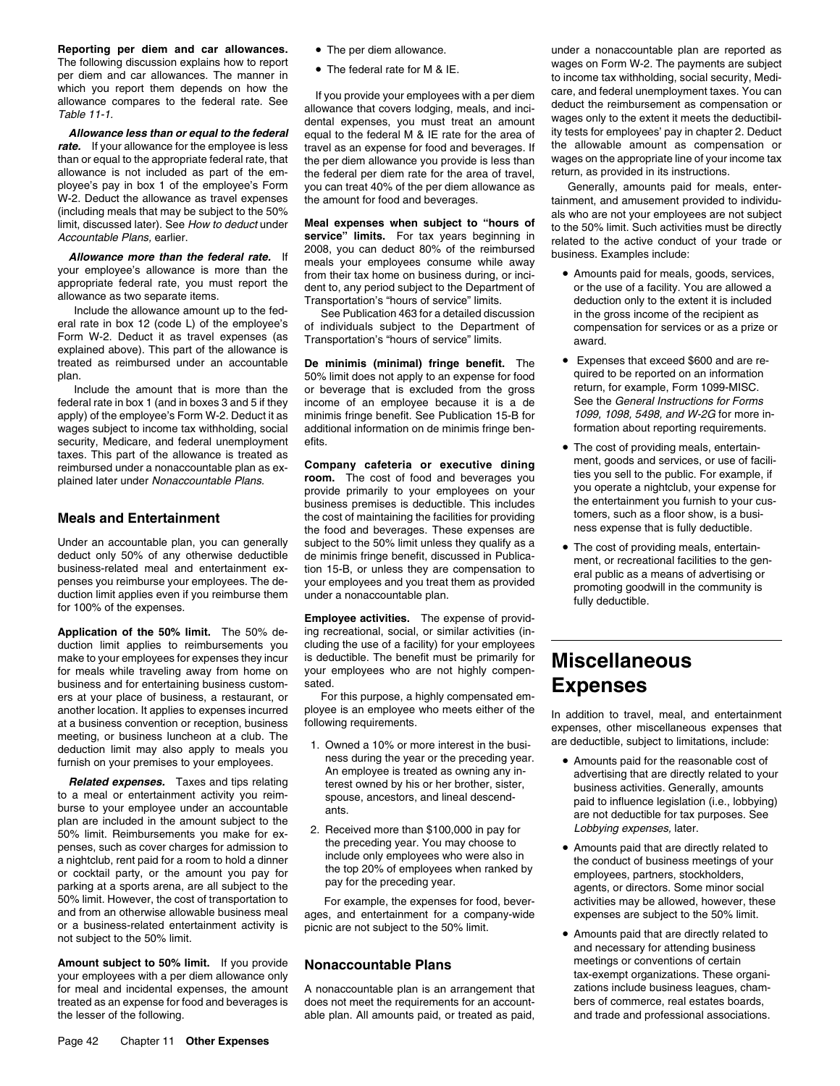**Reporting per diem and car allowances.** • The per diem allowance. The manned end a nonaccountable plan are reported as The following discussion explains how to report **•** The federal rate for M & IE. we are subject per diem and car allowances. The manner in **•** The federal rate for M & IE. to income tax withholding, social security, Mediper diem and car allowances. The manner in which you report them depends on how the

rate. If your allowance for the employee is less travel as an expense for food and beverages. If the allowable amount as compensation or than or equal to the appropriate federal rate, that the per diem allowance you provid than or equal to the appropriate federal rate, that the per diem allowance you provide is less than wages on the appropriate line of your i<br>allowance is not included as part of the em-the federal per diem rate for the area ployee's pay in box 1 of the employee's Form you can treat 40% of the per diem allowance as Generally, amounts paid for meals, enter-<br>W-2. Deduct the allowance as travel expenses the amount for food and beverages. The theo W-2. Deduct the allowance as travel expenses the amount for food and beverages.<br>including meals that may be subject to the 50% and the amount for food and beverages.<br>als who are not your employees are not subject

explained above). This part of the allowance is reated as reimbursed under an accountable **De minimis (minimal) fringe benefit.** The Expenses that exceed \$600 and are re-<br>Fig. limit does not apply to an expense for food quired to be reported on an information

federal rate in box 1 (and in boxes 3 and 5 if they income of an employee because it is a de See the General Instructions for Forms<br>apply) of the employee's Form W-2 Deduct it as minimis fringe benefit. See Publication 15apply) of the employee's Form W-2. Deduct it as minimis fringe benefit. See Publication 15-B for 1099, 1098, 5498, and W-2G for more in<br>wages subject to income tax withholding, social additional information on de minimis f wages subject to income tax withholding, social additional information on de minimis fringe bensecurity, Medicare, and federal unemployment efits.<br>
taxes. This part of the allowance is treated as expression and the method of the cost of providing meals, entertain-

Find the cost of providing meals, entertain-<br>
deduct only 50% of any otherwise deductioned entiminis fringe benefit, discussed in Publica-<br>
business-related meal and entertainment ex-<br>
business-related meal and entertainme

**Application of the 50% limit.** The 50% de- ing recreational, social, or similar activities (induction limit applies to reimbursements you cluding the use of a facility) for your employees make to your employees for expenses they incur is deductible. The benefit must be primarily for **Miscellaneous**<br>for meals while traveling away from home on your employees who are not highly compenbusiness and for entertaining business custom-<br>
ers at your place of business, a restaurant, or For this purpose, a highly compensated em-<br> **Expenses** another location. It applies to expenses incurred ployee is an employee who meets either of the In addition to travel, meal, and entertainment<br>at a business convention or reception, business following requirements.<br>meeting

**Related expenses.** Taxes and tips relating the amployee is treated as owning any in-<br>
to a meal or entertainment activity you reim-<br>
burse to your employee under an accountable<br>
plan are included in the amount subject to 50% limit. However, the cost of transportation to For example, the expenses for food, bever- activities may be allowed, however, these and from an otherwise allowable business meal ages, and entertainment for a company-wid and from an otherwise allowable business meal ages, and entertainment for a company-wide expenses are subject to the 50% limit.<br>The subsiness-related entertainment activity is picnic are not subject to the 50% limit. or a business-related entertainment activity is picnic are not subject to the 50% limit.<br>• Amounts paid that are directly related to not subject to the 50% limit.

**Amount subject to 50% limit.** If you provide **Nonaccountable Plans** meetings or conventions of certain vour employees with a per diem allowance only your employees with a per diem allowance only<br>for meal and incidental expenses, the amount A nonaccountable plan is an arrangement that zations include business leagues, chamfor meal and incidental expenses, the amount A nonaccountable plan is an arrangement that treated as an expense for food and beverages is does not meet the requirements for an account- bers of commerce, real estates boards, the lesser of the following. **able plan. All amounts paid, or treated as paid,** and trade and professional associations.

- 
- 

**Allowance less than or equal to the federal** equal to the federal M & IE rate for the area of ity tests for employees' pay in chapter 2. Deduct the employees' pay in chapter 2. Deduct and the interest or the employee is l the federal per diem rate for the area of travel,

(including meals that may be subject to the 50% (including meals that may be subject to the 50% limits. For tax years beginning in  $\alpha$  allowance more than the federal rate. If  $\alpha$  allowance more than the federal rate. I

plan.<br>.16% limit does not apply to an expense for food quired to be reported on an information<br>.1699-MISC not under that is or heverage that is excluded from the gross return, for example, Form 1099-MISC Include the amount that is more than the or beverage that is excluded from the gross return, for example, Form 1099-MISC.<br>Include the amount that is more than the or beverage that is excluded from the gross see the General

business premises is deductible. This includes the entertainment you furnish to your cus-<br>the cost of maintaining the facilities for providing tomers, such as a floor show, is a busi-**Meals and Entertainment** the cost of maintaining the facilities for providing the tomers, such as a floor show, is a busi-<br>the food and beverages. These expenses are ness expense that is fully deductible. the food and beverages. These expenses are Under an accountable plan, you can generally subject to the 50% limit unless they qualify as a<br>deduct only 50% of any otherwise deductible de minimis fringe benefit, discussed in Publica-<br>ment or recreational facilities to

**Employee activities.** The expense of provid-

- furnish on your premises to your employees. These during the year or the preceding year. Amounts paid for the reasonable cost of advertising that are directly related to your
	-

which you report them depends on how the<br>allowance that covers lodging, meals, and inci-<br>Table 11-1. Table 11-1. Table 11-1. Table 11-1. Table 11-1. Table 11-1.

- 
- 
- example of the allowance is treated as<br>
transition of the allowance is treated as<br>
reimbursed under a nonaccountable plan as exception of the cost of food and beverages you<br>
plained later under Nonaccountable Plans.<br>
plain
	-

- 
- 
- and necessary for attending business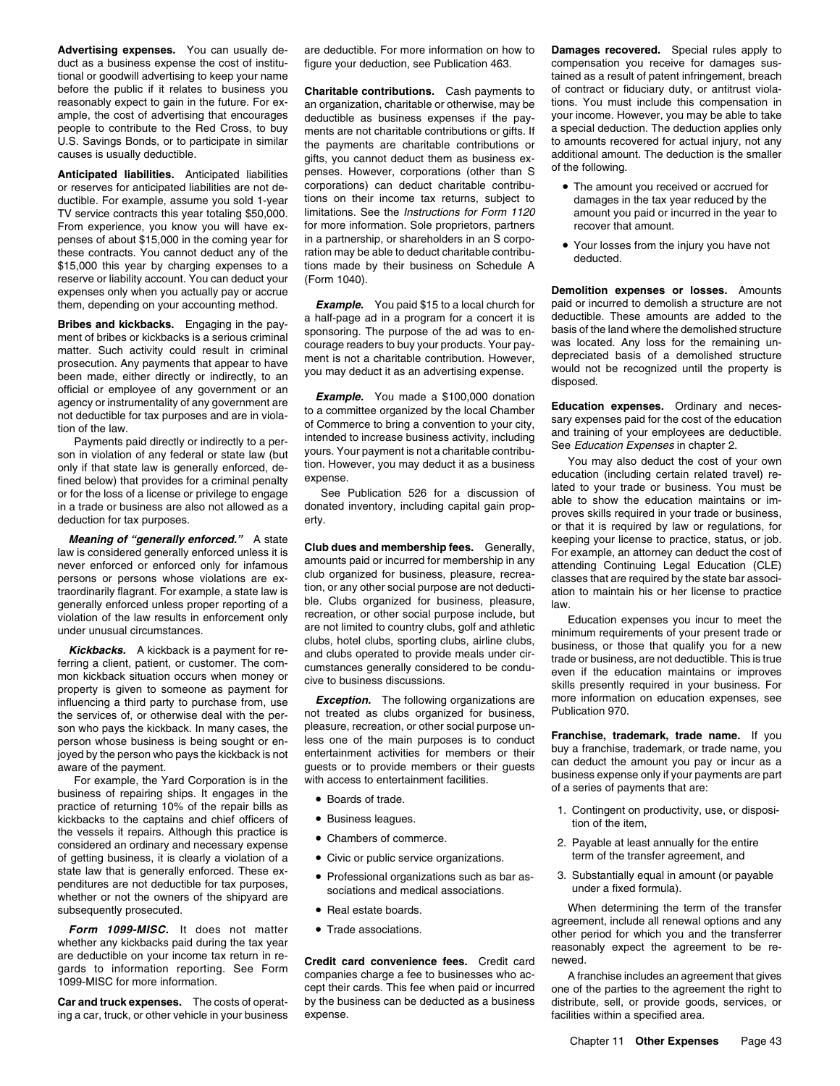**Advertising expenses.** You can usually de- are deductible. For more information on how to **Damages recovered.** Special rules apply to duct as a business expense the cost of institu-<br>tional or goodwill advertising to keep your name<br>tained as a result of patent infringement, breach tional or goodwill advertising to keep your name before the public if it relates to business you<br>reasonably expect to gain in the future. For ex-<br>an organization charitable or otherwise may be tions. You must include this compensation in reasonably expect to gain in the future. For ex- an organization, charitable or otherwise, may be tions. You must include this compensation in ample, the cost of advertising that encourages deductible as business expenses ample, the cost of advertising that encourages deductible as business expenses if the pay-your income. However, you may be able to take<br>people to contribute to the Red Cross, to buy ments are not charitable contributions o

or reserves for anticipated liabilities are not de- corporations) can deduct charitable contribu- • The amount you received or accrued for during the tax vear reduced by the during subject to damages in the tax vear reduce ductible. For example, assume you sold 1-year tions on their income tax returns, subject to damages in the tax year reduced by the TV service contracts this year totaling \$50,000. limitations. See the *Instructions for Form 1120* amount you paid or incurred in the year to anount you paid or incurred in the year to recoment of the year to recoment. From experience, you know you will have ex-<br>penses of about \$15,000 in the coming year for in a partnership, or shareholders in an S corpo-<br>say the second that the coming year for in a partnership, or shareholders in an S penses of about \$15,000 in the coming year for in a partnership, or shareholders in an S corpo-<br>these contracts. You cannot deduct any of the ration may be able to deduct charitable contribu-<br>deducted \$15,000 this year by charging expenses to a tions made by their business on Schedule A deducted. reserve or liability account. You can deduct your (Form 1040). expenses only when you actually pay or accrue **Demolition expenses or losses.** Amounts **Demolition expenses or losses.** Amounts them, depending on your accounting method. **Example.** You paid \$15 to a local church for paid

**Bribes and kickbacks.** Engaging in the pay-<br>
ment of bribas of half-page ad in a program for a concert it is deductible. These a mounts are added to the<br>
ment of bribas of the and where the demolished structure<br>
matter. S

**Meaning of "generally enforced."** A state<br>law is considered generally enforced unless it is<br>never enforced or enforced only for infamous<br>never enforced or enforced only for infamous<br>persons or persons whose violations are

property is given to someone as payment for<br>influencing a third party to purchase from, use **Exception.** The following organizations are more information on education expenses, see<br>the services of or otherwise deal with th the services of, or otherwise deal with the per- not treated as clubs organized for business, son who pays the kickback. In many cases, the pleasure, recreation, or other social purpose unson who pays the kickback. In many cases, the pleasure, recreation, or other social purpose un-<br>person whose business is being sought or en-<br>joyed by the person who pays the kickback is not entertainment activities for mem

becomes of repairing only in the captains of the repair bills as<br>
in the vessels it repairs. Although this practice of eturning 10% of the repair bills as<br>
the vessels it repairs. Although this practice is<br>
Chambers of com The vessels it repairs. Although this practice is<br>
considered an ordinary and necessary expense<br>
of getting business, it is clearly a violation of a Civic or public service organizations.<br>  $\begin{array}{ccc}\n & 2. & \text{Payable at least annually for the entire  
\nterm of the transfer agreement$ of getting business, it is clearly a violation of a state law that is generally enforced. These ex-<br>• Professional organizations such as bar asstate law that is generally enforced. These ex-<br>penditures are not deductible for tax purposes,<br>whether or not the owners of the shipyard are<br>whether or not the owners of the shipyard are<br>whether or not the owners of the s

ing a car, truck, or other vehicle in your business expense. The state of the state of acilities within a specified area.

people to contribute to the Red Cross, to buy<br>U.S. Savings Bonds, or to participate in similar the payments are charitable contributions or gifts. If a special deduction. The deduction applies only<br>causes is usually deduct

- 
- 
- 
- 
- 
- 
- 

are deductible on your income tax return in re-<br>gards to information reporting. See Form<br>1099-MISC for more information. eept their cards. This fee when paid or incurred one of the parties to the agreement the right to Car and truck expenses. The costs of operat- by the business can be deducted as a business distribute, sell, or provide goods, services, or

- 
- 

them, depending on your accounting method. **Example.** You paid \$15 to a local church for paid or incurred to demolish a structure are not paid or incurred to demolish a structure are not paid or the search is deductible. T

Violation of the law results in enforcement only<br>
under unusual circumstances.<br> **Kickbacks.** A kickback is a payment for reception, or other social purpose include, but<br>
law results in enforcement only are not limited to c

aware of the payment.<br>
For example, the Yard Corporation is in the with access to entertainment facilities.<br>
business expense only if your payments are part<br>
business of repairing ships. It engages in the example, the Yard

- 
- 
- 

subsequently prosecuted. • Real estate boards. When determining the term of the transfer<br>
— state boards. • The transfer agreement, include all renewal options and any Form 1099-MISC. It does not matter <br>whether any kickbacks paid during the tax year<br>are deductible on your income tax return in re-<br>are deductible on your income tax return in re-<br>are deductible on your income tax return in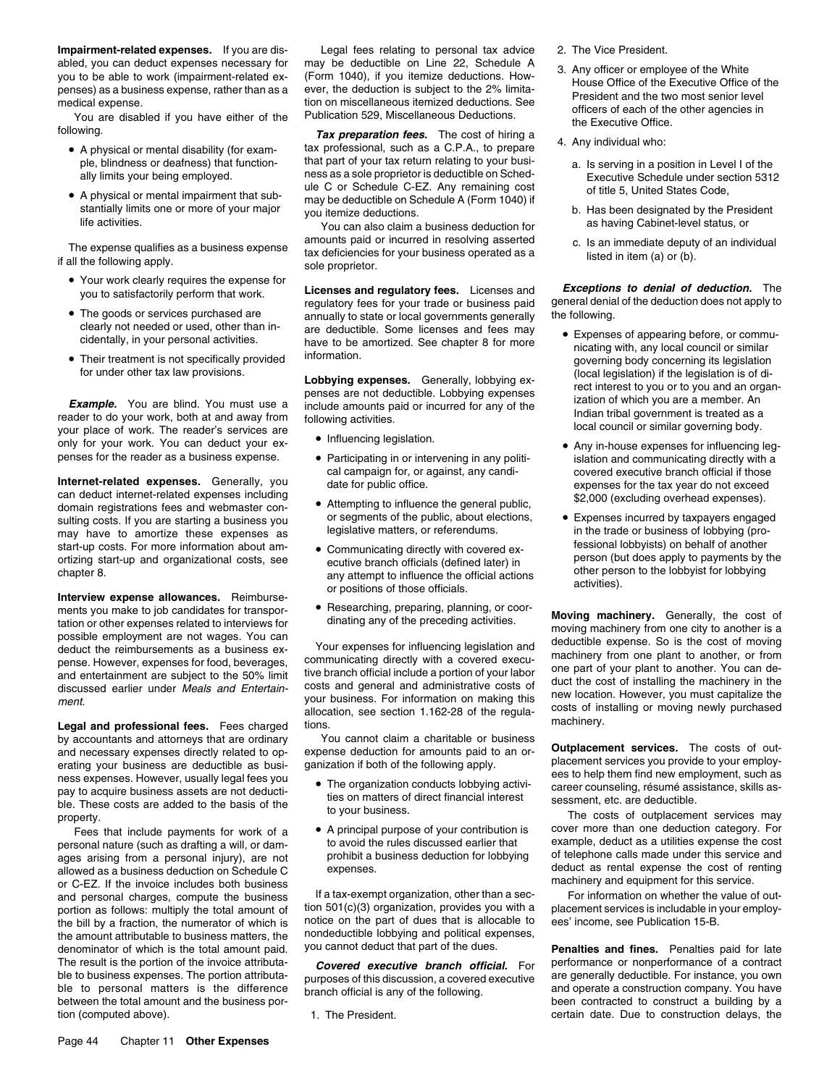**Impairment-related expenses.** If you are dis- Legal fees relating to personal tax advice 2. The Vice President.

- 
- A physical or mental impairment that sub-<br>stantially limits one or more of your major you itemize deductions. b. Has been designated by the President<br>life activities. you can also claim a husiness deduction for as having C

- Your work clearly requires the expense for
- The goods or services purchased are
- 

Influencing legislation.<br>
Influencing legislation.<br>
Influencing legislation.<br>
Participating in or intervening in any politi-<br>
Participating in or intervening in any politi-<br>
Intervening in any politi-<br>
Intervening in any p

Internet-related expenses. Generally, you date for public office.<br>
can deduct internet-related expenses including<br>
date for public office.<br>  $\bullet$  Attempting to influence the general public,<br>  $\text{$2,000 (excluding overhead expenses)}$ . domain registrations fees and webmaster con-<br>sulting costs. If you are starting a business you or segments of the public, about elections, sulting costs. If you are starting a business you or segments of the public, about elections, <br>may have to amortize these expenses as legislative matters, or referendums. In the trade or business of lobbying (promay have to amortize these expenses as legislative matters, or referendums.<br>start-up costs. For more information about am-<br>e Communicating directly with covered ex-<br>fessional lobbyists) on behalf of another start-up costs. For more information about am-<br>oriting start-up and organizational costs, see securive branch officials (defined later) in person (but does apply to payments by the ortizing start-up and organizational costs, see ecutive branch officials (defined later) in person (but does apply to payments by the ecutive branch officials (defined later) in the ecutive branch officials conter person t

by accountants and attorneys that are ordinary You cannot claim a charitable or business and necessary expenses directly related to open sexpense deduction for amounts paid to an orcoutplacement services. The costs of out-<br>erating your business are deductible as busi-<br>ness expenses. However, usually legal fees be a matter of direct financial interest counseling, résumé assistance, skills as-<br>ble. These costs are added to the basis of the the boyour business.<br>property. The costs of outplacement services may<br>property. The costs of

personal nature (such as drafting a will, or dam-<br>ages arising from a personal injury), are not prohibit a business deduction for lobbying of telephone calls made under this service and ages arising from a personal injury), are not prohibit a business deduction on Schedule C expenses. allowed as a business deduction on Schedule C expenses. The expense of renting allowed as rental expense the cost of renting or C-EZ. If the invoice includes both business and the interval or C-EZ. If the invoice includes both business contact the interval or C-EZ. If the invoice includes both business and the interval or contact the interval or and personal charges, compute the business If a tax-exempt organization, other than a sec-<br>portion as follows: multiply the total amount of tion 501(c)(3) organization, provides you with a placement services is includable portion as follows: multiply the total amount of tion 501(c)(3) organization, provides you with a placement service in the plancement services in the plancement services in the bill by a fraction, the numerator of which i the bill by a fraction, the numerator of which is notice on the part of dues that is allocable to ees' income, see Publication 15-B.<br>the amount attributable to business matters, the nondeductible lobbying and political exp the amount attributable to business matters, the nondeductible lobbying and political expension of which is the total amount paid. you cannot deduct that part of the dues. denominator of which is the total amount paid. you cannot deduct that part of the dues. **Penalties and fines.** Penalties paid for late The result is the portion of the invoice attributa-<br>ble to business expenses. The portion attributa-<br>purposes of this discussion, a covered executive are generally deductible. For instance, you own ble to business expenses. The portion attributa-<br>ble to personal matters is the difference branch official is any of the following.<br>between the total amount and the business por-<br>tion (computed above).<br>1. The President.<br>1.

 A physical or mental disability (for exam- tax professional, such as a C.P.A., to prepare ple, blindness or deafness) that function-<br>ally limits your being employed. These as a sole proprietor is deductible on Sched-<br>Executive Schedule under section 5312 ness as a sole proprietor is deductible on Sched-<br>Executive Schedule under section 5312 ule C or Schedule C-EZ. Any remaining cost of title 5, United States Code, •

You can also claim a business deduction for The expense qualifies as a business expense<br>
tax deficiencies for your business operated as a<br>
sole proprietor.<br>
sole proprietor.<br>
sole proprietor.<br>
sole proprietor.

The goods or services purchased are annually to state or local governments generally clearly not needed or used, other than inclearly not needed or used, other than in-<br>cidentally, in your personal activities.<br>cidentally, in your personal activities.<br>providence to be amortized. See chapter 8 for more Communicativity, in your personal activities.<br>■ have to be amortized. See chapter 8 for more nicating with, any local council or similar<br>overning body concerning its legislation

- 
- 
- 
- Communicating directly with covered exchapter 8. other person to the lobbyist for lobbying<br>any attempt to influence the official actions of the person to the lobbyist for lobbying<br>**Interview expense allowances.** Reimburse- or positions of those officials.
	-

- 
- 

- 
- abled, you can deduct expenses necessary for may be deductible on Line 22, Schedule A<br>
you to be able to work (impairment-related ex-<br>
penses) as a business expense, rather than as a<br>
medical expense.<br>
The cost of hiring a
	- -
		-
		-

you to satisfactorily perform that work.<br>The goods or services purchased are<br>The goods or services purchased are<br>annually to state or local governments generally the following.

- Their treatment is not specifically provided information.<br>
for under other tax law provisions.<br>
in the legislation of difor under other tax law provisions.<br> **Example.** You are blind. You must use a<br>
reader to do your work, both at and away from<br>
your place of work. The reader's services are<br>
your place of work. The reader's services are<br>  $\$ 
	- Participating in or intervening in any politi-<br>
	cal campaign for, or against, any candi-<br>
	covered executive branch official if those covered executive branch official if those
		-

ments you make to job candidates for transportation or other expenses related to interviews for<br>attion or other expenses related to interviews for<br>dinating any of the preceding activities.<br>deduct the reimbursements as a bu

Fees that include payments for work of a  $\bullet$  A principal purpose of your contribution is cover more than one deduction category. For a set of the cost of the cost of the cost of the cost of the rules discussed earlier tha

1. The President. The President. The President. Computed above the construction delays, the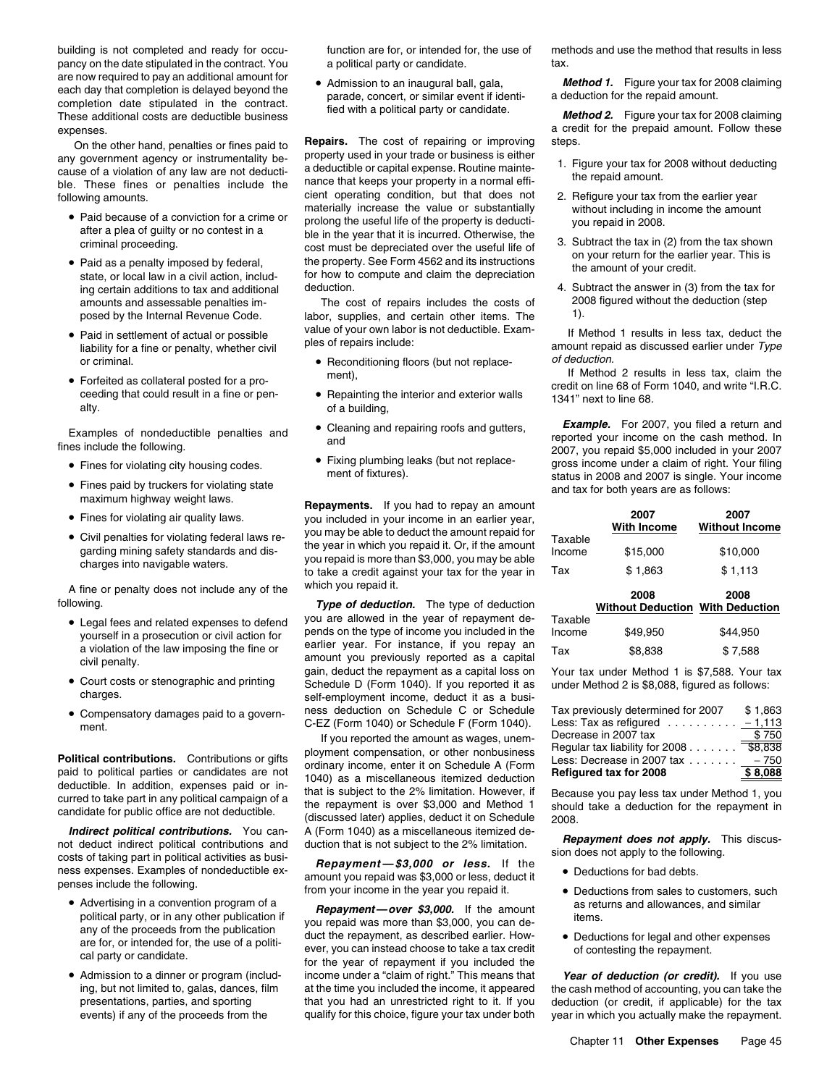building is not completed and ready for occu- function are for, or intended for, the use of methods and use the method that results in less pancy on the date stipulated in the contract. You a political party or candidate. The stax. are now required to pay an additional amount for  $\bullet$  Admission to an inaugural ball, gala, each day that completion is delayed beyond the and the contraction of the antique of the antique of the contract of the contract of the contract of the contr<br>completion date stipulated in the contract. These additional costs are deduction date stipulated in the contrac

- 
- 
- 
- Forfeited as collateral posted for a pro-<br>ceeding that could result in a fine or pen-<br>of a building, of a building, on the figure of a building,

- 
- Fines paid by truckers for violating state
- 
- 

A fine or penalty does not include any of the which you repaid it.<br>**Type of deduction.** The type of deduction *Type of deduction*. The type of deduction

- Legal fees and related expenses to defend
- Court costs or stenographic and printing
- Compensatory damages paid to a govern-

**Indirect political contributions.** You can-<br>not deduct indirect political contributions and duction that is not subject to the 2% limitation.<br>costs of taking part in political activities as busi-<br>ness expenses. Examples o

- Advertising in a convention program of a
- Admission to a dinner or program (includ-

On the other hand, penalties or fines paid to **Repairs.** The cost of repairing or improving or improving steps. any government agency or instrumentality be- property used in your trade or business is either<br>cause of a violation of any law are not deducti- a deductible or capital expense. Routine mainte- 1. Figure your tax for 2008 w following amounts.<br>
cient operating condition, but that does not 2. Refigure your tax from the earlier year<br>
materially increase the value or substantially without including in income the amount materially increase the value or substantially without including in<br>• Paid because of a conviction for a crime or prolong the useful life of the property is deducti-• Paid because of a conviction for a crime or<br>
after a plea of guilty or no contest in a<br>
criminal proceeding.<br>
• Paid as a nenalty imposed by federal<br>
• Paid as a nenalty imposed by federal<br>
• Paid as a nenalty imposed by • Paid as a penalty imposed by federal, the property. See Form 4562 and its instructions on your return for the earlier year. This is the amount of your credit. State, or local law in a civil action, includ- for how to com

amounts and assessable penalties im-<br>
posed by the Internal Revenue Code. Iabor, supplies, and certain other items. The <sup>1)</sup> labor, supplies, and certain other items. The value of your own labor is not deductible. Examples of repairs include: • Paid in settlement of actual or possible value of your own labor is not deductible. Examently for Method 1 results in less tax, deduct the

- or criminal. **of deduction. Conditioning floors** (but not replace- of deduction.
	- of a building,
	-
- Fixing plumbing leaks (but not replace-

Fines paid by truckers for violating state<br>
maximum highway weight laws.<br> **Repayments.** If you had to repay an amount<br> **Period is and tax for both years are as follows:**<br> **Repayments.** If you had to repay an amount<br> **Perio** ■ Civil penalties for violating federal laws re-<br>**With an earlier which you repaid it.** Or, if the amount repaid in an earlier persist of the amount • Civil penalties for violating federal laws re-<br>garding mining safety standards and dis-<br>charges into navigable waters.<br>to take a credit against your tax for the year in Tax \$1,863 \$1,113

you are allowed in the year of repayment de-<br>pends on the type of income you included in the yourself in a prosecution or civil action for pends on the type of income you included in the Income \$49,950 \$44,950<br>a violation of the law imposing the fine or earlier year. For instance, if you repay an amount you previo Court costs or stenographic and printing gain, deduct the repayment as a capital loss on Your tax under Method 1 is \$7,588. Your tax<br>Court costs or stenographic and printing Schedule D (Form 1040). If you reported it as a ness deduction on Schedule C or Schedule ment. C-EZ (Form 1040) or Schedule F (Form 1040).

Folitical contributions. Contributions or gifts<br>playment compensation, or other nonbusiness<br>paid to political parties or candidates are not<br>deductible. In addition, expenses paid or in-<br>curred to take part in any political

• Advertising in a convention program of a<br>payment—over \$3,000. If the amount<br>any of the proceeds from the publication if<br>are for, or intended for, the use of a politi-<br>cal party or candidate.<br>cal party or candidate. The u income under a "claim of right." This means that **Year of deduction (or credit).** If you use ing, but not limited to, galas, dances, film at the time you included the income, it appeared the cash method of accounting, you can take the presentations, parties, and sporting that you had an unrestricted right to it. If you deduction (or credit, if applicable) for the tax

expenses.<br>On the other hand nenalties or fines paid to **Repairs.** The cost of repairing or improving steps.

- 
- 
- 
- ing certain additions to tax and additional deduction.<br>
The cost of repairs includes the costs of  $\frac{2008}{2008}$  figured without the deduction (step

liability for a fine or penalty, whether civil ples of repairs include: amount repaid as discussed earlier under Type<br>or criminal and a Besonditioning floors (but not replace of deduction.

■ Forfeited as collateral posted for a pro-<br>
■ Profeited as collateral posted for a pro-<br>
If Method 2 results in less tax, claim the equation is a collateral posted for a pro-

• Cleaning and repairing roofs and gutters, **Example.** For 2007, you filed a return and Examples of nondeductible penalties and<br>fines include the following.<br>Fixing plumbing leaks (but not replace-<br>Fixing plumbing leaks (but not replace-<br>Fines for violating city housing codes<br>Fixing plumbing leaks (but not rep Fines for violating city housing codes.<br>ment of fixtures). gross income under a claim of right. Your filing ment of fixtures).

|                   | 2007<br><b>With Income</b>                      | 2007<br><b>Without Income</b> |
|-------------------|-------------------------------------------------|-------------------------------|
| Taxable<br>Income | \$15,000                                        | \$10,000                      |
| Tax               | \$1.863                                         | \$1,113                       |
|                   | 2008<br><b>Without Deduction With Deduction</b> | 2008                          |
|                   |                                                 |                               |
| Taxable<br>Income | \$49.950                                        | \$44.950                      |

| Tax previously determined for 2007                   | \$1.863 |
|------------------------------------------------------|---------|
| Less: Tax as refigured $\ldots \ldots \ldots -1,113$ |         |
| Decrease in 2007 tax                                 | \$750   |
| Regular tax liability for $2008 \ldots$ \$8,838      |         |
| Less: Decrease in 2007 tax                           | $-750$  |
| Refigured tax for 2008                               | \$8.088 |

- 
- 
- 

events) if any of the proceeds from the qualify for this choice, figure your tax under both year in which you actually make the repayment.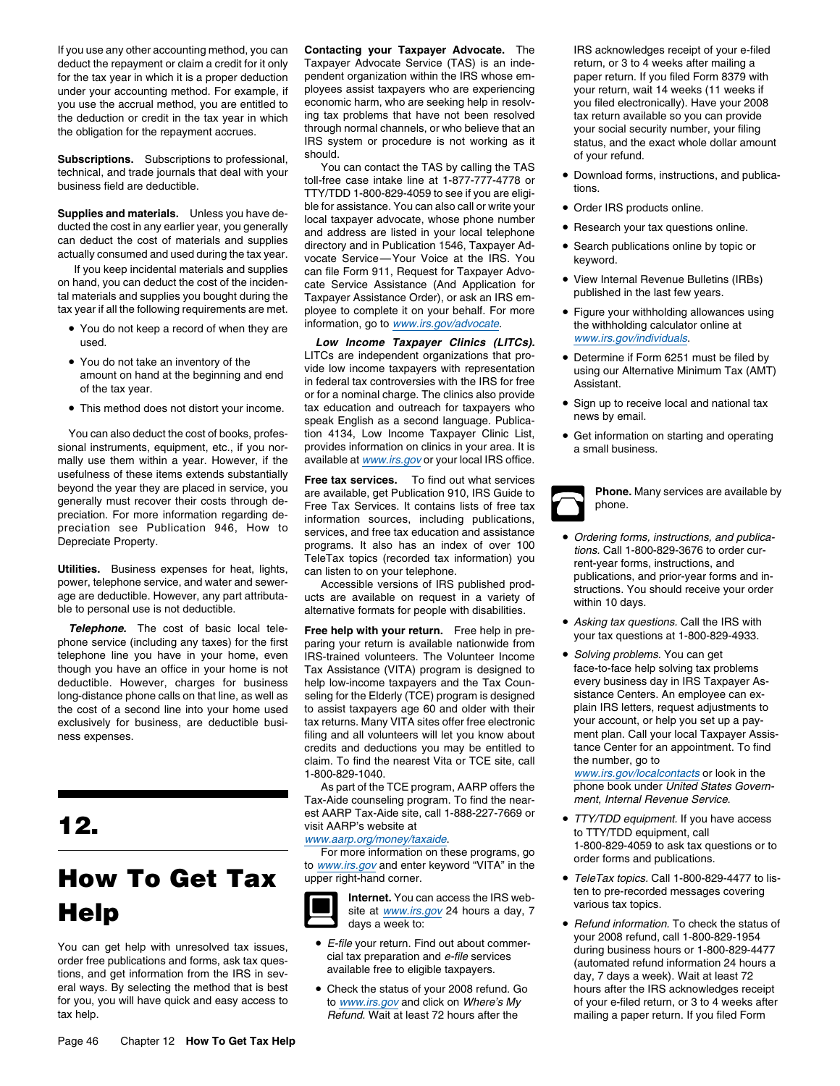If you use any other accounting method, you can **Contacting your Taxpayer Advocate.** The IRS acknowledges receipt of your e-filed deduct the repayment or claim a credit for it only Taxpayer Advocate Service (TAS) is an inde-<br>for the tax year in which it is a proper deduction pendent organization within the IRS whose em- paper return. If you filed For for the tax year in which it is a proper deduction pendent organization within the IRS whose em- paper return. If you filed Form 8379 with under your accounting method. For example, if ployees assist taxpayers who are expe under your accounting method. For example, if ployees assist taxpayers who are experiencing your return, wait 14 weeks (11 weeks if you use the accrual method, you are entitled to economic harm, who are seeking help in res you use the accrual method, you are entitled to economic harm, who are seeking help in resolv-<br>the deduction or credit in the tax year in which ing tax problems that have not been resolved tax return available so you can p the deduction or credit in the tax year in which ing tax problems that have not been resolved tax return available so you can provide<br>through normal channels, or who believe that an your social security number, your filing

**Subscriptions.** Subscriptions to professional, should. The state of your refund. The state of your refund. The state of your refund. The state of your refund. The state of your refund. The state of the state of the state

- Vote do not keep a record of the *Low Income Taxpayer Clinics (LITCs). Low Income Taxpayer Clinics (LITCs).*
- 
- 

sional instruments, equipment, etc., if you nor- provides information on clinics in your area. It is a small business.<br>mally use them within a year. However, if the available at www.irs.gov or your local IRS office. mally use them within a year. However, if the usefulness of these items extends substantially<br>beyond the year they are placed in service, you are available, get Publication 910, IRS Guide to<br>generally must recover their costs through de-<br>preciation. For more informati

Telephone. The cost of basic local tele-<br>
phone service (including any taxes) for the first paring your return is available nationwide from<br>
telephone line you have in your home, even IRS-trained volunteers. The Volunteer

# **Internet.** You can access the IRS web-<br>site at www.irs.gov 24 hours a day, 7<br>days a week to: **Help** site at a week of the status of the status

You can get help with unresolved tax issues,<br>
order free publications and forms, ask tax ques-<br>
tions, and get information from the IRS in sev-<br>  $\frac{1}{2}$  available free to eligible taxpayers.<br>  $\frac{1}{2}$  available free to eral ways. By selecting the method that is best • Check the status of your 2008 refund. Go hours after the IRS acknowledges receipt for you, you will have quick and easy access to to www.irs.gov and click on Where's My of your e-filed return, or 3 to 4 weeks after<br>Refund. Wait at least 72 hours after the mailing a paper return. If you filed Form

the obligation for the repayment accrues. through normal channels, or who believe that an your social security number, your filing<br>IRS system or procedure is not working as it status, and the exact whole dollar amount IRS system or procedure is not working as it

technical, and trade journals that deal with your<br>business field are deductible.<br>TTY/TDD 1-800-829-4059 to see if you are eligi-<br>TTY/TDD 1-800-829-4059 to see if you are eligi-<br>tions. **Supplies and materials.** Unless you have de-<br>ducted the cost in any earlier year, you generally<br>can deduct the cost of materials and supplies<br>actually consumed and used during the tax year.<br>If you keep incidental material If you keep incidental materials and supplies can file Form 911, Request for Taxpayer Advo-<br>on hand, you can deduct the cost of the inciden-<br>tal materials and supplies you bought during the Taxpayer Assistance Order), or a tax year if all the following requirements are met. ployee to complete it on your behalf. For more • Figure your withholding allowances using • You do not keep a record of when they are information, go to *www.irs.gov/advocate*. The withholding calculator online at

• You do not take an inventory of the an interest of the completed by build be filed by<br>vide low income taxpayers with representation using our Alternative Minimum Tax (AMT) • You do not take an inventory of the<br>amount on hand at the beginning and end<br>of the tax year. The detail tax controversies with the IRS for free<br>or for a nominal charge. The clinics also provide<br>or for a nominal charge. • This method does not distort your income tax education and outreach for taxpayers who . Sign up to receive local and national tax This method does not distort your income. tax education and outreach for taxpayers who sign up to rece<br>speak English as a second language. Publica- news by email. You can also deduct the cost of books, profes-<br>
onal instruments, equipment, etc., if you nor-<br>
provides information on clinics in your area. It is<br>
a small business.

IRS-trained volunteers. The Volunteer Income • Solving problems. You can get<br>Tax Assistance (VITA) program is designed to face-to-face help solving tax problems though you have an office in your home is not Tax Assistance (VITA) program is designed to face-to-face help solving tax problems<br>deductible. However, charges for business help low-income taxpayers and the Tax Coun- every deductible. However, charges for business help low-income taxpayers and the Tax Coun- every business day in IRS Taxpayer As-<br>long-distance phone calls on that line, as well as seling for the Elderly (TCE) program is design seling for the Elderly (TCE) program is designed the cost of a second line into your home used to assist taxpayers age 60 and older with their plain IRS letters, request adjustments to exclusively for business, are deductible busi-<br>exclusively for business, are deductibl exclusively for business, are deductible busi- tax returns. Many VITA sites offer free electronic your account, or help you set up a pay-<br>ness expenses ness expenses. https://experess. filing and all volunteers will let you know about ment plan. Call your local Taxpayer Assis-<br>credits and deductions you may be entitled to the cance Center for an appointment. To find credits and deductions you may be entitled to tance Center for a<br>claim. To find the nearest Vita or TCE site, call the number, go to claim. To find the nearest Vita or TCE site, call 1-800-829-1040. www.irs.gov/localcontacts or look in the

> As part of the TCE program, AARP offers the phone book under United States Govern-<br>c-Aide counseling program. To find the near-<br>ment, Internal Revenue Service. Tax-Aide counseling program. To find the nearest AARP Tax-Aide site, call 1-888-227-7669 or <br>visit AARP's website at example at the example of the example of the example of the example of the example of



- 
- Refund. Wait at least 72 hours after the mailing a paper return. If you filed Form

- 
- 
- 
- 
- 
- 
- 
- 
- 

- Depreciate Property.<br>
Depreciate Property.<br>
Depreciate Property.<br>
Utilities. Business expenses for heat, lights,<br>
TeleTax topics (recorded tax information) you<br>
TeleTax topics (recorded tax information) you<br>
can listen to
	- Asking tax questions. Call the IRS with
	-

- **12.**<br>
WE CONTRACT TO SERVICE ARP's website at<br>
www.aarp.org/money/taxaide.<br>
To Get Tax upper right-hand corner.<br>
www.irs.gov and enter keyword "VITA" in the<br>
upper right-hand corner.<br>
To Get Tax upper right-hand corner.<br>
	-
	- days a week to:  **Refund information.** To check the status of ■ E-file your return. Find out about commer-<br>
	sight a vergeneration and a file services<br>
	during business hours or 1-800-829-4477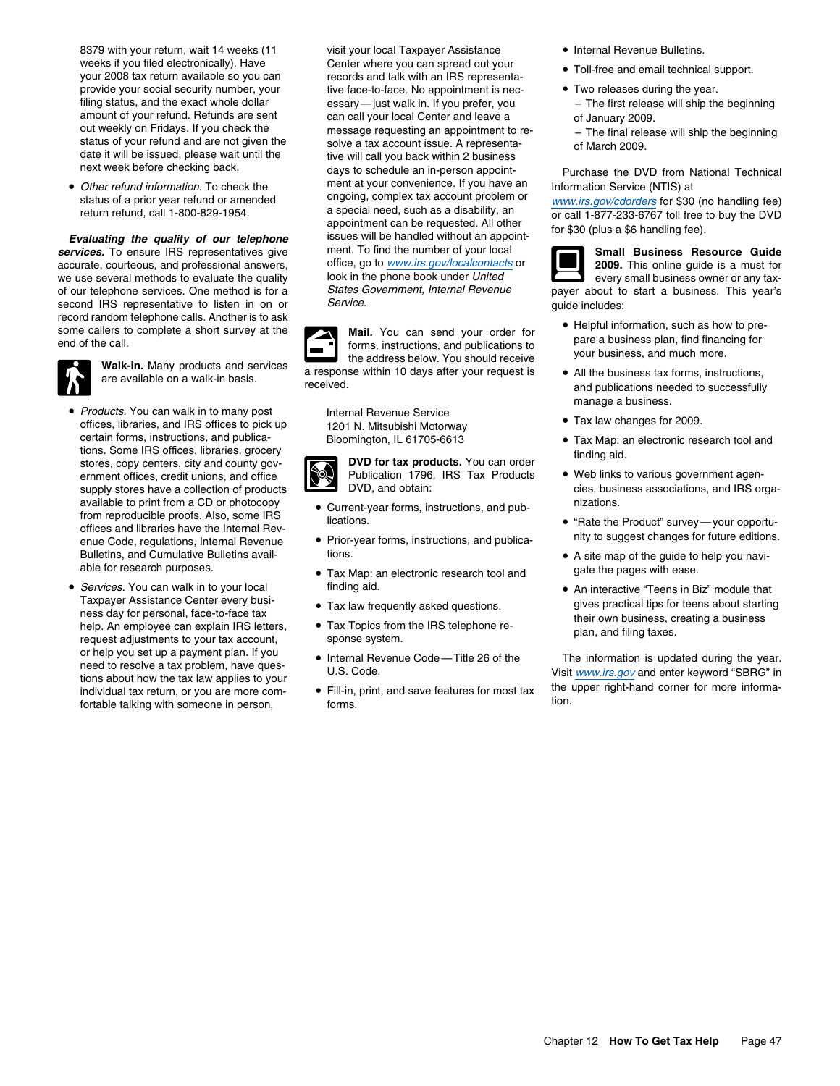weeks if you filed electronically). Have Center where you can spread out your vertubled Toll-free and email technical support.<br>
your 2008 tax return available so you can vecords and talk with an IRS representayour 2008 tax return available so you can provide your social security number, your tive face-to-face. No appointment is nec- • Two releases during the year. filing status, and the exact whole dollar essary—just walk in. If you prefer, you - The first release will ship the beginning amount of your refund. Refunds are sent can call your local Center and leave a of January 2009.<br>
out weekly on Fridays. If you check the message requesting an appointment to re-<br>
— The final relea out weekly on Fridays. If you check the head to message requesting an appointment to re- hearth and and are not given the heginning<br>status of your refund and are not given the solve a tax account issue. A representa- heart

*services.* To ensure IRS representatives give ment. To find the number of your local **Small Business Resource Guide** accurate, courteous, and professional answers, office, go to www.irs.gov/localcontacts or **2009.** This online guide is a must for we use several methods to evaluate the quality look in the phone book under United every sma we use several methods to evaluate the quality look in the phone book under United of our telephone services. One method is for a States Government, Internal Revenue of our telephone services. One method is for a States Government, Internal Revenue payer about to start a business. This year's second IRS representative to listen in on or Service. second IRS representative to listen in on or Service. The second IRS representative to listen in on or Service. record random telephone calls. Another is to ask<br>some callers to complete a short survey at the **Fig. 1.1 Mail.** You can send your order for **•** Helpful information, such as how to pre-<br>record random telephone calls. Anoth



- *Products.* You can walk in to many post littlerinal Revenue Service offices, libraries, and IRS offices to pick up 1201 N. Mitsubishi Motorway<br>certain forms, instructions, and publica-<br>Bloomington, IL 61705-6613 certain forms, instructions, and publica-<br>tions. Some IRS offices, libraries, grocery<br>stores, copy centers, city and county gov-<br>ernment offices, credit unions, and office<br>ernment offices, credit unions, and office<br>example ernment offices, credit unions, and office  $\begin{bmatrix} \bullet \\ \bullet \end{bmatrix}$  Publication 1796 supply stores have a collection of products  $\begin{bmatrix} \bullet \\ \bullet \end{bmatrix}$  DVD, and obtain: available to print from a CD or photocopy <br>
• Current-year forms, instructions, and pub-<br>
nizations. Current-year forms, instructions, and pub- from reproducible proofs. Also, some IRS lications. •ences and ibraries have the Internal Revenue (and Internal Revenue of Prior-year forms, instructions, and publica-<br>
Bulletins, and Cumulative Bulletins avail-<br>
Bulletins, and Cumulative Bulletins avail-<br> **Bulletins**, and C able for research purposes.
- Services. You can walk in to your local finding aid. •Taxpayer Assistance Center every busi-<br>ness deviating arranged face to face to: Tax law frequently asked questions. The gives practical tips for teens about starting<br>ness day for personal, face-to-face tax<br>help. An employee can explain IRS letters, Tax Topics from the IRS telephone re-<br>request adjustm or help you set up a payment plan. If you<br>  $\bullet$  Internal Revenue Code—Title 26 of the<br>  $\bullet$  ILC Code<br>  $\bullet$  LLC Code

8379 with your return, wait 14 weeks (11 visit your local Taxpayer Assistance • Internal Revenue Bulletins. next week before checking back. days to schedule an in-person appoint-<br>
Purchase the DVD from National Technical • Other refund information. To check the ment at your convenience. If you have an • Other refund information. To check the ment at your convenience. If you have an information Service (NTIS) at<br>status of a prior year refund or amended ongoing, complex tax account problem or<br>return refund, call 1-800-829

Some callers to complete a short survey at the **Mail.** You can send your order for<br>end of the call.<br>Walk-in. Many products and services are available on a walk-in basis.<br>are available on a walk-in basis.<br>The address below.



- 
- tions.  $\bullet$  A site map of the guide to help you navi-
- Tax Map: an electronic research tool and gate the pages with ease.
- 
- 
- 
- fortable talking with someone in person, forms. The state of the state of the state of the state of the state of the state of the state of the state of the state of the state of the state of the state of the state of the s
- 
- 
- -
- 



- 
- manage a business.
- Tax law changes for 2009.
- 
- supply stores have a collection of products DVD, and obtain: cies, business associations, and IRS orga-
	-
	-
	- An interactive "Teens in Biz" module that

or help you set up a payment plan. if you<br>need to resolve a tax problem, have ques-<br>tions about how the tax law applies to your<br>individual tax return, or you are more com-<br>individual tax return, or you are more com-<br>indivi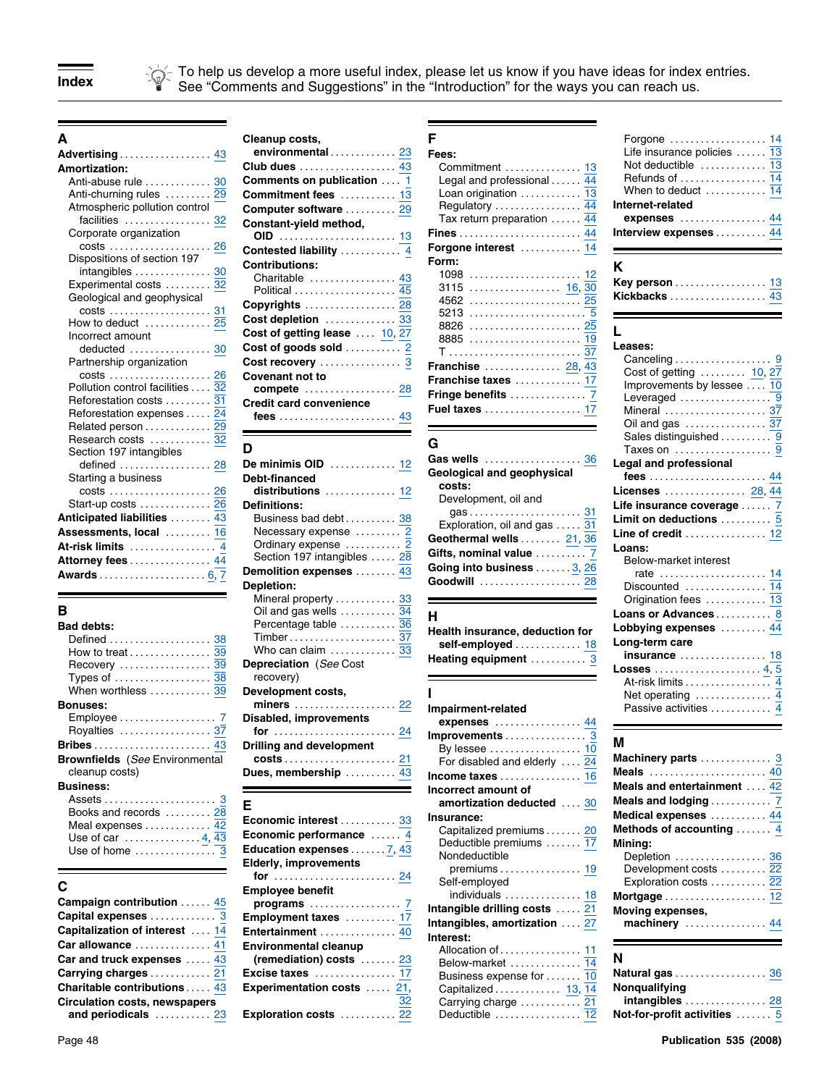To help us develop a more useful index, please let us know if you have ideas for index entries.<br>**Index** See "Comments and Suggestions" in the "Introduction" for the ways you can reach us.

| Advertising <u>4</u>                                                                                                                                                                                                                               |
|----------------------------------------------------------------------------------------------------------------------------------------------------------------------------------------------------------------------------------------------------|
| Amortization:                                                                                                                                                                                                                                      |
| Anti-abuse rule<br>Anti-churning rules                                                                                                                                                                                                             |
|                                                                                                                                                                                                                                                    |
| Atmospheric pollution control                                                                                                                                                                                                                      |
|                                                                                                                                                                                                                                                    |
| Corporate organization                                                                                                                                                                                                                             |
|                                                                                                                                                                                                                                                    |
| Dispositions of section 197                                                                                                                                                                                                                        |
| intangibles<br>Experimental costs                                                                                                                                                                                                                  |
|                                                                                                                                                                                                                                                    |
| Geological and geophysical                                                                                                                                                                                                                         |
|                                                                                                                                                                                                                                                    |
|                                                                                                                                                                                                                                                    |
| Incorrect amount                                                                                                                                                                                                                                   |
|                                                                                                                                                                                                                                                    |
| Partnership organization                                                                                                                                                                                                                           |
| Costs<br>Costs<br>Pollution control facilities<br>Reforestation costs<br>Related person<br>Related person<br>Costantino Contract Costal<br>Related person<br>Costantino Costal Contract Costal<br>Costal Costal Costal Costal Costal Costal<br>Cos |
|                                                                                                                                                                                                                                                    |
|                                                                                                                                                                                                                                                    |
|                                                                                                                                                                                                                                                    |
| Research costs …………. <u>{</u>                                                                                                                                                                                                                      |
| Section 197 intangibles                                                                                                                                                                                                                            |
| defined <u>?</u>                                                                                                                                                                                                                                   |
| Starting a business                                                                                                                                                                                                                                |
|                                                                                                                                                                                                                                                    |
| Start-up costs $\ldots$ <sup>7</sup>                                                                                                                                                                                                               |
| Anticipated liabilities <u>4</u>                                                                                                                                                                                                                   |
| Assessments, local <u>.</u> <u>1</u>                                                                                                                                                                                                               |
| At-risk limits                                                                                                                                                                                                                                     |
| Attorney fees 4                                                                                                                                                                                                                                    |
|                                                                                                                                                                                                                                                    |
|                                                                                                                                                                                                                                                    |

| bau uebis:                                   |  |
|----------------------------------------------|--|
| Defined  38                                  |  |
|                                              |  |
| Recovery  39                                 |  |
| Types of $\dots\dots\dots\dots\dots\dots 38$ |  |
| When worthless  39                           |  |
| <b>Bonuses:</b>                              |  |
|                                              |  |
| Royalties  37                                |  |
|                                              |  |
| <b>Brownfields</b> (See Environmental        |  |
| cleanup costs)                               |  |
| <b>Business:</b>                             |  |
|                                              |  |
| Books and records $\dots \dots 28$           |  |
| Meal expenses  42                            |  |
|                                              |  |
|                                              |  |

| Campaign contribution  4             |
|--------------------------------------|
| Capital expenses                     |
| Capitalization of interest  1        |
| Car allowance  4                     |
| Car and truck expenses  4            |
| Carrying charges  2                  |
| Charitable contributions  4          |
| <b>Circulation costs, newspapers</b> |
| and periodicals 2000 12              |

| Advertising 43                                                                                                       |                                                                                                           | Fees:                                                                  | Life insurance policies $\ldots$ 13                                         |
|----------------------------------------------------------------------------------------------------------------------|-----------------------------------------------------------------------------------------------------------|------------------------------------------------------------------------|-----------------------------------------------------------------------------|
| Amortization:                                                                                                        | <b>Club dues</b> 43                                                                                       | Commitment  13                                                         | Not deductible  13                                                          |
| Anti-abuse rule  30                                                                                                  | Comments on publication  1                                                                                | Legal and professional $\overline{44}$                                 | Refunds of  14                                                              |
| Anti-churning rules  29                                                                                              | Commitment fees  13                                                                                       | Loan origination  13                                                   | When to deduct  14                                                          |
| Atmospheric pollution control                                                                                        | Computer software  29                                                                                     | Regulatory  44                                                         | Internet-related                                                            |
| facilities $\ldots \ldots \ldots \ldots \ldots$ 32                                                                   | Constant-yield method,                                                                                    | Tax return preparation  44                                             |                                                                             |
| Corporate organization                                                                                               |                                                                                                           |                                                                        | Interview expenses  44                                                      |
|                                                                                                                      |                                                                                                           | Forgone interest  14                                                   | <b>Contract Contract Contract Contract</b>                                  |
| Dispositions of section 197<br>Experimental costs  32<br>Geological and geophysical<br>Incorrect amount              | <b>Contributions:</b><br>Charitable  43<br>Cost of getting lease  10, 27                                  | Form:<br>8826  25                                                      | <b>Key person</b> 13<br>Kickbacks  43                                       |
| deducted $\ldots \ldots \ldots \ldots$ 30                                                                            | Cost of goods sold $\ldots \ldots \frac{2}{5}$ T $\ldots \ldots \ldots \ldots \ldots \ldots \frac{37}{5}$ |                                                                        | Leases:                                                                     |
| Partnership organization<br>Pollution control facilities  32<br>Reforestation costs  31<br>Reforestation expenses 24 | Covenant not to<br>compete  28<br><b>Credit card convenience</b>                                          | <b>Franchise</b> 28, 43<br>Franchise taxes  17<br><b>Fuel taxes</b> 17 | Cost of getting $\ldots$ 10, 27<br>Improvements by lessee 10<br>Mineral  37 |
| $\mathbf{D}$ alated is a second $\mathbf{D}$                                                                         |                                                                                                           |                                                                        | 37<br>$\bigcap$ il and gas $\bigcap$                                        |

| <b>JEURULI 197 IIIIAIIUIUIES</b>                       |                               |                                                         |                                                   |
|--------------------------------------------------------|-------------------------------|---------------------------------------------------------|---------------------------------------------------|
|                                                        | <b>De minimis OID</b> 12      | Gas wells  36                                           | Legal and professional                            |
| Starting a business                                    | Debt-financed                 | Geological and geophysical                              |                                                   |
|                                                        | distributions  12             | costs:                                                  | Licenses  28, 44                                  |
|                                                        | <b>Definitions:</b>           | Development, oil and                                    | Life insurance coverage  7                        |
| Anticipated liabilities  43                            | Business bad debt38           |                                                         | Limit on deductions  5                            |
| Assessments, local  16                                 | Necessary expense  2          | Exploration, oil and gas  31                            | Line of credit  12                                |
| At-risk limits  4                                      | Ordinary expense  2           | Geothermal wells  21, 36                                | Loans:                                            |
| Attorney fees 44                                       | Section 197 intangibles  28   |                                                         | Below-market interest                             |
|                                                        | Demolition expenses  43       | Going into business  3, 26                              | rate  14                                          |
|                                                        | Depletion:                    | Goodwill  28                                            | Discounted  14                                    |
|                                                        | Mineral property  33          | <u> 1980 - Johann Barnett, fransk politik (d. 1980)</u> | Origination fees  13                              |
| в                                                      | Oil and gas wells  34         |                                                         | Loans or Advances 8                               |
| <b>Bad debts:</b>                                      | Percentage table  36          | H                                                       |                                                   |
|                                                        |                               | Health insurance, deduction for                         | Lobbying expenses  44                             |
| Defined $\ldots \ldots \ldots \ldots \ldots \ldots$ 38 | Who can claim  33             | self-employed $\ldots \ldots \ldots \ldots 18$          | Long-term care                                    |
| How to treat $\ldots \ldots \ldots \ldots 39$          |                               | Heating equipment  3                                    | $insurance \ldots \ldots \ldots \ldots \ldots 18$ |
|                                                        | <b>Depreciation</b> (See Cost |                                                         |                                                   |
| Types of $\dots \dots \dots \dots \dots 38$            | recovery)                     |                                                         | At-risk limits 4                                  |
| When worthless  39                                     | Development costs,            |                                                         | Net operating  4                                  |
| <b>Bonuses:</b>                                        |                               | Impairment-related                                      | Passive activities  4                             |
|                                                        |                               |                                                         |                                                   |
|                                                        |                               |                                                         |                                                   |
|                                                        | Drilling and development      | By lessee  10                                           | м                                                 |
| <b>Brownfields</b> (See Environmental                  |                               | For disabled and elderly  24                            | Machinery parts  3                                |
| cleanup costs)                                         | Dues, membership  43          |                                                         | <b>Meals</b> 40                                   |
| Rueinaee:                                              |                               |                                                         | Meals and entertainment<br>$\Lambda$              |

|  | 32                                                                                                                                                                                                                                                |
|--|---------------------------------------------------------------------------------------------------------------------------------------------------------------------------------------------------------------------------------------------------|
|  |                                                                                                                                                                                                                                                   |
|  | Economic interest  33<br>Economic performance  4<br>Education expenses  7, 43<br>for  24<br>Employment taxes  17<br>Entertainment  40<br>(remediation) costs  23<br>Excise taxes  17<br>Experimentation costs  21,<br><b>Exploration costs</b> 22 |

|                                                                                                                                                                                                                                                                                                           | Cleanup costs,                                                                                                                                                             |                                                                                               | Forgone  14                                                                                                                                             |  |
|-----------------------------------------------------------------------------------------------------------------------------------------------------------------------------------------------------------------------------------------------------------------------------------------------------------|----------------------------------------------------------------------------------------------------------------------------------------------------------------------------|-----------------------------------------------------------------------------------------------|---------------------------------------------------------------------------------------------------------------------------------------------------------|--|
| lvertising 43                                                                                                                                                                                                                                                                                             | environmental 23                                                                                                                                                           | Fees:                                                                                         | Life insurance policies  13                                                                                                                             |  |
| nortization:                                                                                                                                                                                                                                                                                              | <b>Club dues</b> 43                                                                                                                                                        | Commitment $\ldots \ldots \ldots \ldots$ 13                                                   | Not deductible  13                                                                                                                                      |  |
| Anti-abuse rule  30                                                                                                                                                                                                                                                                                       | Comments on publication  1                                                                                                                                                 | Legal and professional $\ldots$ $\frac{44}{4}$                                                |                                                                                                                                                         |  |
| Anti-churning rules  29                                                                                                                                                                                                                                                                                   | <b>Commitment fees</b> 13                                                                                                                                                  | Loan origination  13                                                                          | When to deduct  14                                                                                                                                      |  |
| Atmospheric pollution control                                                                                                                                                                                                                                                                             | Computer software  29                                                                                                                                                      |                                                                                               | Internet-related                                                                                                                                        |  |
| facilities  32                                                                                                                                                                                                                                                                                            | Constant-yield method,                                                                                                                                                     | Tax return preparation  44                                                                    |                                                                                                                                                         |  |
| Corporate organization                                                                                                                                                                                                                                                                                    |                                                                                                                                                                            |                                                                                               | Interview expenses  44                                                                                                                                  |  |
|                                                                                                                                                                                                                                                                                                           | Contested liability  4                                                                                                                                                     | Forgone interest  14                                                                          |                                                                                                                                                         |  |
| Dispositions of section 197<br>Experimental costs  32<br>Geological and geophysical<br>How to deduct $\ldots \ldots \ldots \overline{25}$<br>Incorrect amount<br>Partnership organization<br>Pollution control facilities 32<br>Reforestation costs  31<br>Reforestation expenses 24<br>Related person 29 | <b>Contributions:</b><br>Political  45<br>Copyrights  28<br>Cost of getting lease  10, 27<br><b>Covenant not to</b><br><b>compete</b> 28<br><b>Credit card convenience</b> | Form:<br>$\overline{37}$<br>Franchise $28, 43$<br>Franchise taxes  17<br><b>Fuel taxes</b> 17 | ĸ<br><b>Key person</b> 13<br>Kickbacks  43<br>Leases:<br>Cost of getting $\ldots$ 10, 27<br>Improvements by lessee 10<br>Mineral  37<br>Oil and gas  37 |  |
|                                                                                                                                                                                                                                                                                                           |                                                                                                                                                                            |                                                                                               | $O = 1$ and $P = 1$ and $P = 1$ and $P = 1$                                                                                                             |  |

|                             |                            | Legal and professional     |
|-----------------------------|----------------------------|----------------------------|
| Debt-financed               | Geological and geophysical |                            |
| distributions  12           | costs:                     | Licenses  28, 44           |
| <b>Definitions:</b>         | Development, oil and       | Life insurance coverage  7 |
| Business bad debt38         |                            | Limit on deductions  5     |
| Necessary expense  2        | Geothermal wells  21, 36   | Line of credit  12         |
| Ordinary expense  2         | Gifts, nominal value  7    | Loans:                     |
| Section 197 intangibles  28 |                            | Below-market interest      |
| Demolition expenses  43     | Going into business  3, 26 |                            |
| <b>Depletion:</b>           | Goodwill  28               |                            |
| Mineral property 33         |                            | Origination fees 13        |

| Health insurance, deduction for |  |
|---------------------------------|--|
| self-employed  18               |  |
| Heating equipment  3            |  |

| <b>Bonuses:</b>                                     |                                 | Impairment-related                               | Passive activities  4        |
|-----------------------------------------------------|---------------------------------|--------------------------------------------------|------------------------------|
|                                                     | Disabled, improvements          | expenses $\dots\dots\dots\dots\dots44$           |                              |
| Royalties  37                                       |                                 |                                                  |                              |
|                                                     | Drilling and development        |                                                  | м                            |
| <b>Brownfields</b> (See Environmental               |                                 | For disabled and elderly  24                     | Machinery parts  3           |
| cleanup costs)                                      | Dues, membership  43            | Income taxes $\dots\dots\dots\dots\dots\dots$ 16 | <b>Meals</b> 40              |
| Business:                                           |                                 | Incorrect amount of                              | Meals and entertainment  42  |
|                                                     | Е                               | amortization deducted<br>30                      |                              |
| Books and records  28                               | Economic interest  33           | Insurance:                                       | Medical expenses  44         |
| Meal expenses  42                                   | Economic performance  4         | Capitalized premiums 20                          | Methods of accounting  4     |
| Use of car $\ldots$ 4, $\overline{43}$              |                                 | Deductible premiums  17                          | Mining:                      |
| Use of home  3                                      | Education expenses  7, 43       | Nondeductible                                    | Depletion  36                |
|                                                     | Elderly, improvements           |                                                  | Development costs  22        |
|                                                     |                                 | Self-employed                                    | Exploration costs  22        |
|                                                     | <b>Employee benefit</b>         | individuals  18                                  |                              |
| Campaign contribution  45                           |                                 | Intangible drilling costs  21                    | <b>Moving expenses,</b>      |
| Capital expenses $\,\ldots\, \ldots\, \ldots\, \,3$ | Employment taxes  17            | Intangibles, amortization  27                    | machinery  44                |
| Capitalization of interest  14                      | Entertainment  40               | Interest:                                        |                              |
| $Car$ allowance $\ldots \ldots \ldots \ldots 41$    | <b>Environmental cleanup</b>    |                                                  |                              |
| Car and truck expenses  43                          | (remediation) costs $\ldots$ 23 | Below-market  14                                 | N                            |
| Carrying charges 21                                 |                                 | Business expense for  10                         | Natural gas<br>36            |
| <b>Charitable contributions 43</b>                  | Experimentation costs  21,      |                                                  | Nonqualifying                |
| <b>Circulation costs, newspapers</b>                | $\frac{32}{5}$                  | Carrying charge  21                              |                              |
| and periodicals  23                                 | Exploration costs  22           | Deductible  12                                   | Not-for-profit activities  5 |
|                                                     |                                 |                                                  |                              |

| Interview expenses  44      |  |
|-----------------------------|--|
|                             |  |
| Internet-related            |  |
| When to deduct  14          |  |
| Refunds of  14              |  |
| Not deductible  13          |  |
| Life insurance policies  13 |  |
| Forgone  14                 |  |
|                             |  |

| .                    |  |  |  |  |  |  |  |  |  |  |
|----------------------|--|--|--|--|--|--|--|--|--|--|
| <b>Key person</b> 13 |  |  |  |  |  |  |  |  |  |  |
| Kickbacks  43        |  |  |  |  |  |  |  |  |  |  |

| dequated  30                                                | COSt Of goods sold $\ldots \ldots \ldots$           |                                                  | ьсаэсэ.                         |
|-------------------------------------------------------------|-----------------------------------------------------|--------------------------------------------------|---------------------------------|
| Partnership organization                                    |                                                     | Franchise $28, 43$                               |                                 |
|                                                             | <b>Covenant not to</b>                              |                                                  | Cost of getting $\ldots$ 10, 27 |
| Pollution control facilities  32                            | <b>compete</b> 28                                   | Franchise taxes  17                              | Improvements by lessee  10      |
| Reforestation costs 31                                      | <b>Credit card convenience</b>                      |                                                  | Leveraged  9                    |
| Reforestation expenses 24                                   |                                                     | Fuel taxes  17                                   |                                 |
|                                                             |                                                     |                                                  |                                 |
| Related person <mark>29</mark><br>Research costs   32       |                                                     |                                                  | Sales distinguished  9          |
| Section 197 intangibles                                     |                                                     |                                                  |                                 |
| defined  28                                                 |                                                     | Gas wells  36                                    | <b>Legal and professional</b>   |
| Starting a business                                         | <b>Debt-financed</b>                                | Geological and geophysical                       |                                 |
|                                                             | distributions $\ldots \ldots \ldots \ldots$ 12      | costs:                                           | Licenses  28, 44                |
| Start-up costs <mark>26</mark>                              | <b>Definitions:</b>                                 | Development, oil and                             | Life insurance coverage  7      |
| nticipated liabilities  43                                  | Business bad debt 38                                | gas 31                                           | Limit on deductions  5          |
| ssessments, local  16                                       | Necessary expense  2                                | Exploration, oil and gas $\dots$ $\overline{31}$ | Line of credit  12              |
| $-$ risk limits $\ldots \ldots \ldots \ldots 4$             | Ordinary expense  2                                 | Geothermal wells  21, 36                         | Loans:                          |
| torney fees 44                                              | Section 197 intangibles  28                         |                                                  | Below-market interest           |
| vards 6, 7                                                  | Demolition expenses  43                             | Going into business  3, 26                       | rate  14                        |
|                                                             | Depletion:                                          | Goodwill  28                                     |                                 |
|                                                             | Mineral property  33                                |                                                  | Origination fees  13            |
|                                                             | Oil and gas wells $\dots \dots \dots \overline{34}$ | H                                                | Loans or Advances 8             |
| เd debts:                                                   | Percentage table  36                                |                                                  | Lobbying expenses  44           |
| Defined  38                                                 |                                                     | Health insurance, deduction for                  | Long-term care                  |
| How to treat  39                                            | Who can claim $\ldots \ldots \ldots \overline{33}$  | self-employed  18                                |                                 |
| Recovery $\ldots \ldots \ldots \ldots \ldots \overline{39}$ | <b>Depreciation</b> (See Cost                       | Heating equipment  3                             |                                 |
| Types of $\ldots \ldots \ldots \ldots \ldots \overline{38}$ | recovery)                                           |                                                  | At-risk limits  4               |
| When worthless  39                                          | Development costs,                                  |                                                  | Net operating  4                |
| onuses:                                                     |                                                     | Impairment-related                               | Passive activities  4           |
|                                                             |                                                     |                                                  |                                 |

| Machinery parts  3          |  |
|-----------------------------|--|
| Meals  40                   |  |
| Meals and entertainment  42 |  |
| Meals and lodging 7         |  |
| Medical expenses  44        |  |
| Methods of accounting  4    |  |
| Mining:                     |  |
| Depletion  36               |  |
| Development costs  22       |  |
| Exploration costs  22       |  |
|                             |  |
| Moving expenses,            |  |
| machinery  44               |  |
|                             |  |

| <b>Natural gas</b> 36           |  |
|---------------------------------|--|
| Nonqualifyinq                   |  |
|                                 |  |
| Not-for-profit activities ……… 5 |  |